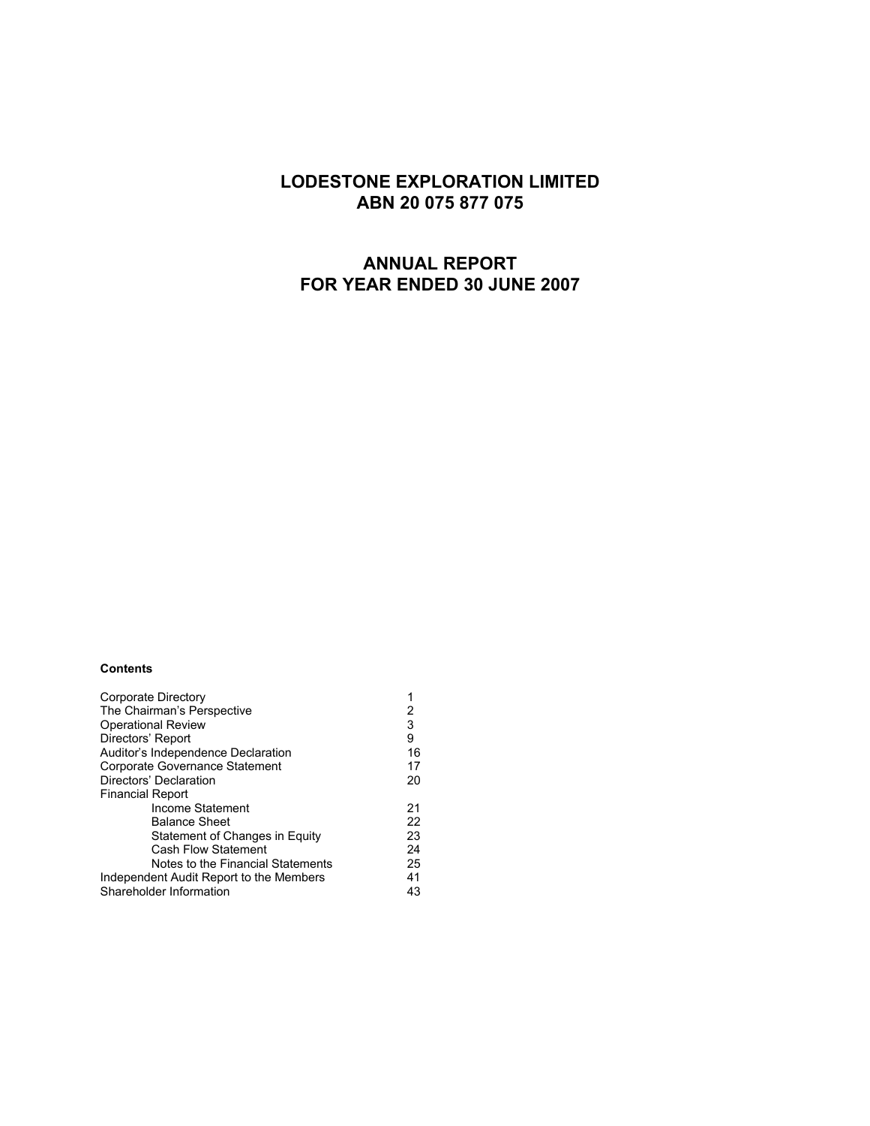# **LODESTONE EXPLORATION LIMITED ABN 20 075 877 075**

# **ANNUAL REPORT FOR YEAR ENDED 30 JUNE 2007**

#### **Contents**

| Corporate Directory                     | 1  |
|-----------------------------------------|----|
| The Chairman's Perspective              | 2  |
| <b>Operational Review</b>               | 3  |
| Directors' Report                       | 9  |
| Auditor's Independence Declaration      | 16 |
| Corporate Governance Statement          | 17 |
| Directors' Declaration                  | 20 |
| <b>Financial Report</b>                 |    |
| Income Statement                        | 21 |
| <b>Balance Sheet</b>                    | 22 |
| Statement of Changes in Equity          | 23 |
| <b>Cash Flow Statement</b>              | 24 |
| Notes to the Financial Statements       | 25 |
| Independent Audit Report to the Members | 41 |
| Shareholder Information                 | 43 |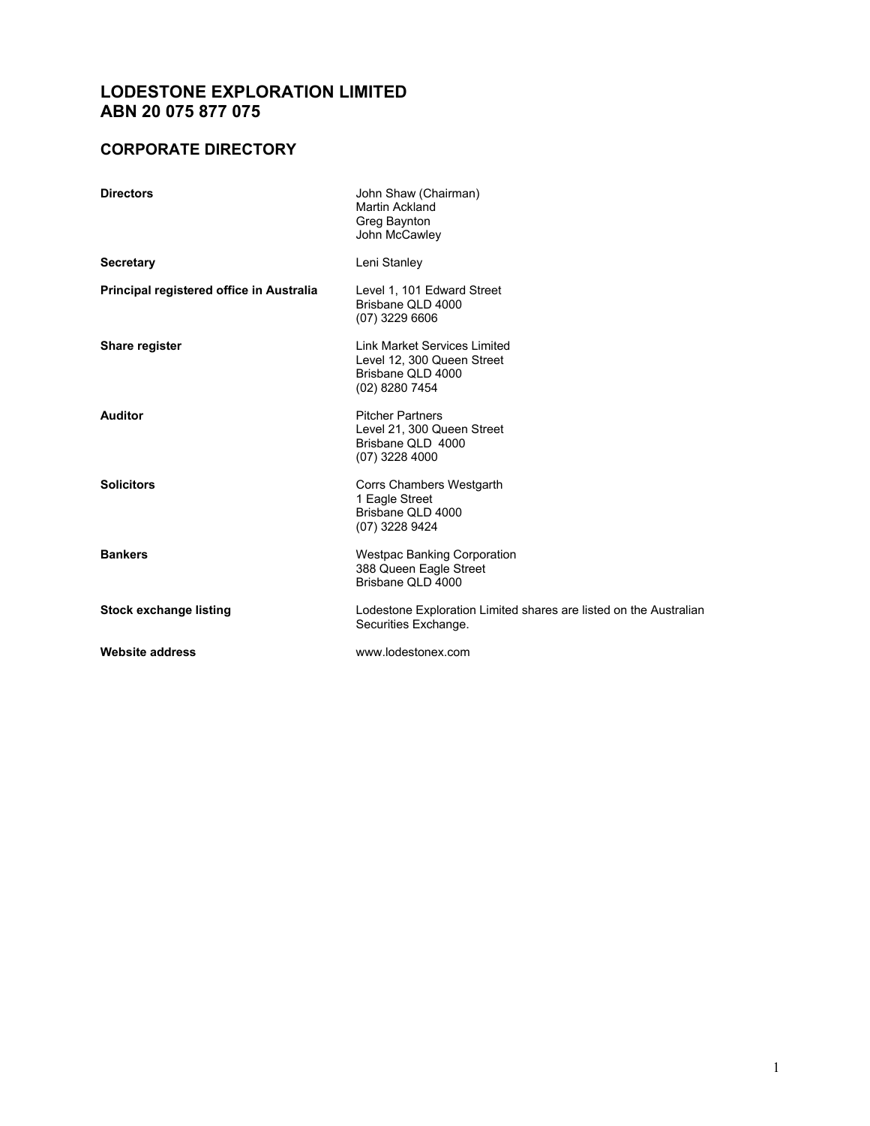# **LODESTONE EXPLORATION LIMITED ABN 20 075 877 075**

# **CORPORATE DIRECTORY**

| <b>Directors</b>                         | John Shaw (Chairman)<br>Martin Ackland<br>Greg Baynton<br>John McCawley                                  |
|------------------------------------------|----------------------------------------------------------------------------------------------------------|
| <b>Secretary</b>                         | Leni Stanley                                                                                             |
| Principal registered office in Australia | Level 1, 101 Edward Street<br>Brisbane QLD 4000<br>$(07)$ 3229 6606                                      |
| Share register                           | <b>Link Market Services Limited</b><br>Level 12, 300 Queen Street<br>Brisbane QLD 4000<br>(02) 8280 7454 |
| <b>Auditor</b>                           | <b>Pitcher Partners</b><br>Level 21, 300 Queen Street<br>Brisbane QLD 4000<br>$(07)$ 3228 4000           |
| <b>Solicitors</b>                        | Corrs Chambers Westgarth<br>1 Eagle Street<br>Brisbane QLD 4000<br>(07) 3228 9424                        |
| <b>Bankers</b>                           | <b>Westpac Banking Corporation</b><br>388 Queen Eagle Street<br>Brisbane QLD 4000                        |
| <b>Stock exchange listing</b>            | Lodestone Exploration Limited shares are listed on the Australian<br>Securities Exchange.                |
| <b>Website address</b>                   | www.lodestonex.com                                                                                       |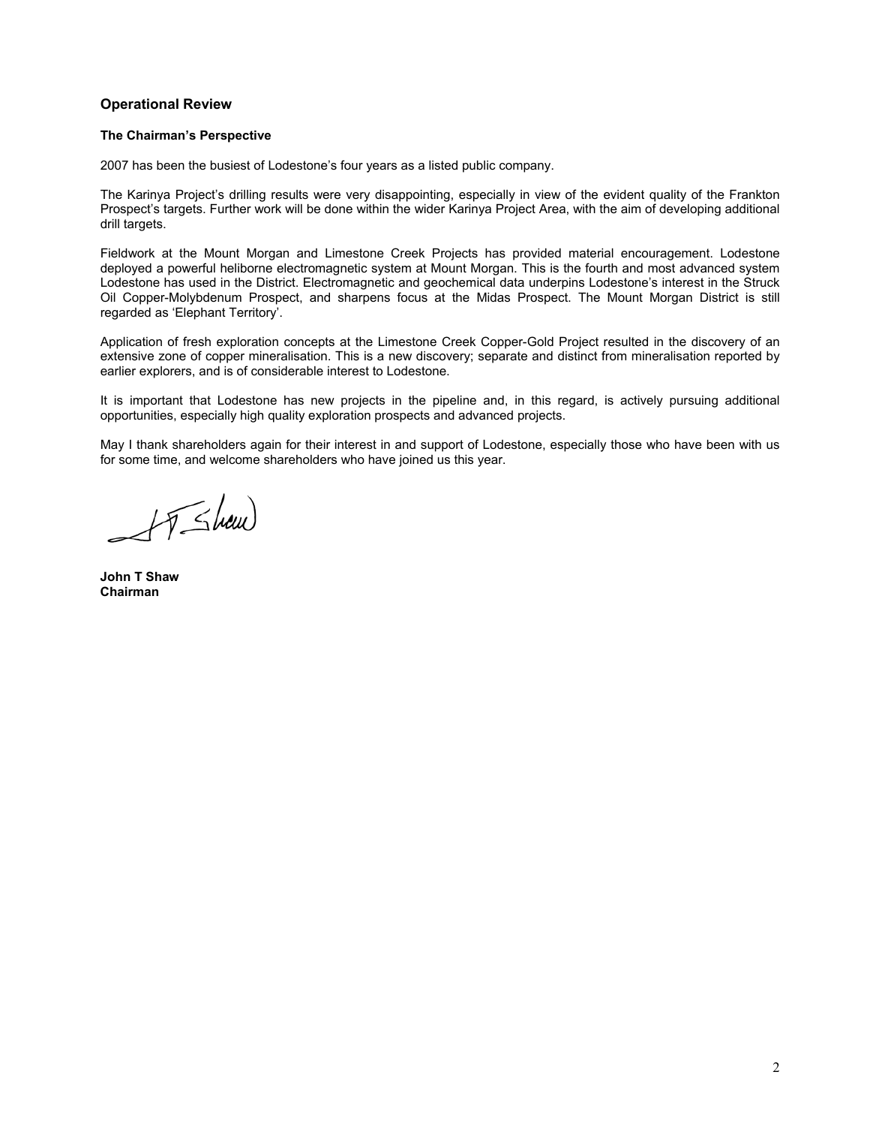## **Operational Review**

#### **The Chairman's Perspective**

2007 has been the busiest of Lodestone's four years as a listed public company.

The Karinya Project's drilling results were very disappointing, especially in view of the evident quality of the Frankton Prospect's targets. Further work will be done within the wider Karinya Project Area, with the aim of developing additional drill targets.

Fieldwork at the Mount Morgan and Limestone Creek Projects has provided material encouragement. Lodestone deployed a powerful heliborne electromagnetic system at Mount Morgan. This is the fourth and most advanced system Lodestone has used in the District. Electromagnetic and geochemical data underpins Lodestone's interest in the Struck Oil Copper-Molybdenum Prospect, and sharpens focus at the Midas Prospect. The Mount Morgan District is still regarded as 'Elephant Territory'.

Application of fresh exploration concepts at the Limestone Creek Copper-Gold Project resulted in the discovery of an extensive zone of copper mineralisation. This is a new discovery; separate and distinct from mineralisation reported by earlier explorers, and is of considerable interest to Lodestone.

It is important that Lodestone has new projects in the pipeline and, in this regard, is actively pursuing additional opportunities, especially high quality exploration prospects and advanced projects.

May I thank shareholders again for their interest in and support of Lodestone, especially those who have been with us for some time, and welcome shareholders who have joined us this year.

IT Show

**John T Shaw Chairman**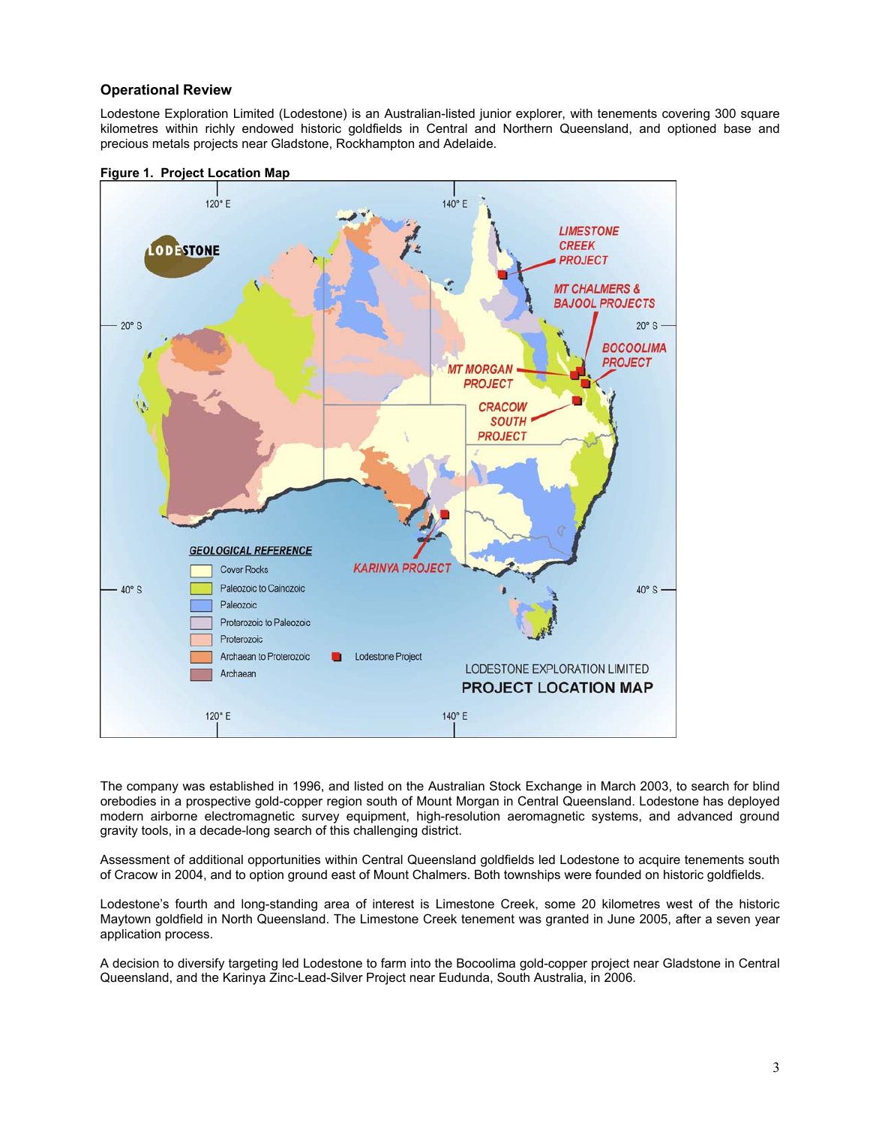## **Operational Review**

Lodestone Exploration Limited (Lodestone) is an Australian-listed junior explorer, with tenements covering 300 square kilometres within richly endowed historic goldfields in Central and Northern Queensland, and optioned base and precious metals projects near Gladstone, Rockhampton and Adelaide.





The company was established in 1996, and listed on the Australian Stock Exchange in March 2003, to search for blind orebodies in a prospective gold-copper region south of Mount Morgan in Central Queensland. Lodestone has deployed modern airborne electromagnetic survey equipment, high-resolution aeromagnetic systems, and advanced ground gravity tools, in a decade-long search of this challenging district.

Assessment of additional opportunities within Central Queensland goldfields led Lodestone to acquire tenements south of Cracow in 2004, and to option ground east of Mount Chalmers. Both townships were founded on historic goldfields.

Lodestone's fourth and long-standing area of interest is Limestone Creek, some 20 kilometres west of the historic Maytown goldfield in North Queensland. The Limestone Creek tenement was granted in June 2005, after a seven year application process.

A decision to diversify targeting led Lodestone to farm into the Bocoolima gold-copper project near Gladstone in Central Queensland, and the Karinya Zinc-Lead-Silver Project near Eudunda, South Australia, in 2006.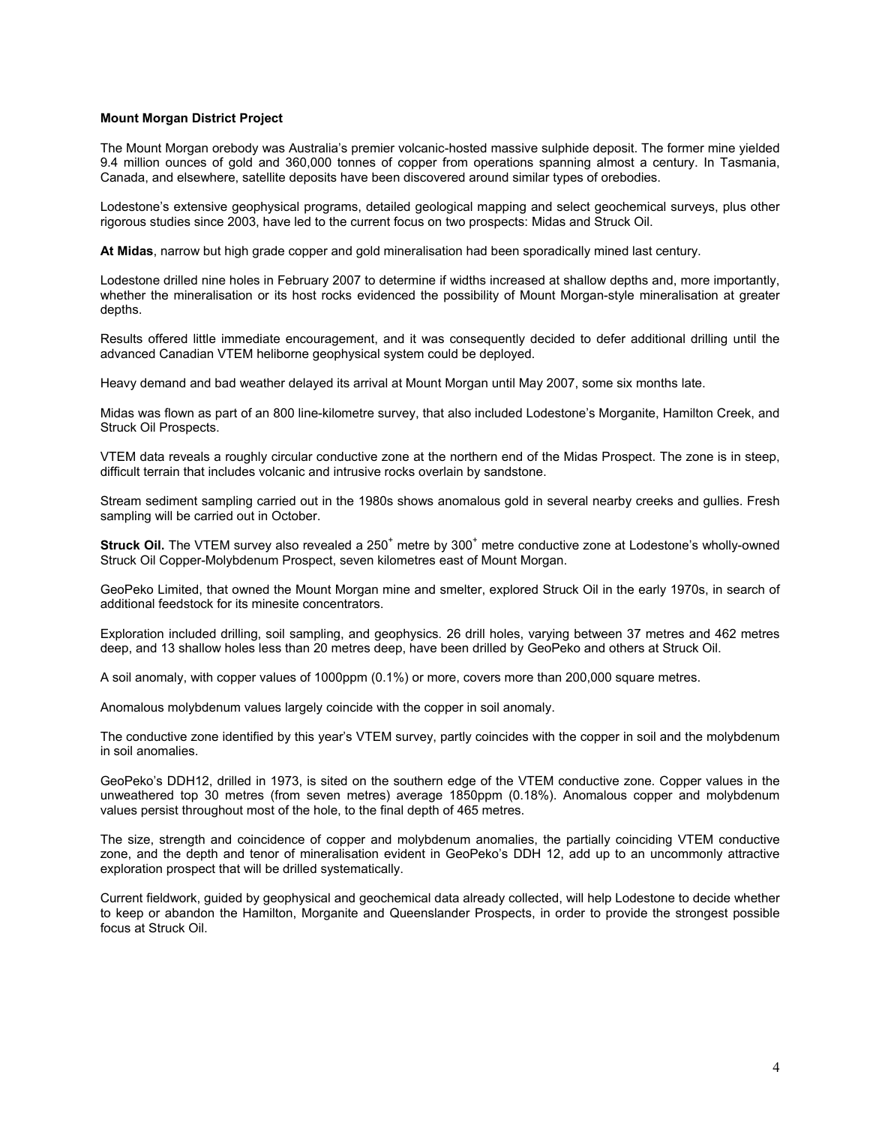#### **Mount Morgan District Project**

The Mount Morgan orebody was Australia's premier volcanic-hosted massive sulphide deposit. The former mine yielded 9.4 million ounces of gold and 360,000 tonnes of copper from operations spanning almost a century. In Tasmania, Canada, and elsewhere, satellite deposits have been discovered around similar types of orebodies.

Lodestone's extensive geophysical programs, detailed geological mapping and select geochemical surveys, plus other rigorous studies since 2003, have led to the current focus on two prospects: Midas and Struck Oil.

**At Midas**, narrow but high grade copper and gold mineralisation had been sporadically mined last century.

Lodestone drilled nine holes in February 2007 to determine if widths increased at shallow depths and, more importantly, whether the mineralisation or its host rocks evidenced the possibility of Mount Morgan-style mineralisation at greater depths.

Results offered little immediate encouragement, and it was consequently decided to defer additional drilling until the advanced Canadian VTEM heliborne geophysical system could be deployed.

Heavy demand and bad weather delayed its arrival at Mount Morgan until May 2007, some six months late.

Midas was flown as part of an 800 line-kilometre survey, that also included Lodestone's Morganite, Hamilton Creek, and Struck Oil Prospects.

VTEM data reveals a roughly circular conductive zone at the northern end of the Midas Prospect. The zone is in steep, difficult terrain that includes volcanic and intrusive rocks overlain by sandstone.

Stream sediment sampling carried out in the 1980s shows anomalous gold in several nearby creeks and gullies. Fresh sampling will be carried out in October.

Struck Oil. The VTEM survey also revealed a 250<sup>+</sup> metre by 300<sup>+</sup> metre conductive zone at Lodestone's wholly-owned Struck Oil Copper-Molybdenum Prospect, seven kilometres east of Mount Morgan.

GeoPeko Limited, that owned the Mount Morgan mine and smelter, explored Struck Oil in the early 1970s, in search of additional feedstock for its minesite concentrators.

Exploration included drilling, soil sampling, and geophysics. 26 drill holes, varying between 37 metres and 462 metres deep, and 13 shallow holes less than 20 metres deep, have been drilled by GeoPeko and others at Struck Oil.

A soil anomaly, with copper values of 1000ppm (0.1%) or more, covers more than 200,000 square metres.

Anomalous molybdenum values largely coincide with the copper in soil anomaly.

The conductive zone identified by this year's VTEM survey, partly coincides with the copper in soil and the molybdenum in soil anomalies.

GeoPeko's DDH12, drilled in 1973, is sited on the southern edge of the VTEM conductive zone. Copper values in the unweathered top 30 metres (from seven metres) average 1850ppm (0.18%). Anomalous copper and molybdenum values persist throughout most of the hole, to the final depth of 465 metres.

The size, strength and coincidence of copper and molybdenum anomalies, the partially coinciding VTEM conductive zone, and the depth and tenor of mineralisation evident in GeoPeko's DDH 12, add up to an uncommonly attractive exploration prospect that will be drilled systematically.

Current fieldwork, guided by geophysical and geochemical data already collected, will help Lodestone to decide whether to keep or abandon the Hamilton, Morganite and Queenslander Prospects, in order to provide the strongest possible focus at Struck Oil.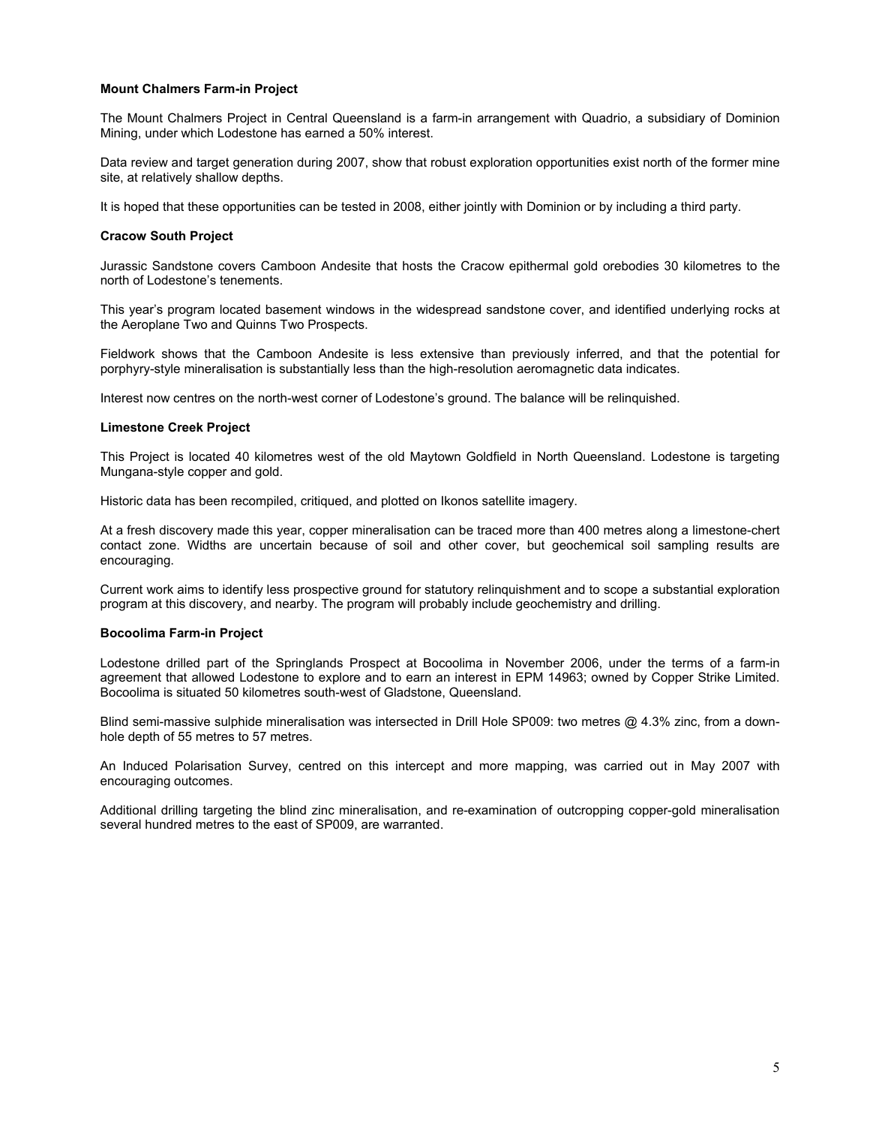### **Mount Chalmers Farm-in Project**

The Mount Chalmers Project in Central Queensland is a farm-in arrangement with Quadrio, a subsidiary of Dominion Mining, under which Lodestone has earned a 50% interest.

Data review and target generation during 2007, show that robust exploration opportunities exist north of the former mine site, at relatively shallow depths.

It is hoped that these opportunities can be tested in 2008, either jointly with Dominion or by including a third party.

#### **Cracow South Project**

Jurassic Sandstone covers Camboon Andesite that hosts the Cracow epithermal gold orebodies 30 kilometres to the north of Lodestone's tenements.

This year's program located basement windows in the widespread sandstone cover, and identified underlying rocks at the Aeroplane Two and Quinns Two Prospects.

Fieldwork shows that the Camboon Andesite is less extensive than previously inferred, and that the potential for porphyry-style mineralisation is substantially less than the high-resolution aeromagnetic data indicates.

Interest now centres on the north-west corner of Lodestone's ground. The balance will be relinquished.

#### **Limestone Creek Project**

This Project is located 40 kilometres west of the old Maytown Goldfield in North Queensland. Lodestone is targeting Mungana-style copper and gold.

Historic data has been recompiled, critiqued, and plotted on Ikonos satellite imagery.

At a fresh discovery made this year, copper mineralisation can be traced more than 400 metres along a limestone-chert contact zone. Widths are uncertain because of soil and other cover, but geochemical soil sampling results are encouraging.

Current work aims to identify less prospective ground for statutory relinquishment and to scope a substantial exploration program at this discovery, and nearby. The program will probably include geochemistry and drilling.

### **Bocoolima Farm-in Project**

Lodestone drilled part of the Springlands Prospect at Bocoolima in November 2006, under the terms of a farm-in agreement that allowed Lodestone to explore and to earn an interest in EPM 14963; owned by Copper Strike Limited. Bocoolima is situated 50 kilometres south-west of Gladstone, Queensland.

Blind semi-massive sulphide mineralisation was intersected in Drill Hole SP009: two metres @ 4.3% zinc, from a downhole depth of 55 metres to 57 metres.

An Induced Polarisation Survey, centred on this intercept and more mapping, was carried out in May 2007 with encouraging outcomes.

Additional drilling targeting the blind zinc mineralisation, and re-examination of outcropping copper-gold mineralisation several hundred metres to the east of SP009, are warranted.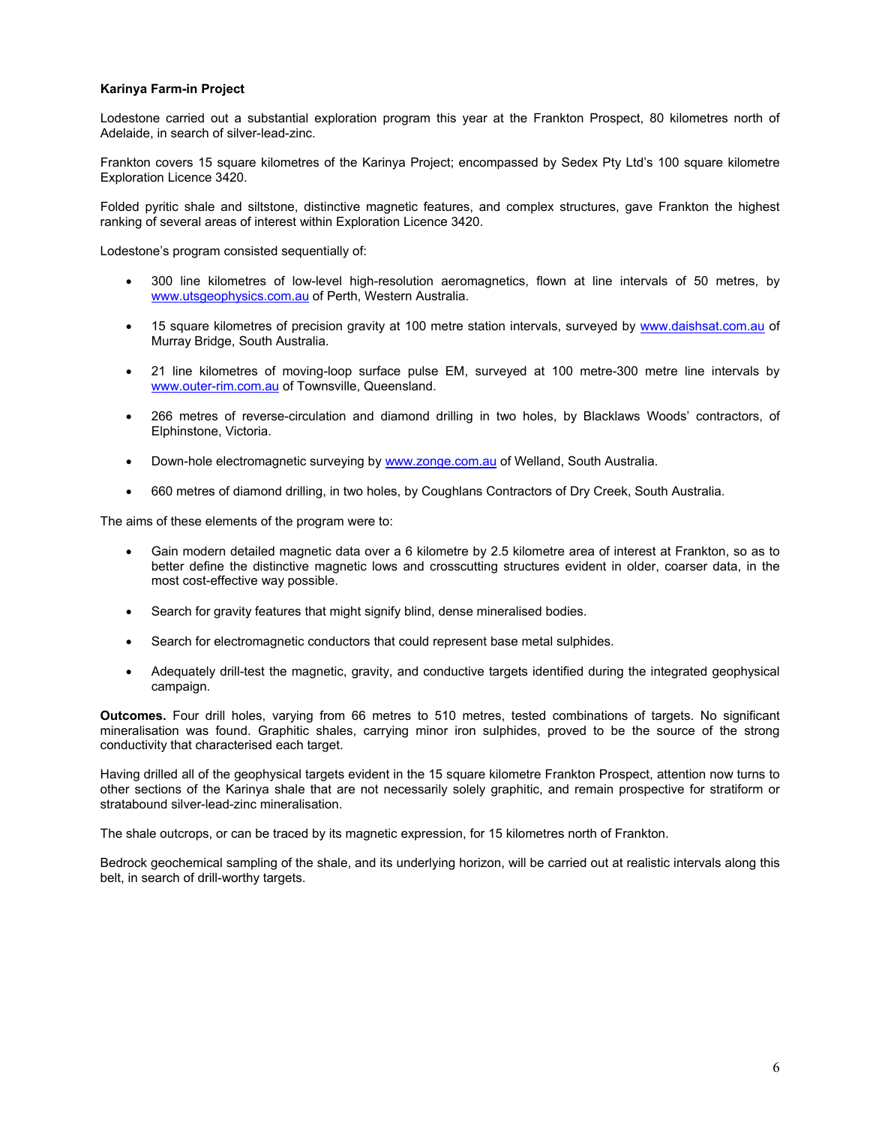### **Karinya Farm-in Project**

Lodestone carried out a substantial exploration program this year at the Frankton Prospect, 80 kilometres north of Adelaide, in search of silver-lead-zinc.

Frankton covers 15 square kilometres of the Karinya Project; encompassed by Sedex Pty Ltd's 100 square kilometre Exploration Licence 3420.

Folded pyritic shale and siltstone, distinctive magnetic features, and complex structures, gave Frankton the highest ranking of several areas of interest within Exploration Licence 3420.

Lodestone's program consisted sequentially of:

- 300 line kilometres of low-level high-resolution aeromagnetics, flown at line intervals of 50 metres, by www.utsgeophysics.com.au of Perth, Western Australia.
- 15 square kilometres of precision gravity at 100 metre station intervals, surveyed by www.daishsat.com.au of Murray Bridge, South Australia.
- 21 line kilometres of moving-loop surface pulse EM, surveyed at 100 metre-300 metre line intervals by www.outer-rim.com.au of Townsville, Queensland.
- 266 metres of reverse-circulation and diamond drilling in two holes, by Blacklaws Woods' contractors, of Elphinstone, Victoria.
- Down-hole electromagnetic surveying by www.zonge.com.au of Welland, South Australia.
- 660 metres of diamond drilling, in two holes, by Coughlans Contractors of Dry Creek, South Australia.

The aims of these elements of the program were to:

- Gain modern detailed magnetic data over a 6 kilometre by 2.5 kilometre area of interest at Frankton, so as to better define the distinctive magnetic lows and crosscutting structures evident in older, coarser data, in the most cost-effective way possible.
- Search for gravity features that might signify blind, dense mineralised bodies.
- Search for electromagnetic conductors that could represent base metal sulphides.
- Adequately drill-test the magnetic, gravity, and conductive targets identified during the integrated geophysical campaign.

**Outcomes.** Four drill holes, varying from 66 metres to 510 metres, tested combinations of targets. No significant mineralisation was found. Graphitic shales, carrying minor iron sulphides, proved to be the source of the strong conductivity that characterised each target.

Having drilled all of the geophysical targets evident in the 15 square kilometre Frankton Prospect, attention now turns to other sections of the Karinya shale that are not necessarily solely graphitic, and remain prospective for stratiform or stratabound silver-lead-zinc mineralisation.

The shale outcrops, or can be traced by its magnetic expression, for 15 kilometres north of Frankton.

Bedrock geochemical sampling of the shale, and its underlying horizon, will be carried out at realistic intervals along this belt, in search of drill-worthy targets.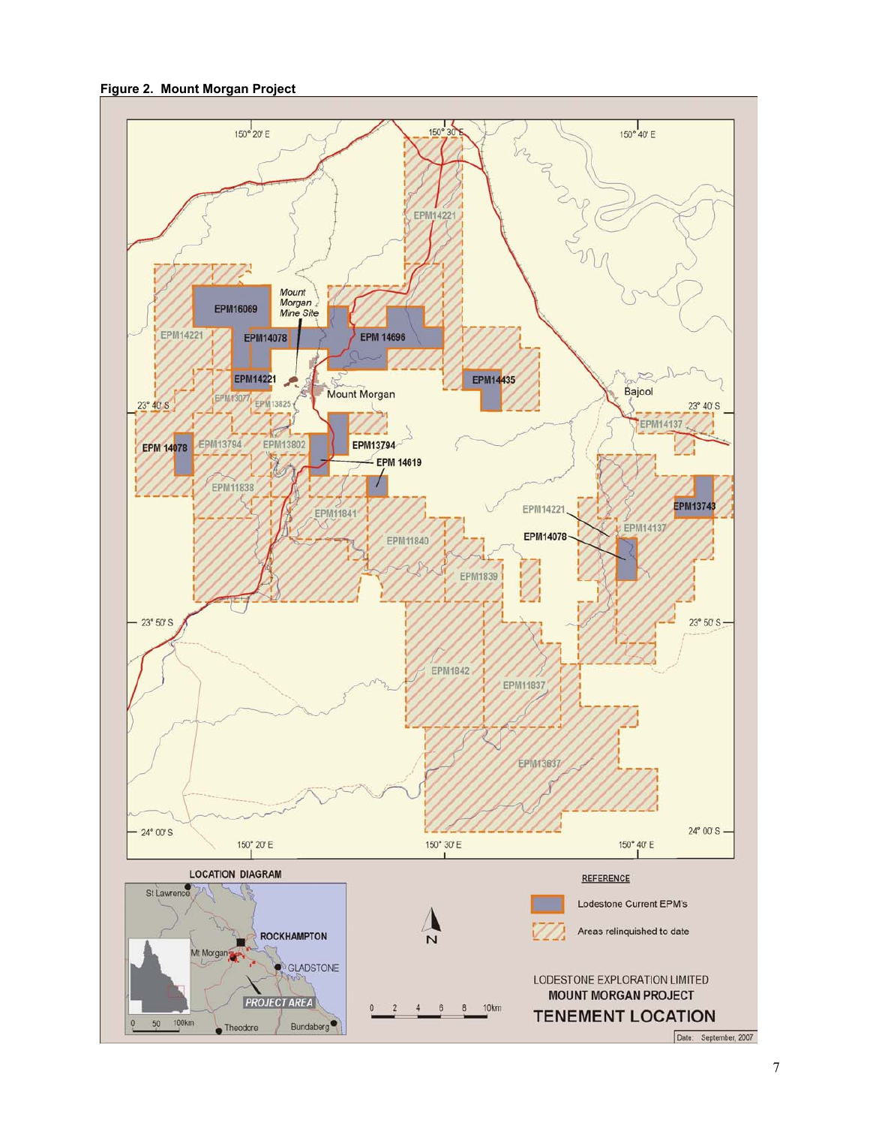**Figure 2. Mount Morgan Project** 

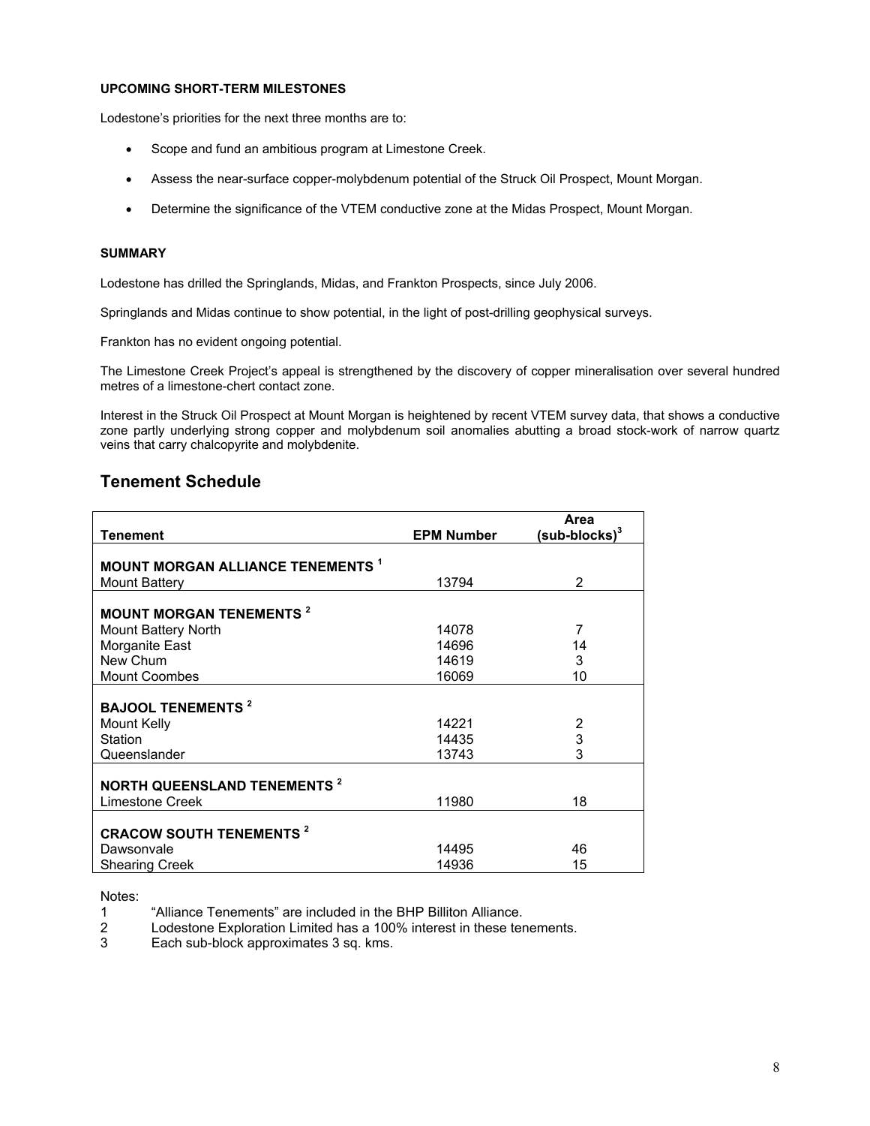### **UPCOMING SHORT-TERM MILESTONES**

Lodestone's priorities for the next three months are to:

- Scope and fund an ambitious program at Limestone Creek.
- Assess the near-surface copper-molybdenum potential of the Struck Oil Prospect, Mount Morgan.
- Determine the significance of the VTEM conductive zone at the Midas Prospect, Mount Morgan.

## **SUMMARY**

Lodestone has drilled the Springlands, Midas, and Frankton Prospects, since July 2006.

Springlands and Midas continue to show potential, in the light of post-drilling geophysical surveys.

Frankton has no evident ongoing potential.

The Limestone Creek Project's appeal is strengthened by the discovery of copper mineralisation over several hundred metres of a limestone-chert contact zone.

Interest in the Struck Oil Prospect at Mount Morgan is heightened by recent VTEM survey data, that shows a conductive zone partly underlying strong copper and molybdenum soil anomalies abutting a broad stock-work of narrow quartz veins that carry chalcopyrite and molybdenite.

## **Tenement Schedule**

| <b>Tenement</b>                               | <b>EPM Number</b> | Area<br>$(sub-blocks)^3$ |
|-----------------------------------------------|-------------------|--------------------------|
|                                               |                   |                          |
| <b>MOUNT MORGAN ALLIANCE TENEMENTS 1</b>      |                   |                          |
| <b>Mount Battery</b>                          | 13794             | $\overline{2}$           |
| <b>MOUNT MORGAN TENEMENTS<sup>2</sup></b>     |                   |                          |
| Mount Battery North                           | 14078             | 7                        |
| Morganite East                                | 14696             | 14                       |
| New Chum                                      | 14619             | 3                        |
| <b>Mount Coombes</b>                          | 16069             | 10                       |
| <b>BAJOOL TENEMENTS<sup>2</sup></b>           |                   |                          |
| Mount Kelly                                   | 14221             | 2                        |
| Station                                       | 14435             | 3                        |
| Queenslander                                  | 13743             | 3                        |
| <b>NORTH QUEENSLAND TENEMENTS<sup>2</sup></b> |                   |                          |
| Limestone Creek                               | 11980             | 18                       |
| <b>CRACOW SOUTH TENEMENTS<sup>2</sup></b>     |                   |                          |
| Dawsonvale                                    | 14495             | 46                       |
| <b>Shearing Creek</b>                         | 14936             | 15                       |

Notes:

2 Lodestone Exploration Limited has a 100% interest in these tenements.

3 Each sub-block approximates 3 sq. kms.

<sup>1 &</sup>quot;Alliance Tenements" are included in the BHP Billiton Alliance.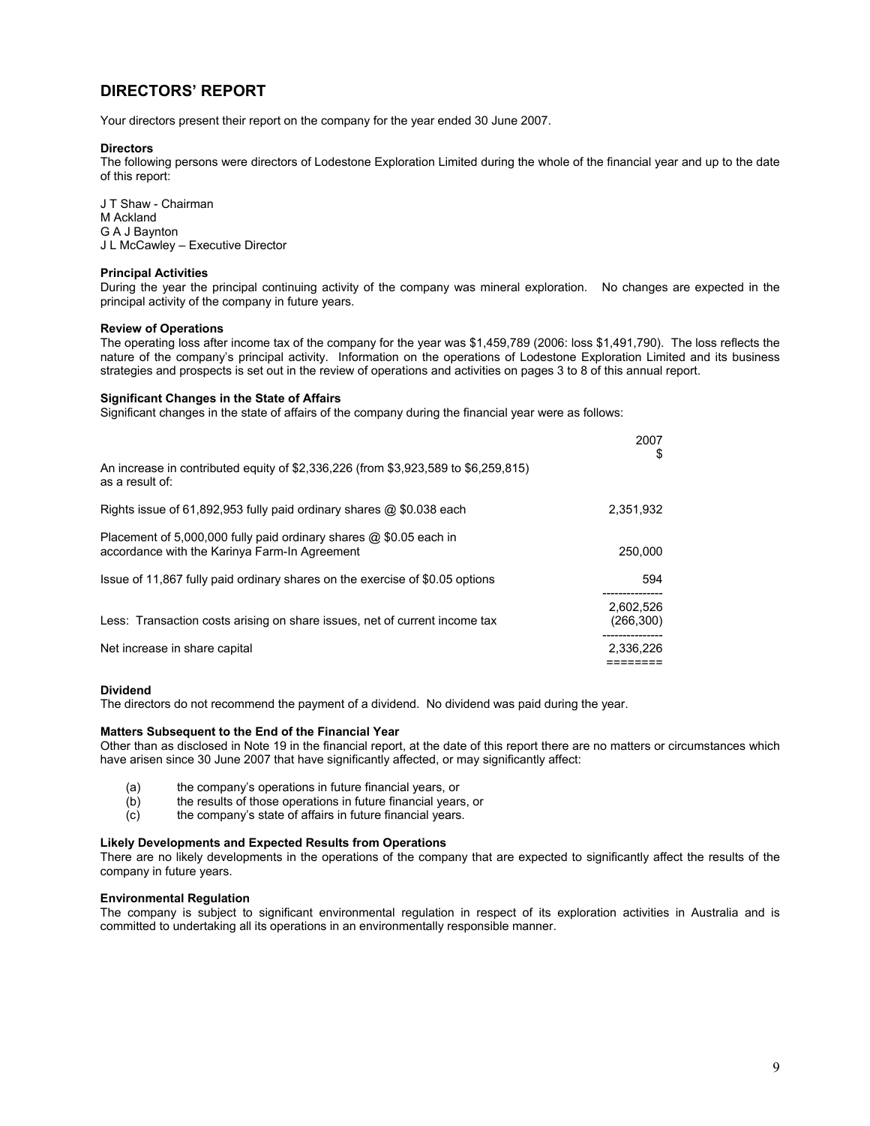## **DIRECTORS' REPORT**

Your directors present their report on the company for the year ended 30 June 2007.

#### **Directors**

The following persons were directors of Lodestone Exploration Limited during the whole of the financial year and up to the date of this report:

J T Shaw - Chairman M Ackland G A J Baynton J L McCawley – Executive Director

#### **Principal Activities**

During the year the principal continuing activity of the company was mineral exploration. No changes are expected in the principal activity of the company in future years.

#### **Review of Operations**

The operating loss after income tax of the company for the year was \$1,459,789 (2006: loss \$1,491,790). The loss reflects the nature of the company's principal activity. Information on the operations of Lodestone Exploration Limited and its business strategies and prospects is set out in the review of operations and activities on pages 3 to 8 of this annual report.

 $0007$ 

#### **Significant Changes in the State of Affairs**

Significant changes in the state of affairs of the company during the financial year were as follows:

|                                                                                                                     | 2007<br>S               |
|---------------------------------------------------------------------------------------------------------------------|-------------------------|
| An increase in contributed equity of \$2,336,226 (from \$3,923,589 to \$6,259,815)<br>as a result of:               |                         |
| Rights issue of 61,892,953 fully paid ordinary shares $@$ \$0.038 each                                              | 2.351.932               |
| Placement of 5,000,000 fully paid ordinary shares @ \$0.05 each in<br>accordance with the Karinya Farm-In Agreement | 250,000                 |
| Issue of 11,867 fully paid ordinary shares on the exercise of \$0.05 options                                        | 594                     |
| Less: Transaction costs arising on share issues, net of current income tax                                          | 2.602.526<br>(266, 300) |
| Net increase in share capital                                                                                       | 2,336,226               |

#### **Dividend**

The directors do not recommend the payment of a dividend. No dividend was paid during the year.

#### **Matters Subsequent to the End of the Financial Year**

Other than as disclosed in Note 19 in the financial report, at the date of this report there are no matters or circumstances which have arisen since 30 June 2007 that have significantly affected, or may significantly affect:

- (a) the company's operations in future financial years, or
- (b) the results of those operations in future financial years, or
- (c) the company's state of affairs in future financial years.

#### **Likely Developments and Expected Results from Operations**

There are no likely developments in the operations of the company that are expected to significantly affect the results of the company in future years.

#### **Environmental Regulation**

The company is subject to significant environmental regulation in respect of its exploration activities in Australia and is committed to undertaking all its operations in an environmentally responsible manner.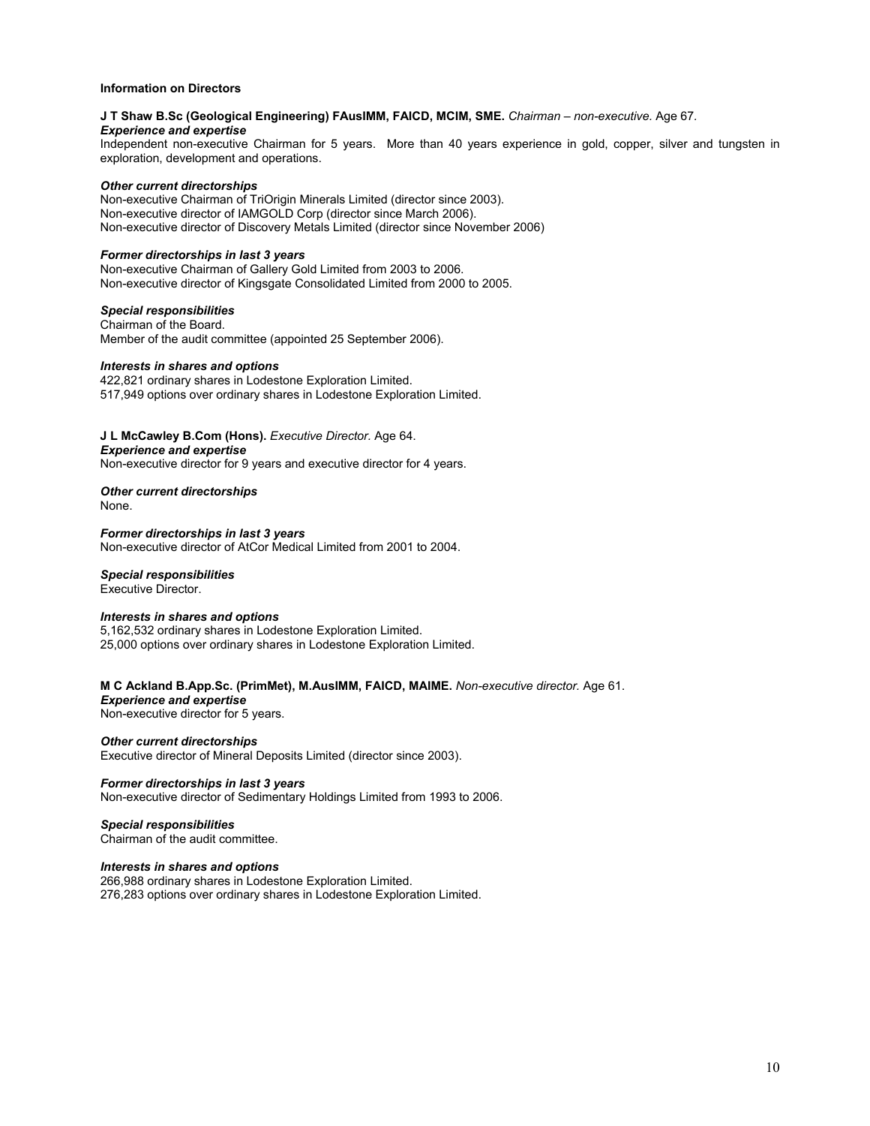#### **Information on Directors**

## **J T Shaw B.Sc (Geological Engineering) FAusIMM, FAICD, MCIM, SME.** *Chairman – non-executive.* Age 67*. Experience and expertise*

Independent non-executive Chairman for 5 years. More than 40 years experience in gold, copper, silver and tungsten in exploration, development and operations.

#### *Other current directorships*

Non-executive Chairman of TriOrigin Minerals Limited (director since 2003). Non-executive director of IAMGOLD Corp (director since March 2006). Non-executive director of Discovery Metals Limited (director since November 2006)

### *Former directorships in last 3 years*

Non-executive Chairman of Gallery Gold Limited from 2003 to 2006. Non-executive director of Kingsgate Consolidated Limited from 2000 to 2005.

#### *Special responsibilities*

Chairman of the Board. Member of the audit committee (appointed 25 September 2006).

#### *Interests in shares and options*

422,821 ordinary shares in Lodestone Exploration Limited. 517,949 options over ordinary shares in Lodestone Exploration Limited.

#### **J L McCawley B.Com (Hons).** *Executive Director.* Age 64.

*Experience and expertise*

Non-executive director for 9 years and executive director for 4 years.

*Other current directorships*  None.

*Former directorships in last 3 years*  Non-executive director of AtCor Medical Limited from 2001 to 2004.

#### *Special responsibilities*

Executive Director.

### *Interests in shares and options*

5,162,532 ordinary shares in Lodestone Exploration Limited. 25,000 options over ordinary shares in Lodestone Exploration Limited.

**M C Ackland B.App.Sc. (PrimMet), M.AusIMM, FAICD, MAIME.** *Non-executive director.* Age 61. *Experience and expertise*  Non-executive director for 5 years.

*Other current directorships* Executive director of Mineral Deposits Limited (director since 2003).

*Former directorships in last 3 years* Non-executive director of Sedimentary Holdings Limited from 1993 to 2006.

#### *Special responsibilities*

Chairman of the audit committee.

#### *Interests in shares and options*

266,988 ordinary shares in Lodestone Exploration Limited. 276,283 options over ordinary shares in Lodestone Exploration Limited.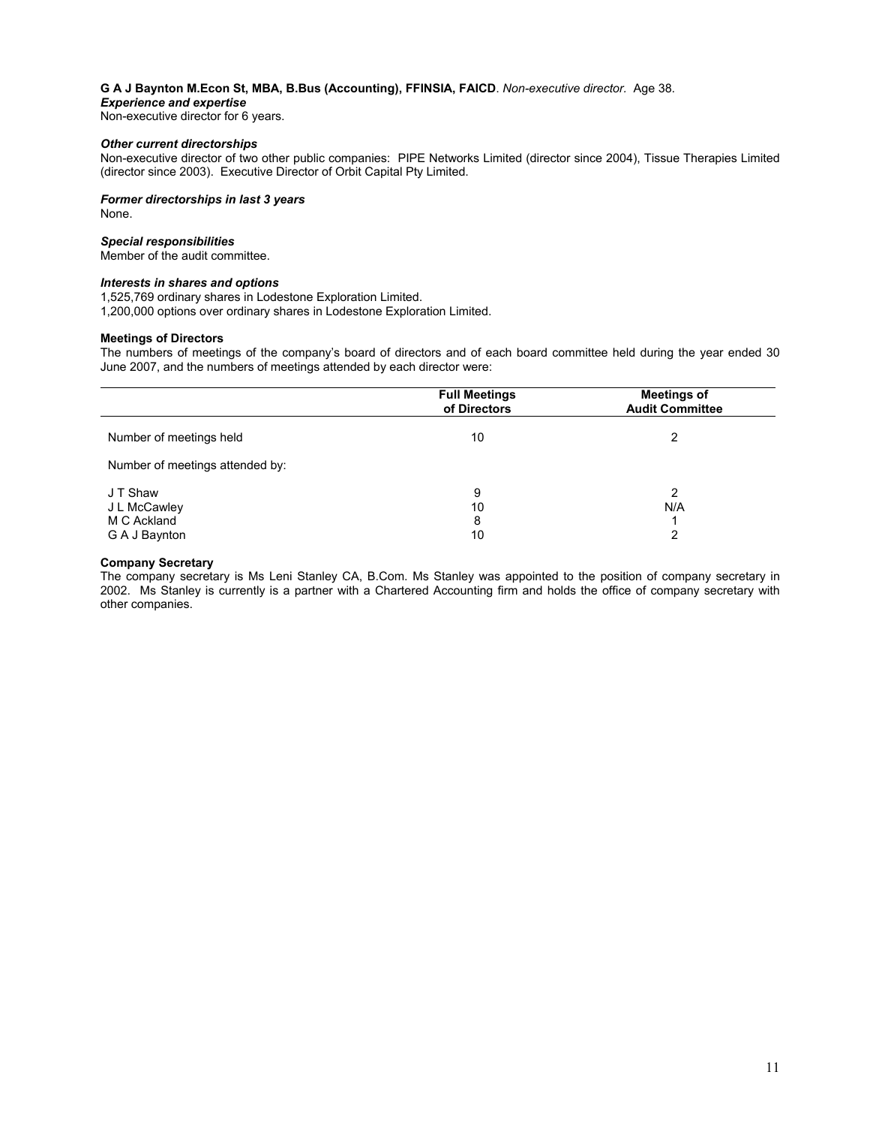#### **G A J Baynton M.Econ St, MBA, B.Bus (Accounting), FFINSIA, FAICD**. *Non-executive director.* Age 38.

#### *Experience and expertise*

Non-executive director for 6 years.

#### *Other current directorships*

Non-executive director of two other public companies: PIPE Networks Limited (director since 2004), Tissue Therapies Limited (director since 2003). Executive Director of Orbit Capital Pty Limited.

*Former directorships in last 3 years* None.

#### *Special responsibilities*

Member of the audit committee.

#### *Interests in shares and options*

1,525,769 ordinary shares in Lodestone Exploration Limited.

1,200,000 options over ordinary shares in Lodestone Exploration Limited.

#### **Meetings of Directors**

The numbers of meetings of the company's board of directors and of each board committee held during the year ended 30 June 2007, and the numbers of meetings attended by each director were:

|                                                          | <b>Full Meetings</b><br>of Directors | <b>Meetings of</b><br><b>Audit Committee</b> |
|----------------------------------------------------------|--------------------------------------|----------------------------------------------|
| Number of meetings held                                  | 10                                   |                                              |
| Number of meetings attended by:                          |                                      |                                              |
| J T Shaw<br>J L McCawley<br>M C Ackland<br>G A J Baynton | 9<br>10<br>8<br>10                   | 2<br>N/A<br>2                                |

#### **Company Secretary**

The company secretary is Ms Leni Stanley CA, B.Com. Ms Stanley was appointed to the position of company secretary in 2002. Ms Stanley is currently is a partner with a Chartered Accounting firm and holds the office of company secretary with other companies.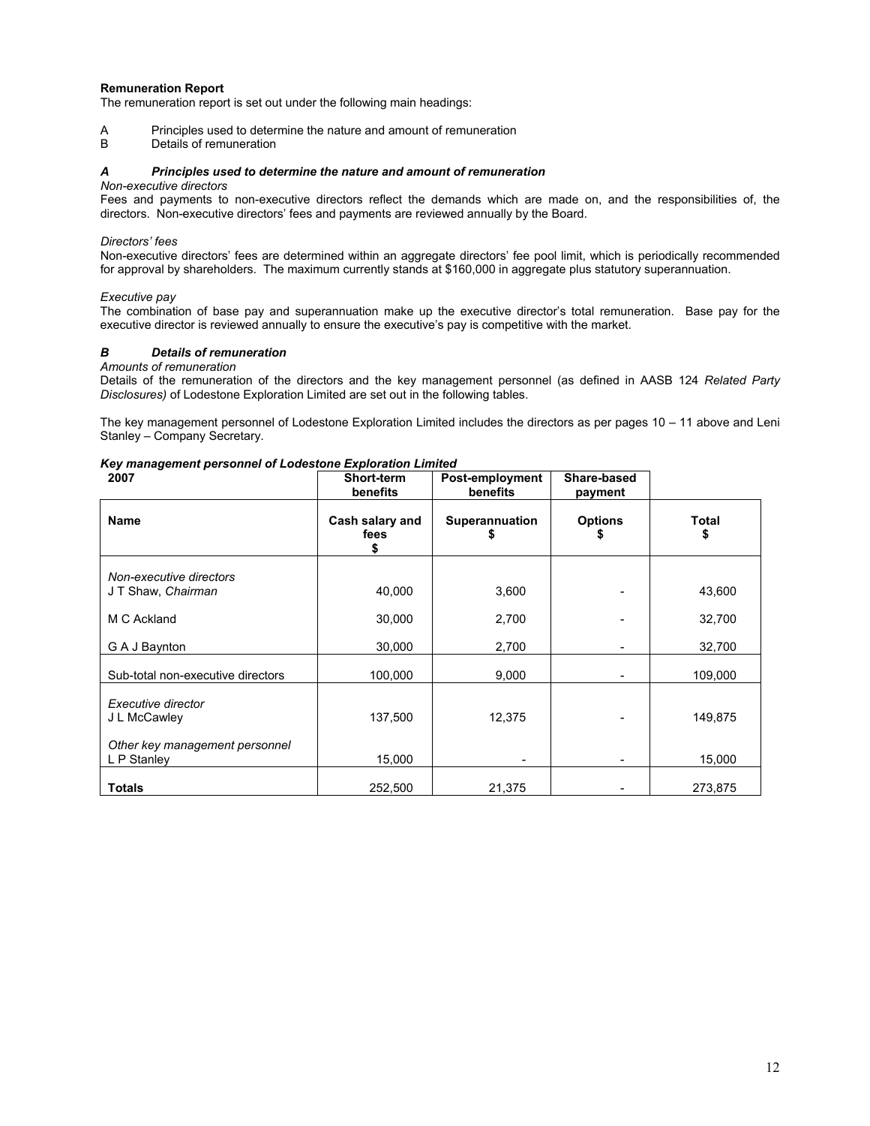#### **Remuneration Report**

The remuneration report is set out under the following main headings:

A Principles used to determine the nature and amount of remuneration<br>B Details of remuneration

Details of remuneration

## *A Principles used to determine the nature and amount of remuneration*

## *Non-executive directors*

Fees and payments to non-executive directors reflect the demands which are made on, and the responsibilities of, the directors. Non-executive directors' fees and payments are reviewed annually by the Board.

## *Directors' fees*

Non-executive directors' fees are determined within an aggregate directors' fee pool limit, which is periodically recommended for approval by shareholders. The maximum currently stands at \$160,000 in aggregate plus statutory superannuation.

## *Executive pay*

The combination of base pay and superannuation make up the executive director's total remuneration. Base pay for the executive director is reviewed annually to ensure the executive's pay is competitive with the market.

## *B Details of remuneration*

## *Amounts of remuneration*

Details of the remuneration of the directors and the key management personnel (as defined in AASB 124 *Related Party Disclosures)* of Lodestone Exploration Limited are set out in the following tables.

The key management personnel of Lodestone Exploration Limited includes the directors as per pages 10 – 11 above and Leni Stanley – Company Secretary.

## *Key management personnel of Lodestone Exploration Limited*

| 2007                                                                 | Short-term<br>benefits       | Post-employment<br>benefits | Share-based<br>payment |                    |
|----------------------------------------------------------------------|------------------------------|-----------------------------|------------------------|--------------------|
| <b>Name</b>                                                          | Cash salary and<br>fees<br>5 | <b>Superannuation</b>       | <b>Options</b>         | <b>Total</b><br>\$ |
| Non-executive directors<br>J T Shaw, Chairman                        | 40,000                       | 3,600                       |                        | 43,600             |
| M C Ackland                                                          | 30,000                       | 2,700                       |                        | 32,700             |
| G A J Baynton                                                        | 30,000                       | 2,700                       |                        | 32,700             |
| Sub-total non-executive directors                                    | 100,000                      | 9,000                       |                        | 109,000            |
| Executive director<br>J L McCawley<br>Other key management personnel | 137,500                      | 12,375                      |                        | 149,875            |
| L P Stanley                                                          | 15,000                       |                             |                        | 15,000             |
| <b>Totals</b>                                                        | 252,500                      | 21,375                      |                        | 273,875            |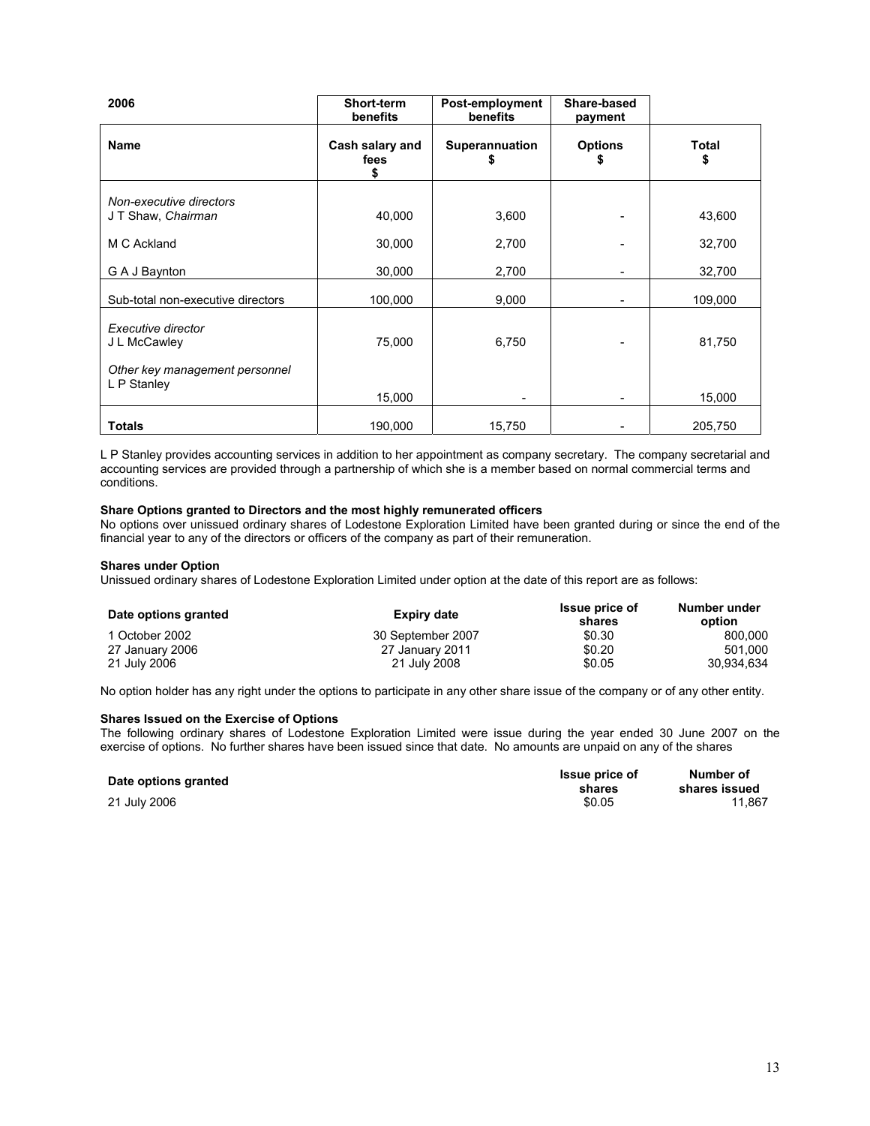| 2006                                                                 | Short-term<br>benefits       | Post-employment<br>benefits | Share-based<br>payment |                    |
|----------------------------------------------------------------------|------------------------------|-----------------------------|------------------------|--------------------|
| <b>Name</b>                                                          | Cash salary and<br>fees<br>S | <b>Superannuation</b><br>\$ | <b>Options</b><br>S    | <b>Total</b><br>\$ |
| Non-executive directors<br>JT Shaw, Chairman                         | 40,000                       | 3,600                       |                        | 43,600             |
| M C Ackland                                                          | 30,000                       | 2,700                       |                        | 32,700             |
| G A J Baynton                                                        | 30,000                       | 2,700                       |                        | 32,700             |
| Sub-total non-executive directors                                    | 100,000                      | 9,000                       | -                      | 109,000            |
| Executive director<br>J L McCawley<br>Other key management personnel | 75,000                       | 6,750                       |                        | 81,750             |
| L P Stanley                                                          | 15,000                       |                             |                        | 15,000             |
| <b>Totals</b>                                                        | 190,000                      | 15,750                      |                        | 205,750            |

L P Stanley provides accounting services in addition to her appointment as company secretary. The company secretarial and accounting services are provided through a partnership of which she is a member based on normal commercial terms and conditions.

#### **Share Options granted to Directors and the most highly remunerated officers**

No options over unissued ordinary shares of Lodestone Exploration Limited have been granted during or since the end of the financial year to any of the directors or officers of the company as part of their remuneration.

#### **Shares under Option**

Unissued ordinary shares of Lodestone Exploration Limited under option at the date of this report are as follows:

| Date options granted | Expiry date       | Issue price of<br>shares | Number under<br>option |
|----------------------|-------------------|--------------------------|------------------------|
| 1 October 2002       | 30 September 2007 | \$0.30                   | 800.000                |
| 27 January 2006      | 27 January 2011   | \$0.20                   | 501.000                |
| 21 July 2006         | 21 July 2008      | \$0.05                   | 30.934.634             |

No option holder has any right under the options to participate in any other share issue of the company or of any other entity.

#### **Shares Issued on the Exercise of Options**

The following ordinary shares of Lodestone Exploration Limited were issue during the year ended 30 June 2007 on the exercise of options. No further shares have been issued since that date. No amounts are unpaid on any of the shares

| Date options granted | <b>Issue price of</b><br>shares | Number of<br>shares issued |
|----------------------|---------------------------------|----------------------------|
| 21 July 2006         | \$0.05                          | 11.867                     |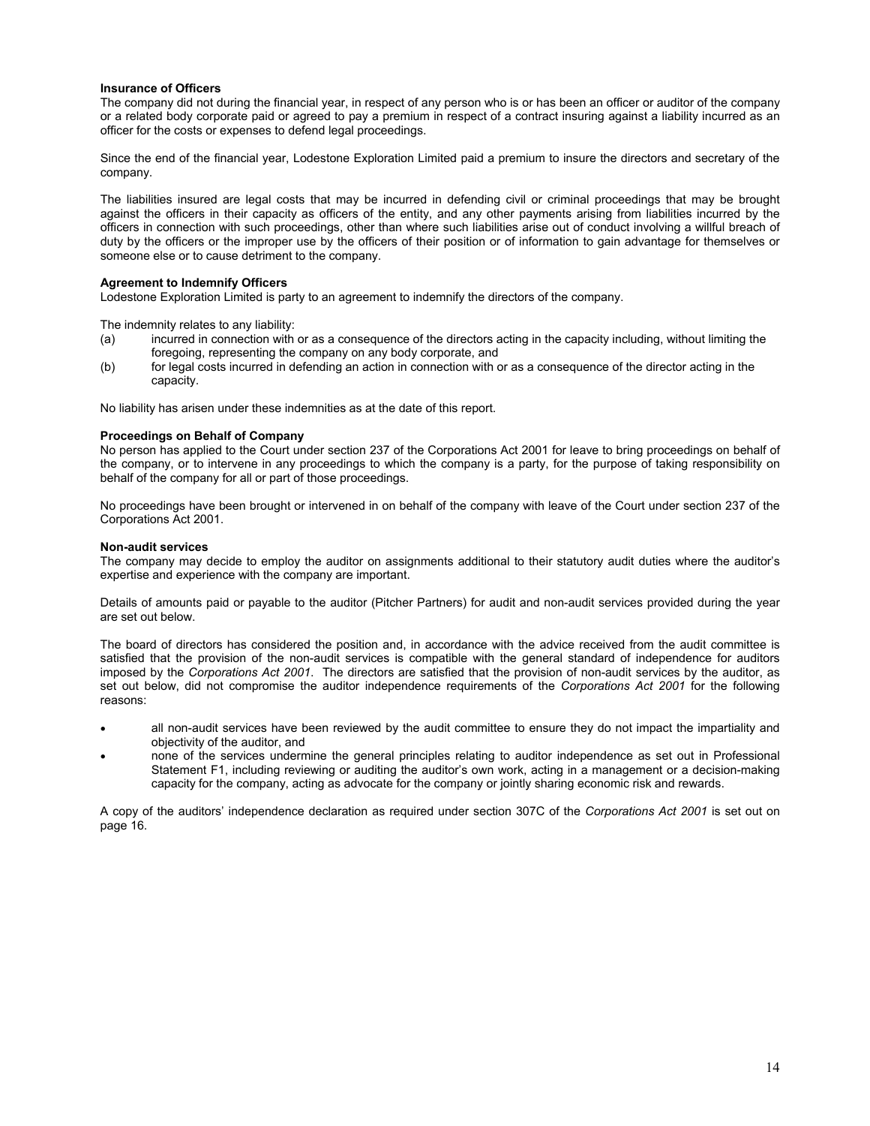#### **Insurance of Officers**

The company did not during the financial year, in respect of any person who is or has been an officer or auditor of the company or a related body corporate paid or agreed to pay a premium in respect of a contract insuring against a liability incurred as an officer for the costs or expenses to defend legal proceedings.

Since the end of the financial year, Lodestone Exploration Limited paid a premium to insure the directors and secretary of the company.

The liabilities insured are legal costs that may be incurred in defending civil or criminal proceedings that may be brought against the officers in their capacity as officers of the entity, and any other payments arising from liabilities incurred by the officers in connection with such proceedings, other than where such liabilities arise out of conduct involving a willful breach of duty by the officers or the improper use by the officers of their position or of information to gain advantage for themselves or someone else or to cause detriment to the company.

#### **Agreement to Indemnify Officers**

Lodestone Exploration Limited is party to an agreement to indemnify the directors of the company.

The indemnity relates to any liability:

- (a) incurred in connection with or as a consequence of the directors acting in the capacity including, without limiting the foregoing, representing the company on any body corporate, and
- (b) for legal costs incurred in defending an action in connection with or as a consequence of the director acting in the capacity.

No liability has arisen under these indemnities as at the date of this report.

#### **Proceedings on Behalf of Company**

No person has applied to the Court under section 237 of the Corporations Act 2001 for leave to bring proceedings on behalf of the company, or to intervene in any proceedings to which the company is a party, for the purpose of taking responsibility on behalf of the company for all or part of those proceedings.

No proceedings have been brought or intervened in on behalf of the company with leave of the Court under section 237 of the Corporations Act 2001.

#### **Non-audit services**

The company may decide to employ the auditor on assignments additional to their statutory audit duties where the auditor's expertise and experience with the company are important.

Details of amounts paid or payable to the auditor (Pitcher Partners) for audit and non-audit services provided during the year are set out below.

The board of directors has considered the position and, in accordance with the advice received from the audit committee is satisfied that the provision of the non-audit services is compatible with the general standard of independence for auditors imposed by the *Corporations Act 2001*. The directors are satisfied that the provision of non-audit services by the auditor, as set out below, did not compromise the auditor independence requirements of the *Corporations Act 2001* for the following reasons:

- all non-audit services have been reviewed by the audit committee to ensure they do not impact the impartiality and objectivity of the auditor, and
- none of the services undermine the general principles relating to auditor independence as set out in Professional Statement F1, including reviewing or auditing the auditor's own work, acting in a management or a decision-making capacity for the company, acting as advocate for the company or jointly sharing economic risk and rewards.

A copy of the auditors' independence declaration as required under section 307C of the *Corporations Act 2001* is set out on page 16.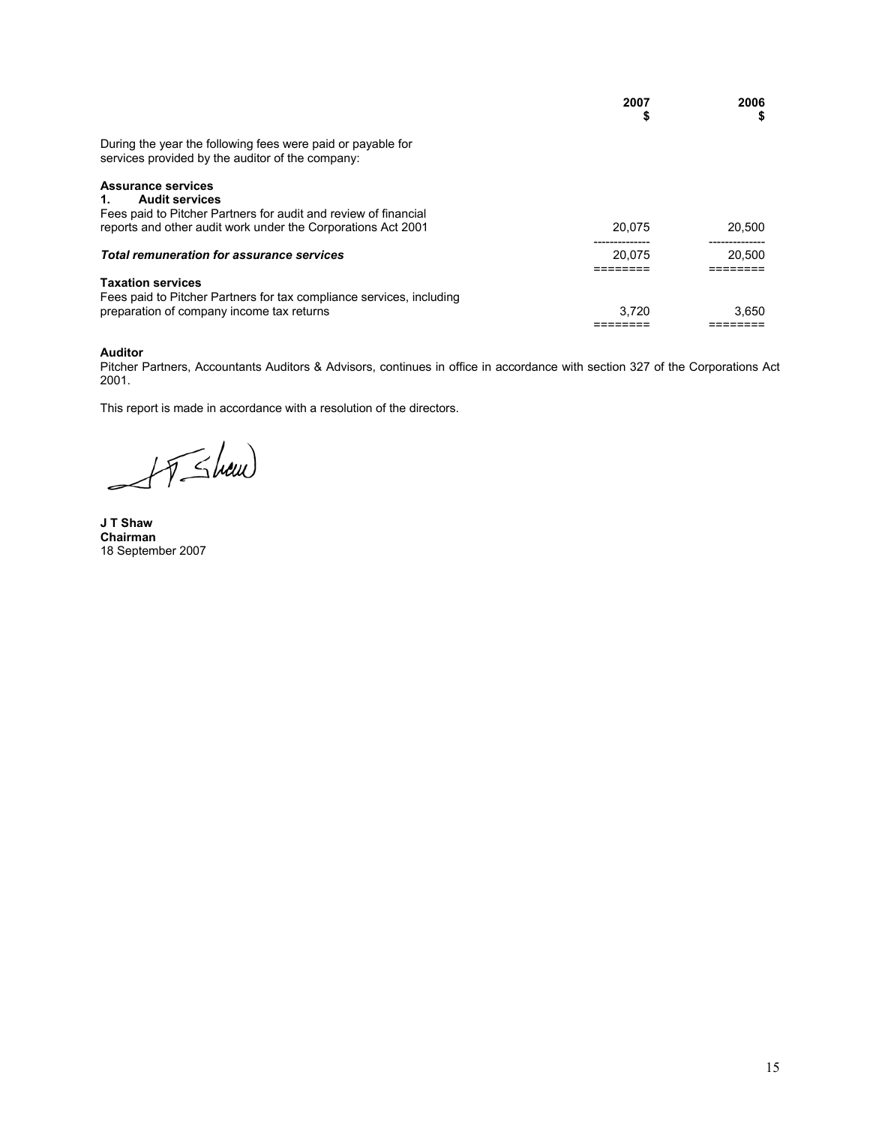|                                                                                                                             | 2007<br>\$ | 2006<br>5 |
|-----------------------------------------------------------------------------------------------------------------------------|------------|-----------|
| During the year the following fees were paid or payable for<br>services provided by the auditor of the company:             |            |           |
| <b>Assurance services</b><br><b>Audit services</b><br>1.<br>Fees paid to Pitcher Partners for audit and review of financial |            |           |
| reports and other audit work under the Corporations Act 2001                                                                | 20.075     | 20.500    |
| <b>Total remuneration for assurance services</b>                                                                            | 20.075     | 20.500    |
| <b>Taxation services</b>                                                                                                    |            |           |
| Fees paid to Pitcher Partners for tax compliance services, including<br>preparation of company income tax returns           | 3.720      | 3.650     |

#### **Auditor**

Pitcher Partners, Accountants Auditors & Advisors, continues in office in accordance with section 327 of the Corporations Act 2001.

This report is made in accordance with a resolution of the directors.

AT Shaw E

**J T Shaw Chairman**  18 September 2007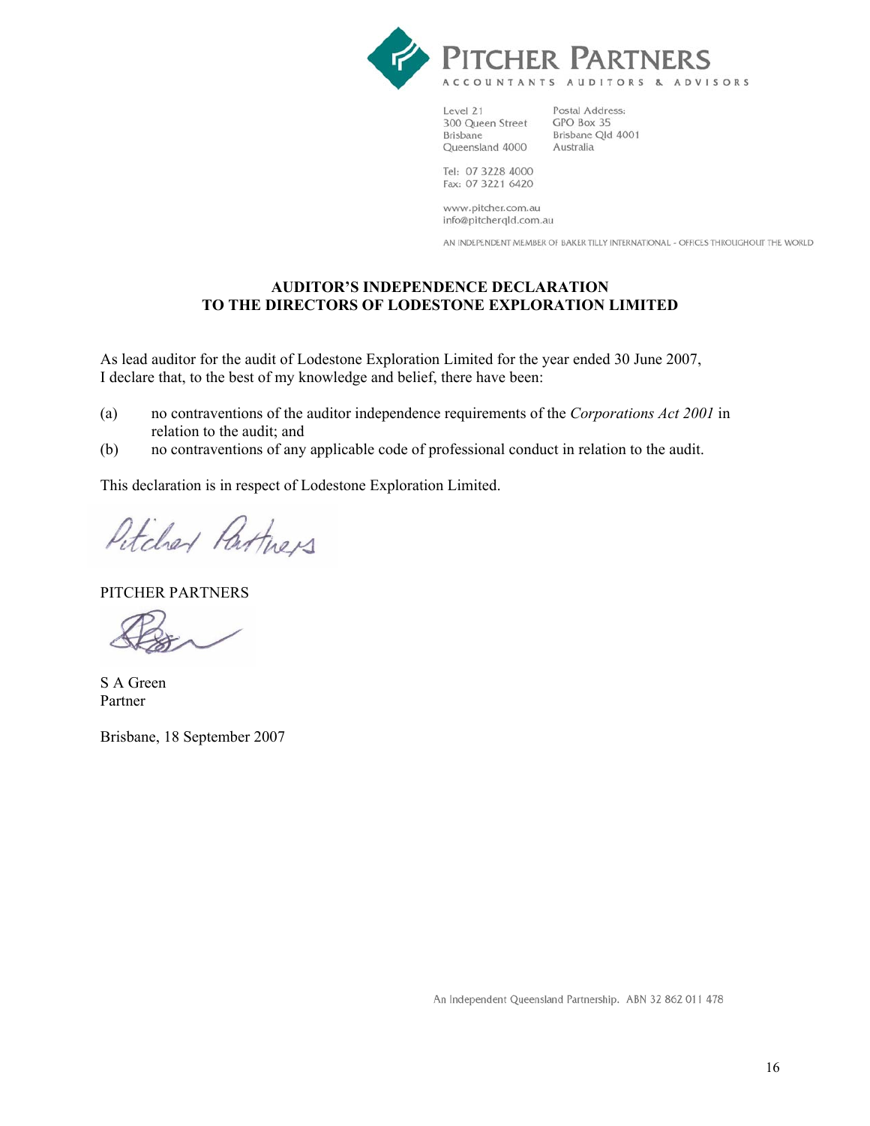

Level 21 300 Queen Street **Brisbane** Queensland 4000

Postal Address: GPO Box 35 Brisbane Qld 4001 Australia

Tel: 07 3228 4000 Fax: 07 3221 6420

www.pitcher.com.au info@pitcherqld.com.au

AN INDEPENDENT MEMBER OF BAKER TILLY INTERNATIONAL - OFFICES THROUGHOUT THE WORLD

## **AUDITOR'S INDEPENDENCE DECLARATION TO THE DIRECTORS OF LODESTONE EXPLORATION LIMITED**

As lead auditor for the audit of Lodestone Exploration Limited for the year ended 30 June 2007, I declare that, to the best of my knowledge and belief, there have been:

- (a) no contraventions of the auditor independence requirements of the *Corporations Act 2001* in relation to the audit; and
- (b) no contraventions of any applicable code of professional conduct in relation to the audit.

This declaration is in respect of Lodestone Exploration Limited.

Petcher Partiners

PITCHER PARTNERS

S A Green Partner

Brisbane, 18 September 2007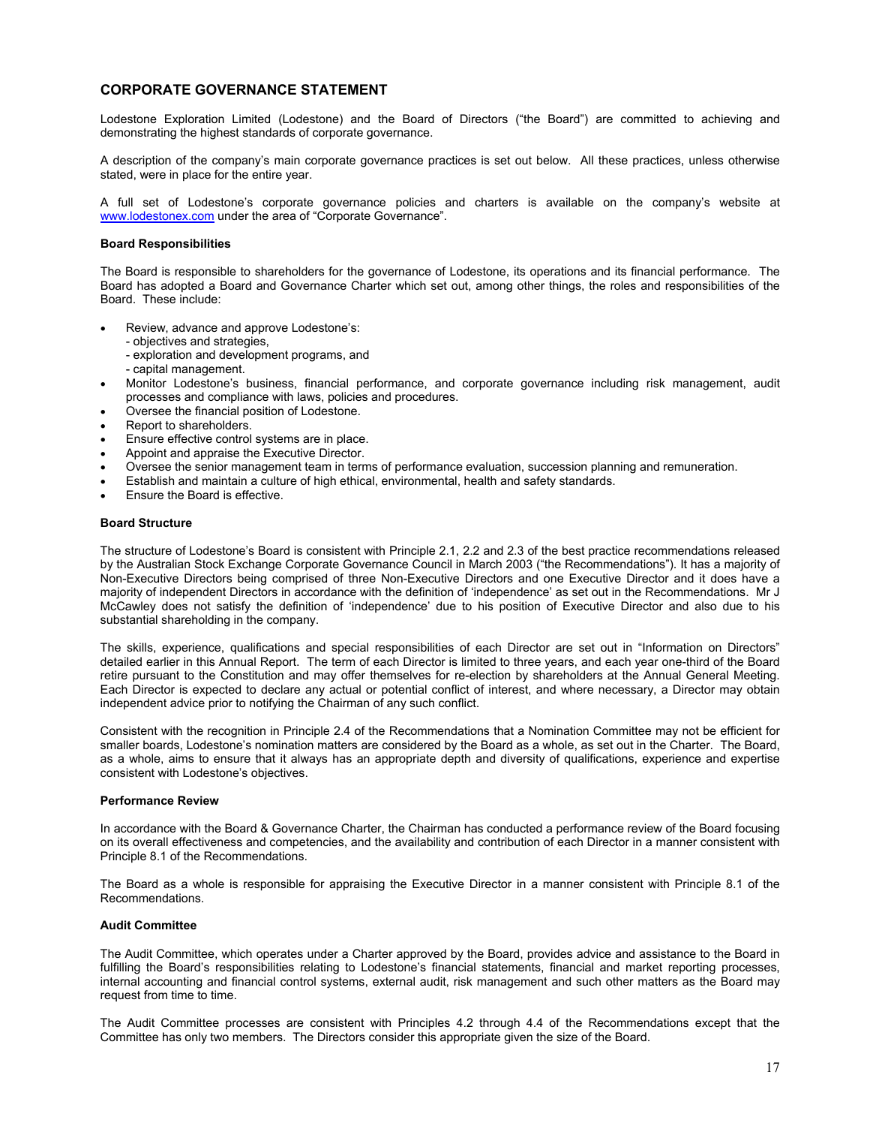## **CORPORATE GOVERNANCE STATEMENT**

Lodestone Exploration Limited (Lodestone) and the Board of Directors ("the Board") are committed to achieving and demonstrating the highest standards of corporate governance.

A description of the company's main corporate governance practices is set out below. All these practices, unless otherwise stated, were in place for the entire year.

A full set of Lodestone's corporate governance policies and charters is available on the company's website at www.lodestonex.com under the area of "Corporate Governance".

#### **Board Responsibilities**

The Board is responsible to shareholders for the governance of Lodestone, its operations and its financial performance. The Board has adopted a Board and Governance Charter which set out, among other things, the roles and responsibilities of the Board. These include:

- Review, advance and approve Lodestone's:
	- objectives and strategies,
	- exploration and development programs, and
	- capital management.
- Monitor Lodestone's business, financial performance, and corporate governance including risk management, audit processes and compliance with laws, policies and procedures.
- Oversee the financial position of Lodestone.
- Report to shareholders.
- Ensure effective control systems are in place.
- Appoint and appraise the Executive Director.
- Oversee the senior management team in terms of performance evaluation, succession planning and remuneration.
- Establish and maintain a culture of high ethical, environmental, health and safety standards.
- Ensure the Board is effective.

#### **Board Structure**

The structure of Lodestone's Board is consistent with Principle 2.1, 2.2 and 2.3 of the best practice recommendations released by the Australian Stock Exchange Corporate Governance Council in March 2003 ("the Recommendations"). It has a majority of Non-Executive Directors being comprised of three Non-Executive Directors and one Executive Director and it does have a majority of independent Directors in accordance with the definition of 'independence' as set out in the Recommendations. Mr J McCawley does not satisfy the definition of 'independence' due to his position of Executive Director and also due to his substantial shareholding in the company.

The skills, experience, qualifications and special responsibilities of each Director are set out in "Information on Directors" detailed earlier in this Annual Report. The term of each Director is limited to three years, and each year one-third of the Board retire pursuant to the Constitution and may offer themselves for re-election by shareholders at the Annual General Meeting. Each Director is expected to declare any actual or potential conflict of interest, and where necessary, a Director may obtain independent advice prior to notifying the Chairman of any such conflict.

Consistent with the recognition in Principle 2.4 of the Recommendations that a Nomination Committee may not be efficient for smaller boards, Lodestone's nomination matters are considered by the Board as a whole, as set out in the Charter. The Board, as a whole, aims to ensure that it always has an appropriate depth and diversity of qualifications, experience and expertise consistent with Lodestone's objectives.

#### **Performance Review**

In accordance with the Board & Governance Charter, the Chairman has conducted a performance review of the Board focusing on its overall effectiveness and competencies, and the availability and contribution of each Director in a manner consistent with Principle 8.1 of the Recommendations.

The Board as a whole is responsible for appraising the Executive Director in a manner consistent with Principle 8.1 of the Recommendations.

#### **Audit Committee**

The Audit Committee, which operates under a Charter approved by the Board, provides advice and assistance to the Board in fulfilling the Board's responsibilities relating to Lodestone's financial statements, financial and market reporting processes, internal accounting and financial control systems, external audit, risk management and such other matters as the Board may request from time to time.

The Audit Committee processes are consistent with Principles 4.2 through 4.4 of the Recommendations except that the Committee has only two members. The Directors consider this appropriate given the size of the Board.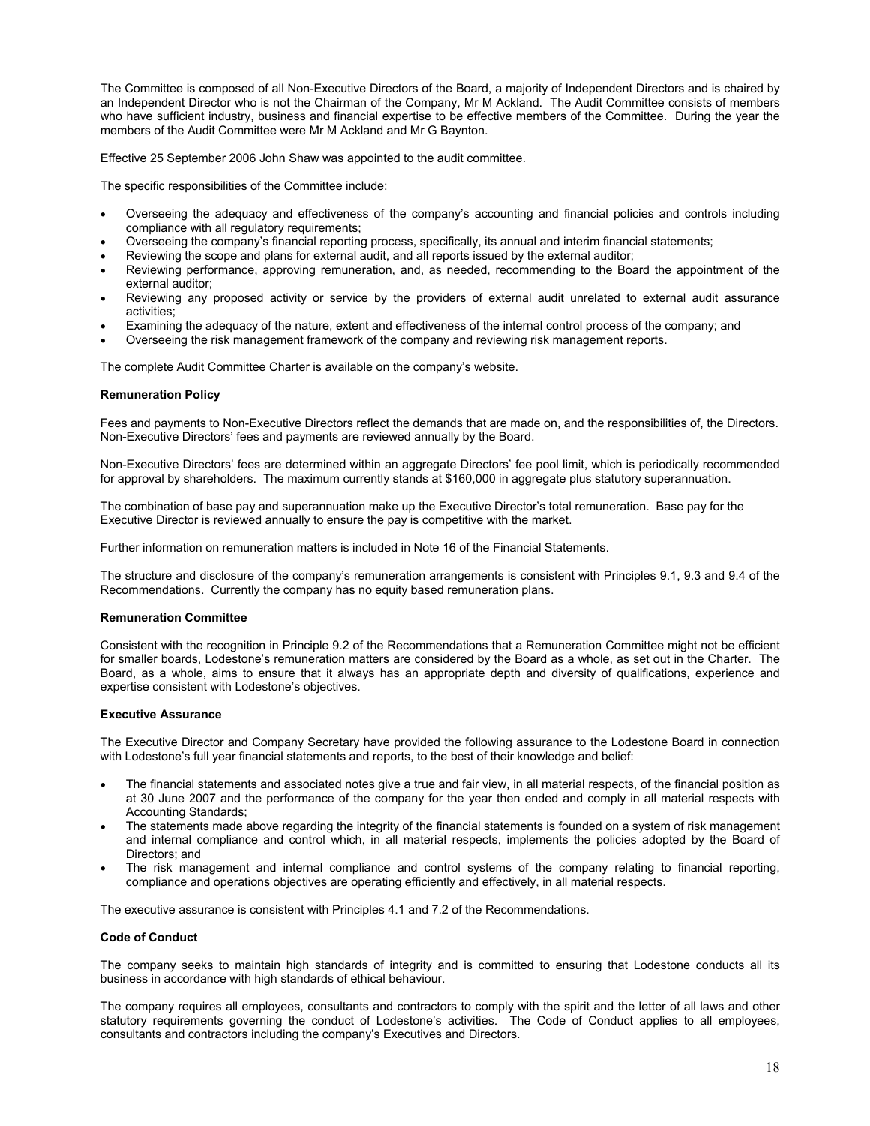The Committee is composed of all Non-Executive Directors of the Board, a majority of Independent Directors and is chaired by an Independent Director who is not the Chairman of the Company, Mr M Ackland. The Audit Committee consists of members who have sufficient industry, business and financial expertise to be effective members of the Committee. During the year the members of the Audit Committee were Mr M Ackland and Mr G Baynton.

Effective 25 September 2006 John Shaw was appointed to the audit committee.

The specific responsibilities of the Committee include:

- Overseeing the adequacy and effectiveness of the company's accounting and financial policies and controls including compliance with all regulatory requirements;
- Overseeing the company's financial reporting process, specifically, its annual and interim financial statements;
- Reviewing the scope and plans for external audit, and all reports issued by the external auditor;
- Reviewing performance, approving remuneration, and, as needed, recommending to the Board the appointment of the external auditor;
- Reviewing any proposed activity or service by the providers of external audit unrelated to external audit assurance activities;
- Examining the adequacy of the nature, extent and effectiveness of the internal control process of the company; and
- Overseeing the risk management framework of the company and reviewing risk management reports.

The complete Audit Committee Charter is available on the company's website.

#### **Remuneration Policy**

Fees and payments to Non-Executive Directors reflect the demands that are made on, and the responsibilities of, the Directors. Non-Executive Directors' fees and payments are reviewed annually by the Board.

Non-Executive Directors' fees are determined within an aggregate Directors' fee pool limit, which is periodically recommended for approval by shareholders. The maximum currently stands at \$160,000 in aggregate plus statutory superannuation.

The combination of base pay and superannuation make up the Executive Director's total remuneration. Base pay for the Executive Director is reviewed annually to ensure the pay is competitive with the market.

Further information on remuneration matters is included in Note 16 of the Financial Statements.

The structure and disclosure of the company's remuneration arrangements is consistent with Principles 9.1, 9.3 and 9.4 of the Recommendations. Currently the company has no equity based remuneration plans.

#### **Remuneration Committee**

Consistent with the recognition in Principle 9.2 of the Recommendations that a Remuneration Committee might not be efficient for smaller boards, Lodestone's remuneration matters are considered by the Board as a whole, as set out in the Charter. The Board, as a whole, aims to ensure that it always has an appropriate depth and diversity of qualifications, experience and expertise consistent with Lodestone's objectives.

#### **Executive Assurance**

The Executive Director and Company Secretary have provided the following assurance to the Lodestone Board in connection with Lodestone's full year financial statements and reports, to the best of their knowledge and belief:

- The financial statements and associated notes give a true and fair view, in all material respects, of the financial position as at 30 June 2007 and the performance of the company for the year then ended and comply in all material respects with Accounting Standards;
- The statements made above regarding the integrity of the financial statements is founded on a system of risk management and internal compliance and control which, in all material respects, implements the policies adopted by the Board of Directors; and
- The risk management and internal compliance and control systems of the company relating to financial reporting, compliance and operations objectives are operating efficiently and effectively, in all material respects.

The executive assurance is consistent with Principles 4.1 and 7.2 of the Recommendations.

## **Code of Conduct**

The company seeks to maintain high standards of integrity and is committed to ensuring that Lodestone conducts all its business in accordance with high standards of ethical behaviour.

The company requires all employees, consultants and contractors to comply with the spirit and the letter of all laws and other statutory requirements governing the conduct of Lodestone's activities. The Code of Conduct applies to all employees, consultants and contractors including the company's Executives and Directors.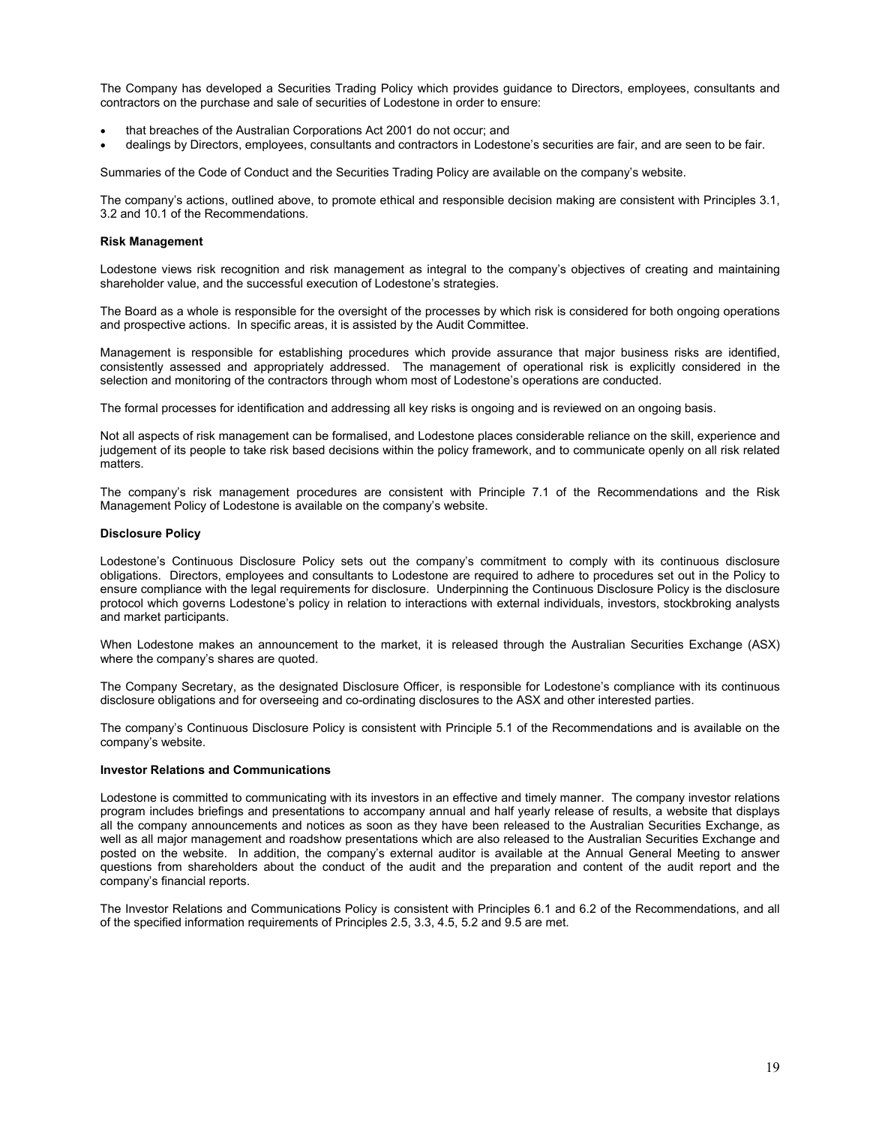The Company has developed a Securities Trading Policy which provides guidance to Directors, employees, consultants and contractors on the purchase and sale of securities of Lodestone in order to ensure:

- that breaches of the Australian Corporations Act 2001 do not occur; and
- dealings by Directors, employees, consultants and contractors in Lodestone's securities are fair, and are seen to be fair.

Summaries of the Code of Conduct and the Securities Trading Policy are available on the company's website.

The company's actions, outlined above, to promote ethical and responsible decision making are consistent with Principles 3.1, 3.2 and 10.1 of the Recommendations.

#### **Risk Management**

Lodestone views risk recognition and risk management as integral to the company's objectives of creating and maintaining shareholder value, and the successful execution of Lodestone's strategies.

The Board as a whole is responsible for the oversight of the processes by which risk is considered for both ongoing operations and prospective actions. In specific areas, it is assisted by the Audit Committee.

Management is responsible for establishing procedures which provide assurance that major business risks are identified, consistently assessed and appropriately addressed. The management of operational risk is explicitly considered in the selection and monitoring of the contractors through whom most of Lodestone's operations are conducted.

The formal processes for identification and addressing all key risks is ongoing and is reviewed on an ongoing basis.

Not all aspects of risk management can be formalised, and Lodestone places considerable reliance on the skill, experience and judgement of its people to take risk based decisions within the policy framework, and to communicate openly on all risk related matters.

The company's risk management procedures are consistent with Principle 7.1 of the Recommendations and the Risk Management Policy of Lodestone is available on the company's website.

#### **Disclosure Policy**

Lodestone's Continuous Disclosure Policy sets out the company's commitment to comply with its continuous disclosure obligations. Directors, employees and consultants to Lodestone are required to adhere to procedures set out in the Policy to ensure compliance with the legal requirements for disclosure. Underpinning the Continuous Disclosure Policy is the disclosure protocol which governs Lodestone's policy in relation to interactions with external individuals, investors, stockbroking analysts and market participants.

When Lodestone makes an announcement to the market, it is released through the Australian Securities Exchange (ASX) where the company's shares are quoted.

The Company Secretary, as the designated Disclosure Officer, is responsible for Lodestone's compliance with its continuous disclosure obligations and for overseeing and co-ordinating disclosures to the ASX and other interested parties.

The company's Continuous Disclosure Policy is consistent with Principle 5.1 of the Recommendations and is available on the company's website.

#### **Investor Relations and Communications**

Lodestone is committed to communicating with its investors in an effective and timely manner. The company investor relations program includes briefings and presentations to accompany annual and half yearly release of results, a website that displays all the company announcements and notices as soon as they have been released to the Australian Securities Exchange, as well as all major management and roadshow presentations which are also released to the Australian Securities Exchange and posted on the website. In addition, the company's external auditor is available at the Annual General Meeting to answer questions from shareholders about the conduct of the audit and the preparation and content of the audit report and the company's financial reports.

The Investor Relations and Communications Policy is consistent with Principles 6.1 and 6.2 of the Recommendations, and all of the specified information requirements of Principles 2.5, 3.3, 4.5, 5.2 and 9.5 are met.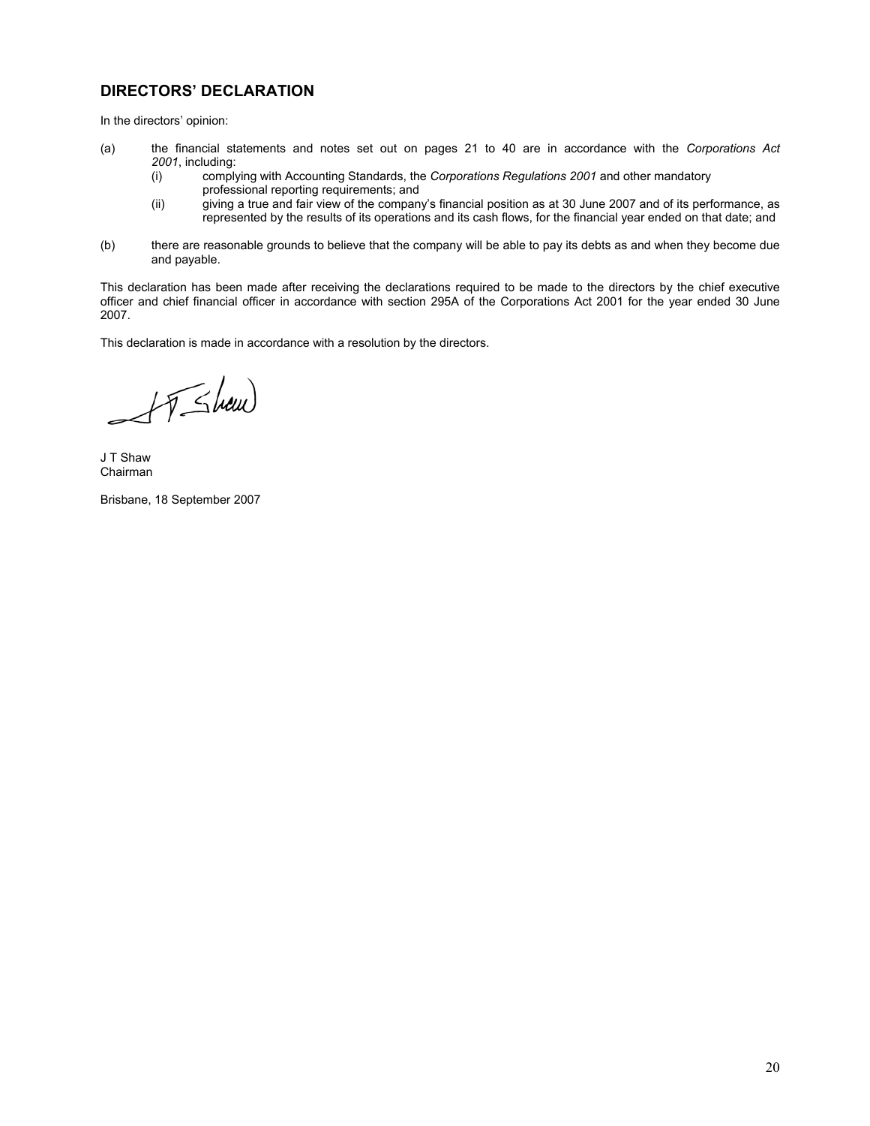## **DIRECTORS' DECLARATION**

In the directors' opinion:

- (a) the financial statements and notes set out on pages 21 to 40 are in accordance with the *Corporations Act 2001*, including:
	- (i) complying with Accounting Standards, the *Corporations Regulations 2001* and other mandatory professional reporting requirements; and<br>(ii) giving a true and fair view of the compan
	- .<br>giving a true and fair view of the company's financial position as at 30 June 2007 and of its performance, as represented by the results of its operations and its cash flows, for the financial year ended on that date; and
- (b) there are reasonable grounds to believe that the company will be able to pay its debts as and when they become due and payable.

This declaration has been made after receiving the declarations required to be made to the directors by the chief executive officer and chief financial officer in accordance with section 295A of the Corporations Act 2001 for the year ended 30 June 2007.

This declaration is made in accordance with a resolution by the directors.

 $H\leq hew$ 

J T Shaw Chairman

Brisbane, 18 September 2007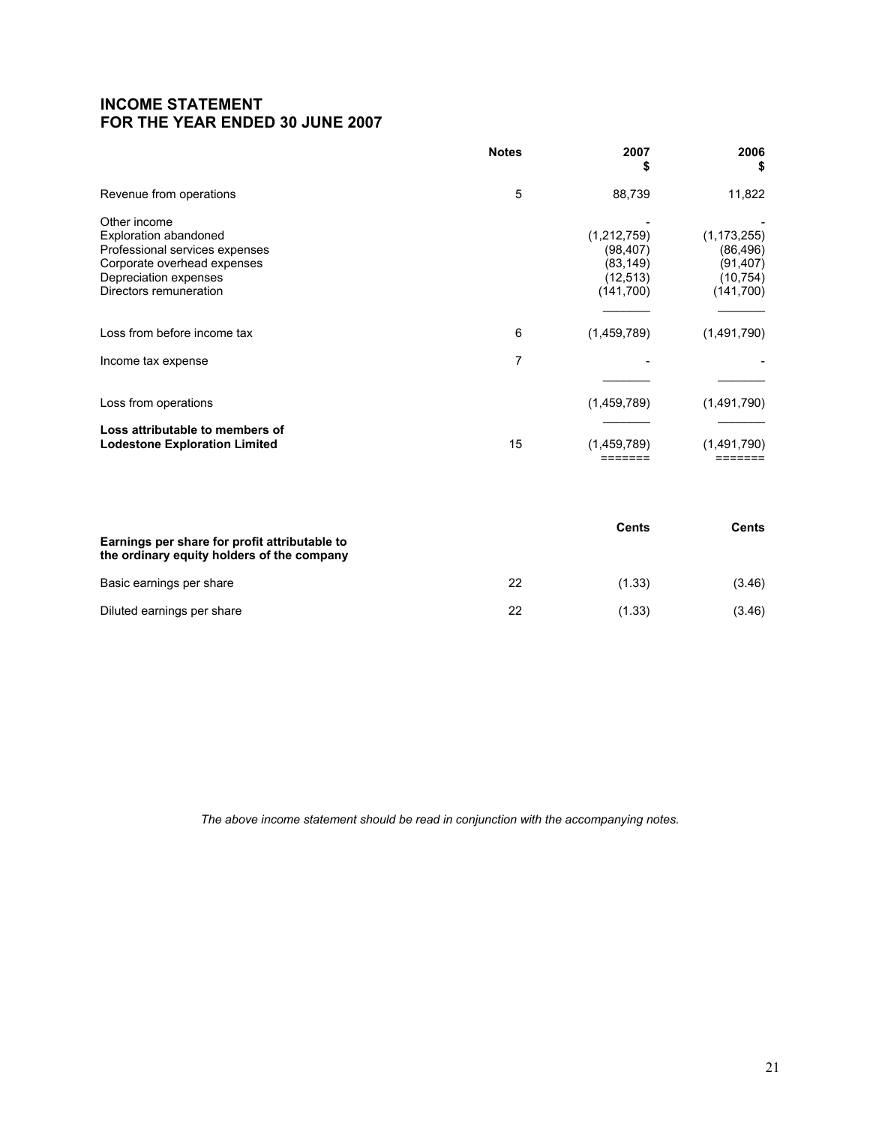## **INCOME STATEMENT FOR THE YEAR ENDED 30 JUNE 2007**

|                                                                                                                                                           | <b>Notes</b> | 2007<br>\$                                                      | 2006<br>\$                                                       |
|-----------------------------------------------------------------------------------------------------------------------------------------------------------|--------------|-----------------------------------------------------------------|------------------------------------------------------------------|
| Revenue from operations                                                                                                                                   | 5            | 88,739                                                          | 11,822                                                           |
| Other income<br>Exploration abandoned<br>Professional services expenses<br>Corporate overhead expenses<br>Depreciation expenses<br>Directors remuneration |              | (1,212,759)<br>(98, 407)<br>(83, 149)<br>(12, 513)<br>(141,700) | (1, 173, 255)<br>(86, 496)<br>(91,407)<br>(10, 754)<br>(141,700) |
| Loss from before income tax                                                                                                                               | 6            | (1,459,789)                                                     | (1,491,790)                                                      |
| Income tax expense                                                                                                                                        | 7            |                                                                 |                                                                  |
| Loss from operations                                                                                                                                      |              | (1,459,789)                                                     | (1,491,790)                                                      |
| Loss attributable to members of<br><b>Lodestone Exploration Limited</b>                                                                                   | 15           | (1,459,789)                                                     | (1,491,790)                                                      |

| Earnings per share for profit attributable to<br>the ordinary equity holders of the company |    | Cents  | Cents  |
|---------------------------------------------------------------------------------------------|----|--------|--------|
| Basic earnings per share                                                                    | 22 | (1.33) | (3.46) |
| Diluted earnings per share                                                                  | 22 | (1.33) | (3.46) |

*The above income statement should be read in conjunction with the accompanying notes.*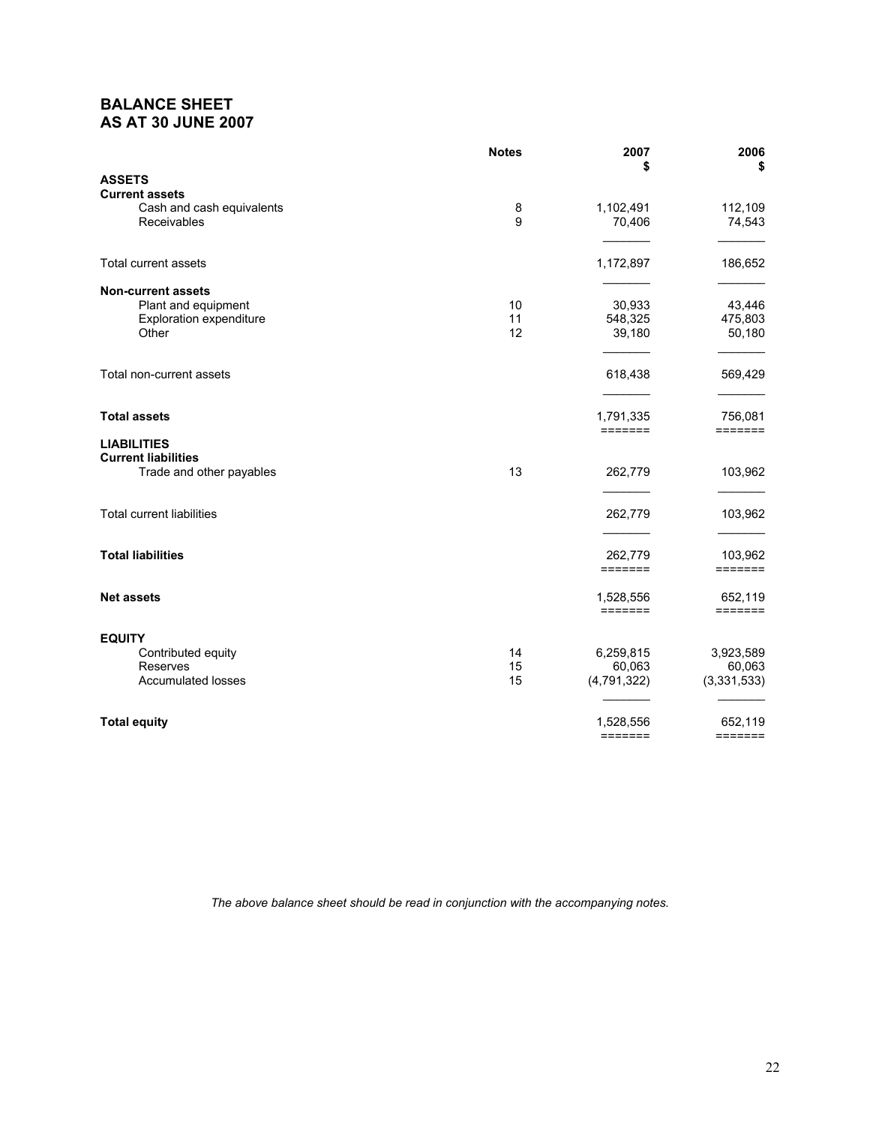## **BALANCE SHEET AS AT 30 JUNE 2007**

|                                                    | <b>Notes</b> | 2007<br>\$                           | 2006<br>\$                 |
|----------------------------------------------------|--------------|--------------------------------------|----------------------------|
| <b>ASSETS</b>                                      |              |                                      |                            |
| <b>Current assets</b><br>Cash and cash equivalents | 8            | 1,102,491                            | 112,109                    |
| Receivables                                        | 9            | 70,406                               | 74,543                     |
| <b>Total current assets</b>                        |              | 1,172,897                            | 186,652                    |
|                                                    |              |                                      |                            |
| <b>Non-current assets</b><br>Plant and equipment   | 10           | 30,933                               | 43,446                     |
| <b>Exploration expenditure</b>                     | 11           | 548,325                              | 475,803                    |
| Other                                              | 12           | 39,180                               | 50,180                     |
| Total non-current assets                           |              | 618,438                              | 569,429                    |
|                                                    |              |                                      |                            |
| <b>Total assets</b>                                |              | 1,791,335<br>$=$ $=$ $=$ $=$ $=$ $=$ | 756,081<br>=======         |
| <b>LIABILITIES</b>                                 |              |                                      |                            |
| <b>Current liabilities</b>                         |              |                                      |                            |
| Trade and other payables                           | 13           | 262,779                              | 103,962                    |
| <b>Total current liabilities</b>                   |              | 262,779                              | 103,962                    |
|                                                    |              |                                      |                            |
| <b>Total liabilities</b>                           |              | 262,779                              | 103,962                    |
|                                                    |              | =======                              | =======                    |
| <b>Net assets</b>                                  |              | 1,528,556<br>$=$ = = = = = =         | 652,119<br>$=$ = = = = = = |
|                                                    |              |                                      |                            |
| <b>EQUITY</b><br>Contributed equity                | 14           | 6,259,815                            | 3,923,589                  |
| Reserves                                           | 15           | 60,063                               | 60,063                     |
| <b>Accumulated losses</b>                          | 15           | (4, 791, 322)                        | (3,331,533)                |
| <b>Total equity</b>                                |              | 1,528,556                            | 652,119                    |
|                                                    |              | $=$ $=$ $=$ $=$ $=$ $=$ $=$          | $=$ $=$ $=$ $=$ $=$ $=$    |

*The above balance sheet should be read in conjunction with the accompanying notes.*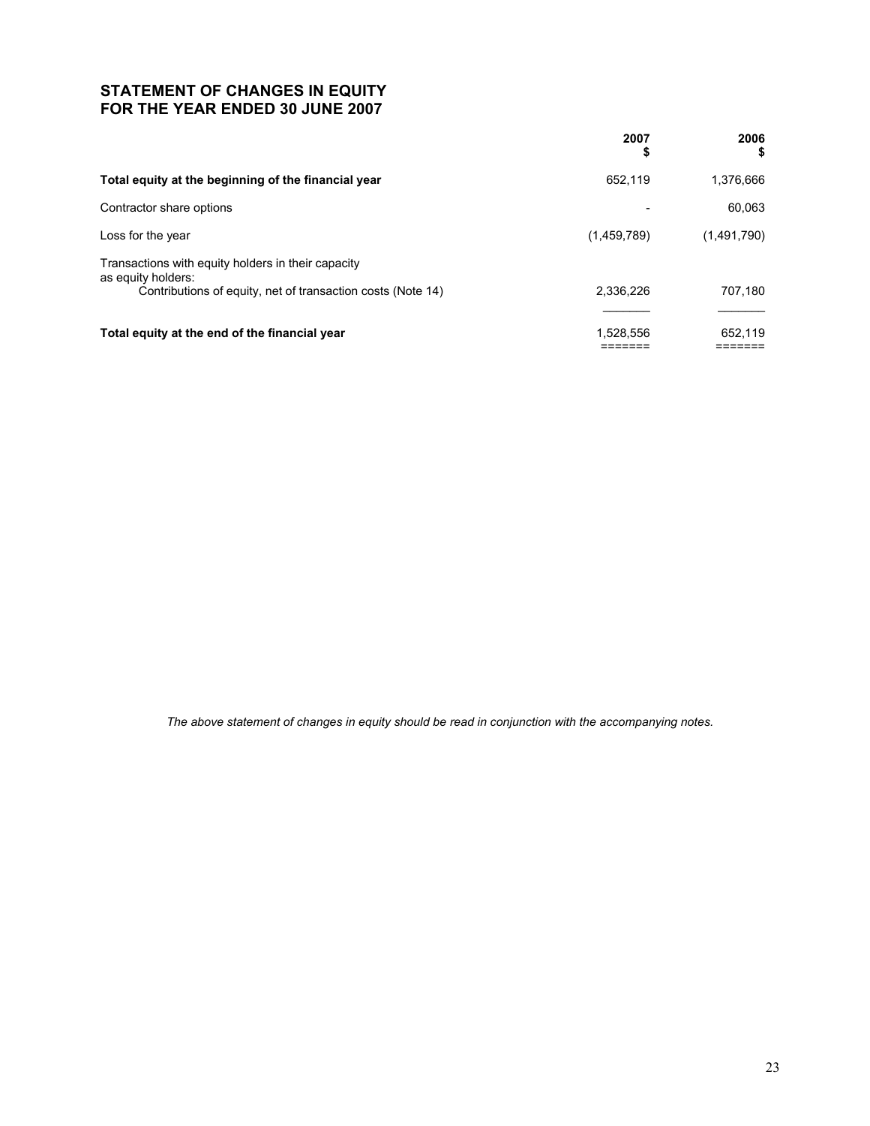# **STATEMENT OF CHANGES IN EQUITY FOR THE YEAR ENDED 30 JUNE 2007**

| 2007<br>\$  | 2006<br>\$  |
|-------------|-------------|
| 652.119     | 1,376,666   |
|             | 60,063      |
| (1,459,789) | (1,491,790) |
|             |             |
| 2.336.226   | 707,180     |
| 1,528,556   | 652,119     |
|             |             |

*The above statement of changes in equity should be read in conjunction with the accompanying notes.*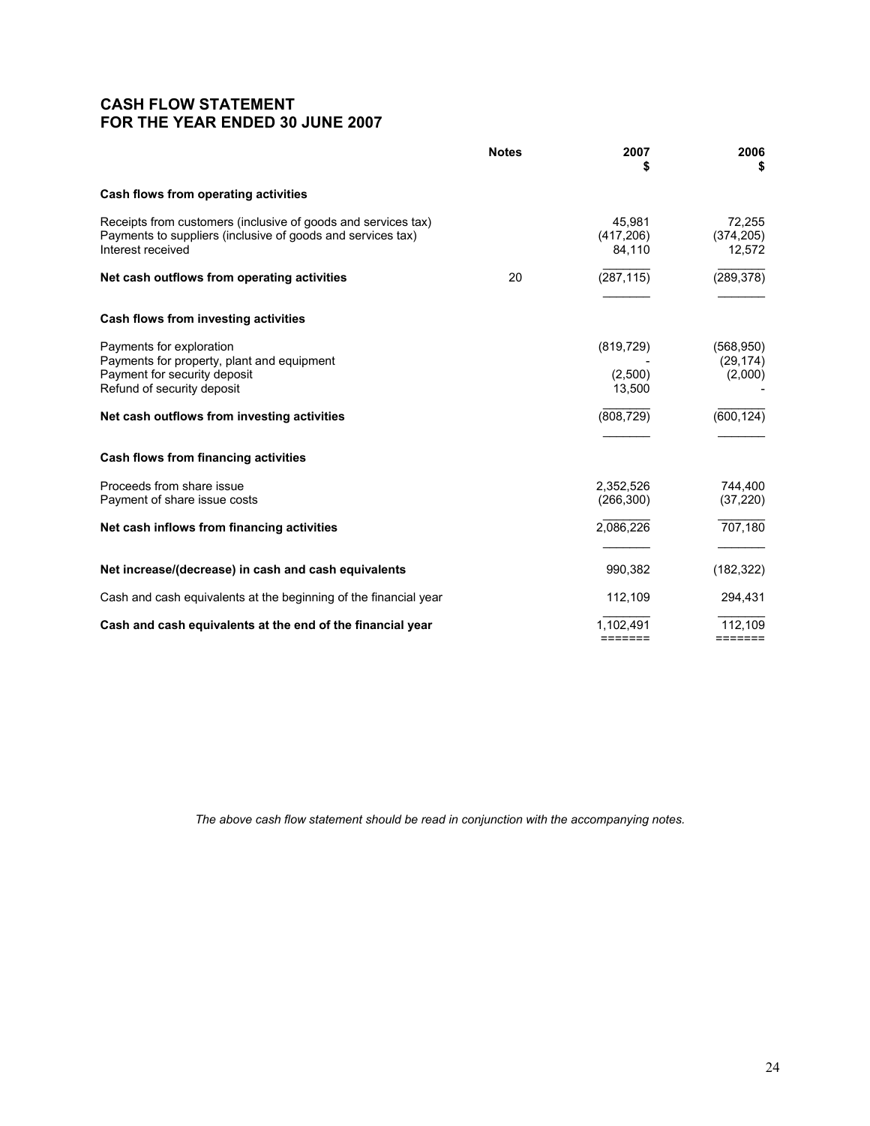## **CASH FLOW STATEMENT FOR THE YEAR ENDED 30 JUNE 2007**

|                                                                                                                                                   | <b>Notes</b> | 2007<br>S                       | 2006<br>S                              |
|---------------------------------------------------------------------------------------------------------------------------------------------------|--------------|---------------------------------|----------------------------------------|
| Cash flows from operating activities                                                                                                              |              |                                 |                                        |
| Receipts from customers (inclusive of goods and services tax)<br>Payments to suppliers (inclusive of goods and services tax)<br>Interest received |              | 45,981<br>(417, 206)<br>84,110  | 72,255<br>(374, 205)<br>12,572         |
| Net cash outflows from operating activities                                                                                                       | 20           | (287, 115)                      | (289, 378)                             |
| Cash flows from investing activities                                                                                                              |              |                                 |                                        |
| Payments for exploration<br>Payments for property, plant and equipment<br>Payment for security deposit<br>Refund of security deposit              |              | (819, 729)<br>(2,500)<br>13,500 | (568, 950)<br>(29, 174)<br>(2,000)     |
| Net cash outflows from investing activities                                                                                                       |              | (808, 729)                      | (600, 124)                             |
| Cash flows from financing activities                                                                                                              |              |                                 |                                        |
| Proceeds from share issue<br>Payment of share issue costs                                                                                         |              | 2,352,526<br>(266, 300)         | 744,400<br>(37, 220)                   |
| Net cash inflows from financing activities                                                                                                        |              | 2,086,226                       | 707,180                                |
| Net increase/(decrease) in cash and cash equivalents                                                                                              |              | 990,382                         | (182, 322)                             |
| Cash and cash equivalents at the beginning of the financial year                                                                                  |              | 112,109                         | 294,431                                |
| Cash and cash equivalents at the end of the financial year                                                                                        |              | 1,102,491<br>=======            | 112,109<br>$=$ $=$ $=$ $=$ $=$ $=$ $=$ |

*The above cash flow statement should be read in conjunction with the accompanying notes.*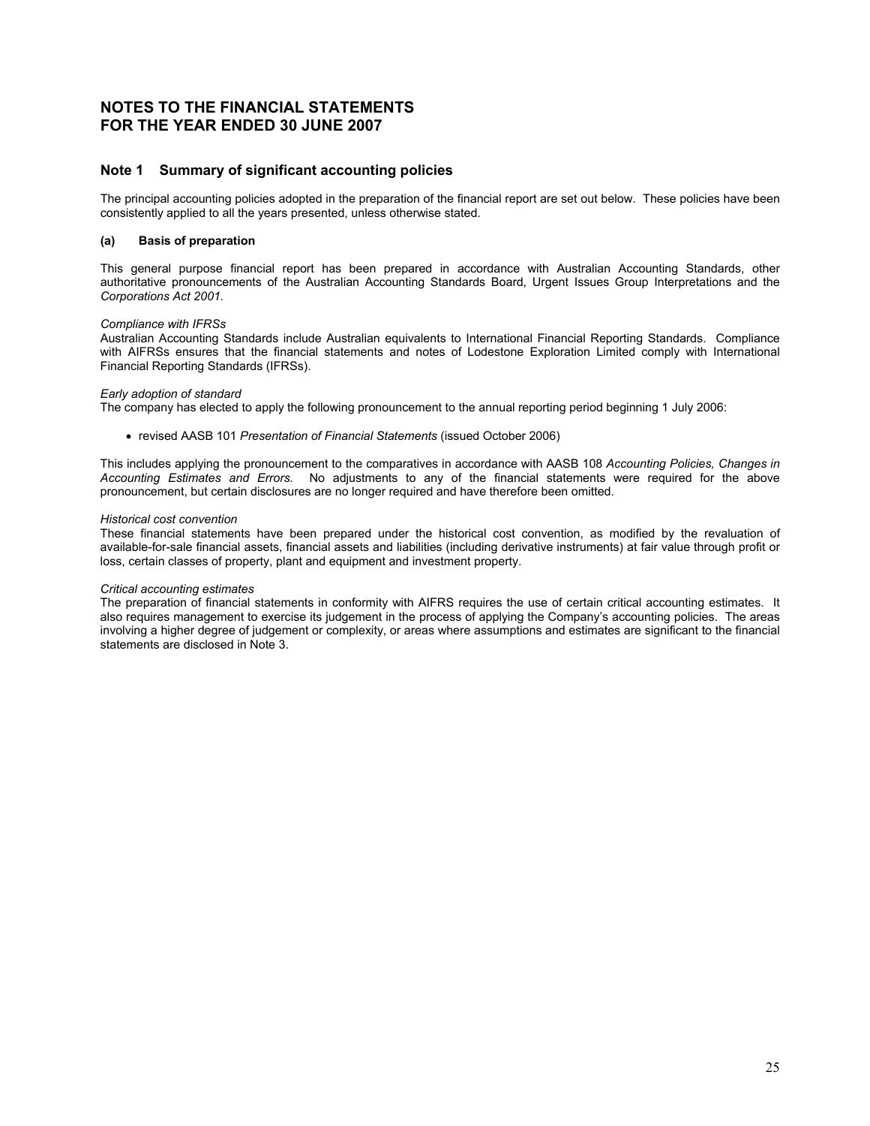## **NOTES TO THE FINANCIAL STATEMENTS FOR THE YEAR ENDED 30 JUNE 2007**

## **Note 1 Summary of significant accounting policies**

The principal accounting policies adopted in the preparation of the financial report are set out below. These policies have been consistently applied to all the years presented, unless otherwise stated.

#### **(a) Basis of preparation**

This general purpose financial report has been prepared in accordance with Australian Accounting Standards, other authoritative pronouncements of the Australian Accounting Standards Board, Urgent Issues Group Interpretations and the *Corporations Act 2001.*

#### *Compliance with IFRSs*

Australian Accounting Standards include Australian equivalents to International Financial Reporting Standards. Compliance with AIFRSs ensures that the financial statements and notes of Lodestone Exploration Limited comply with International Financial Reporting Standards (IFRSs).

#### *Early adoption of standard*

The company has elected to apply the following pronouncement to the annual reporting period beginning 1 July 2006:

• revised AASB 101 *Presentation of Financial Statements* (issued October 2006)

This includes applying the pronouncement to the comparatives in accordance with AASB 108 *Accounting Policies, Changes in Accounting Estimates and Errors.* No adjustments to any of the financial statements were required for the above pronouncement, but certain disclosures are no longer required and have therefore been omitted.

#### *Historical cost convention*

These financial statements have been prepared under the historical cost convention, as modified by the revaluation of available-for-sale financial assets, financial assets and liabilities (including derivative instruments) at fair value through profit or loss, certain classes of property, plant and equipment and investment property.

#### *Critical accounting estimates*

The preparation of financial statements in conformity with AIFRS requires the use of certain critical accounting estimates. It also requires management to exercise its judgement in the process of applying the Company's accounting policies. The areas involving a higher degree of judgement or complexity, or areas where assumptions and estimates are significant to the financial statements are disclosed in Note 3.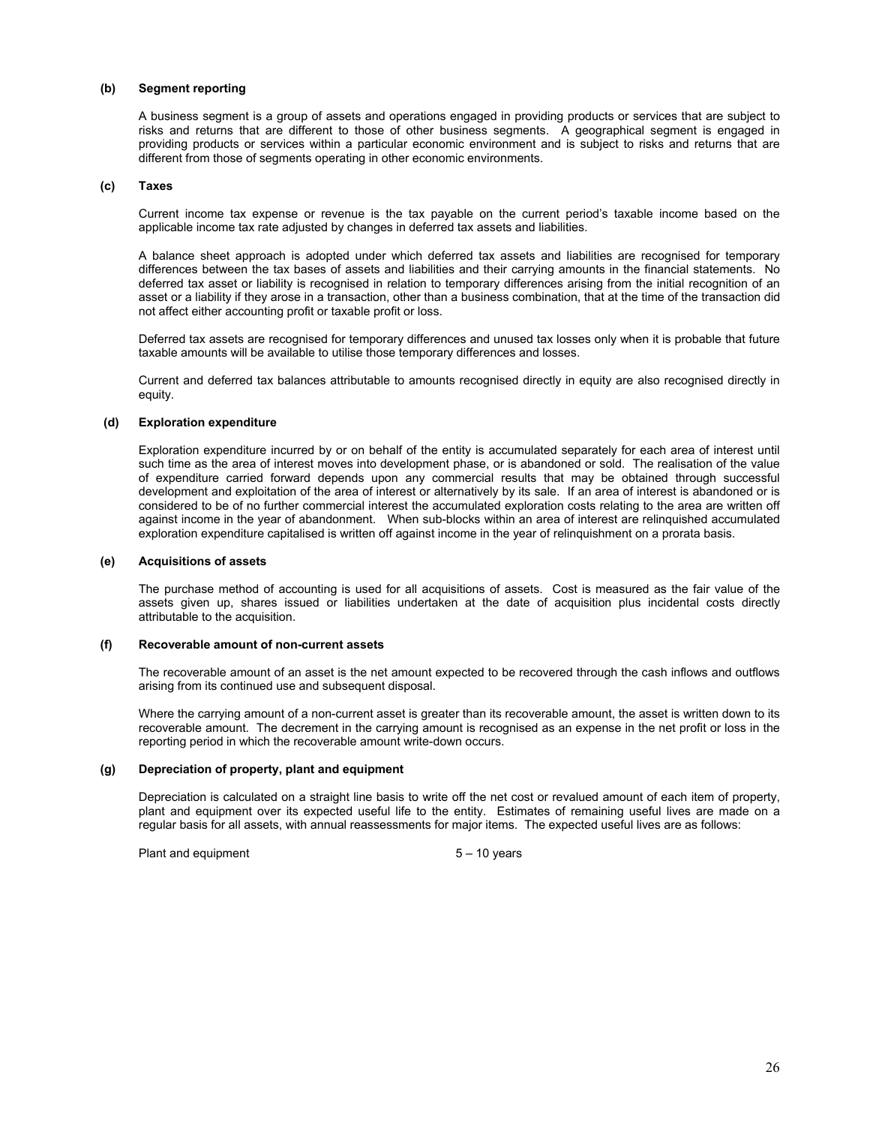#### **(b) Segment reporting**

A business segment is a group of assets and operations engaged in providing products or services that are subject to risks and returns that are different to those of other business segments. A geographical segment is engaged in providing products or services within a particular economic environment and is subject to risks and returns that are different from those of segments operating in other economic environments.

#### **(c) Taxes**

Current income tax expense or revenue is the tax payable on the current period's taxable income based on the applicable income tax rate adjusted by changes in deferred tax assets and liabilities.

A balance sheet approach is adopted under which deferred tax assets and liabilities are recognised for temporary differences between the tax bases of assets and liabilities and their carrying amounts in the financial statements. No deferred tax asset or liability is recognised in relation to temporary differences arising from the initial recognition of an asset or a liability if they arose in a transaction, other than a business combination, that at the time of the transaction did not affect either accounting profit or taxable profit or loss.

Deferred tax assets are recognised for temporary differences and unused tax losses only when it is probable that future taxable amounts will be available to utilise those temporary differences and losses.

Current and deferred tax balances attributable to amounts recognised directly in equity are also recognised directly in equity.

#### **(d) Exploration expenditure**

Exploration expenditure incurred by or on behalf of the entity is accumulated separately for each area of interest until such time as the area of interest moves into development phase, or is abandoned or sold. The realisation of the value of expenditure carried forward depends upon any commercial results that may be obtained through successful development and exploitation of the area of interest or alternatively by its sale. If an area of interest is abandoned or is considered to be of no further commercial interest the accumulated exploration costs relating to the area are written off against income in the year of abandonment. When sub-blocks within an area of interest are relinquished accumulated exploration expenditure capitalised is written off against income in the year of relinquishment on a prorata basis.

#### **(e) Acquisitions of assets**

The purchase method of accounting is used for all acquisitions of assets. Cost is measured as the fair value of the assets given up, shares issued or liabilities undertaken at the date of acquisition plus incidental costs directly attributable to the acquisition.

#### **(f) Recoverable amount of non-current assets**

The recoverable amount of an asset is the net amount expected to be recovered through the cash inflows and outflows arising from its continued use and subsequent disposal.

Where the carrying amount of a non-current asset is greater than its recoverable amount, the asset is written down to its recoverable amount. The decrement in the carrying amount is recognised as an expense in the net profit or loss in the reporting period in which the recoverable amount write-down occurs.

#### **(g) Depreciation of property, plant and equipment**

Depreciation is calculated on a straight line basis to write off the net cost or revalued amount of each item of property, plant and equipment over its expected useful life to the entity. Estimates of remaining useful lives are made on a regular basis for all assets, with annual reassessments for major items. The expected useful lives are as follows:

Plant and equipment 5 – 10 years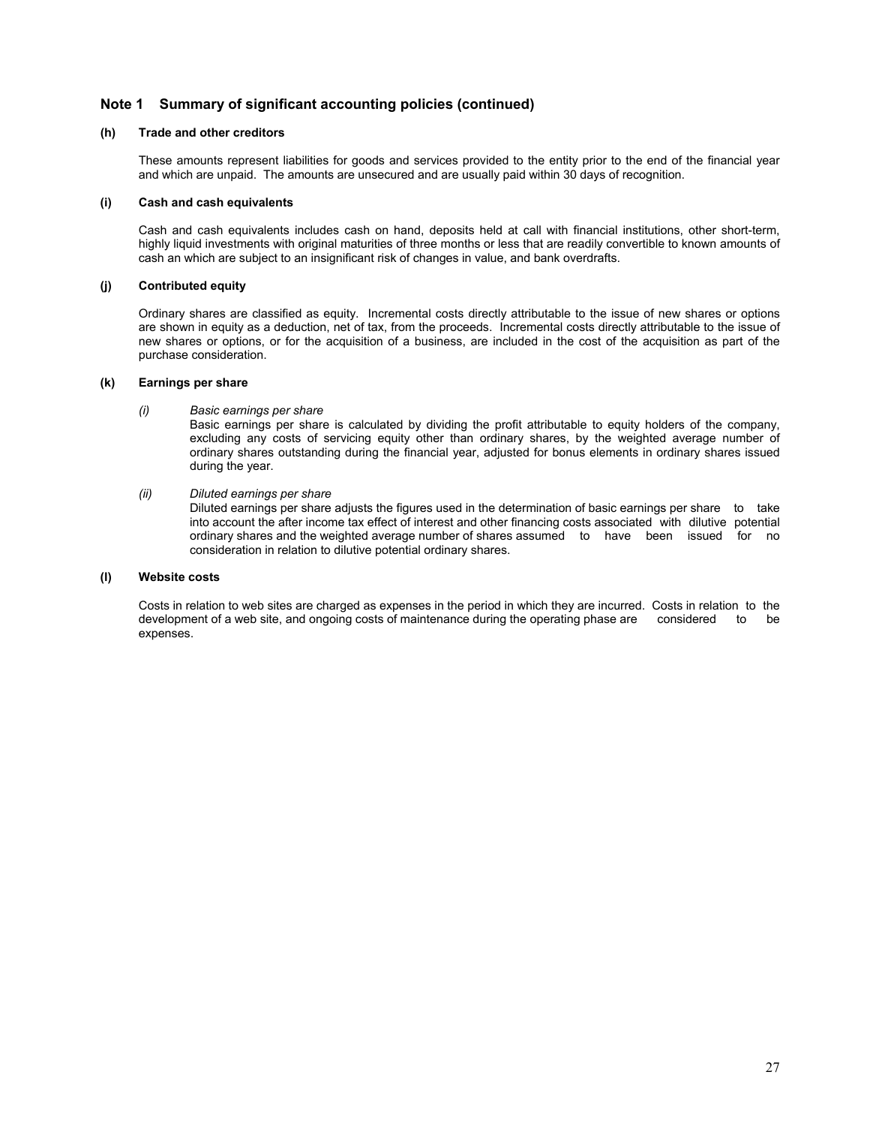## **Note 1 Summary of significant accounting policies (continued)**

### **(h) Trade and other creditors**

These amounts represent liabilities for goods and services provided to the entity prior to the end of the financial year and which are unpaid. The amounts are unsecured and are usually paid within 30 days of recognition.

#### **(i) Cash and cash equivalents**

Cash and cash equivalents includes cash on hand, deposits held at call with financial institutions, other short-term, highly liquid investments with original maturities of three months or less that are readily convertible to known amounts of cash an which are subject to an insignificant risk of changes in value, and bank overdrafts.

#### **(j) Contributed equity**

Ordinary shares are classified as equity. Incremental costs directly attributable to the issue of new shares or options are shown in equity as a deduction, net of tax, from the proceeds. Incremental costs directly attributable to the issue of new shares or options, or for the acquisition of a business, are included in the cost of the acquisition as part of the purchase consideration.

#### **(k) Earnings per share**

*(i) Basic earnings per share* 

Basic earnings per share is calculated by dividing the profit attributable to equity holders of the company, excluding any costs of servicing equity other than ordinary shares, by the weighted average number of ordinary shares outstanding during the financial year, adjusted for bonus elements in ordinary shares issued during the year.

*(ii) Diluted earnings per share* 

 Diluted earnings per share adjusts the figures used in the determination of basic earnings per share to take into account the after income tax effect of interest and other financing costs associated with dilutive potential ordinary shares and the weighted average number of shares assumed to have been issued for no consideration in relation to dilutive potential ordinary shares.

#### **(l) Website costs**

Costs in relation to web sites are charged as expenses in the period in which they are incurred. Costs in relation to the development of a web site, and ongoing costs of maintenance during the operating phase are considered to be expenses.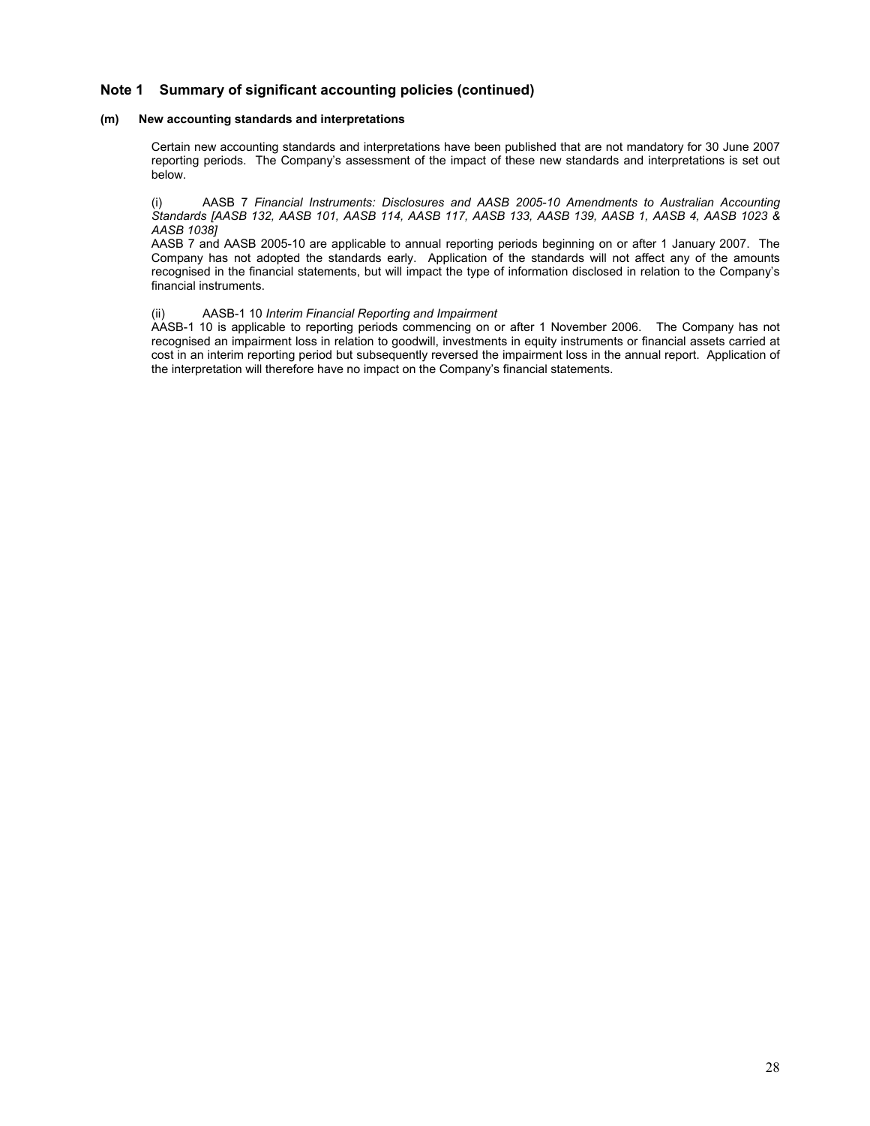## **Note 1 Summary of significant accounting policies (continued)**

#### **(m) New accounting standards and interpretations**

Certain new accounting standards and interpretations have been published that are not mandatory for 30 June 2007 reporting periods. The Company's assessment of the impact of these new standards and interpretations is set out below.

(i) AASB 7 *Financial Instruments: Disclosures and AASB 2005-10 Amendments to Australian Accounting Standards [AASB 132, AASB 101, AASB 114, AASB 117, AASB 133, AASB 139, AASB 1, AASB 4, AASB 1023 & AASB 1038]* 

AASB 7 and AASB 2005-10 are applicable to annual reporting periods beginning on or after 1 January 2007. The Company has not adopted the standards early. Application of the standards will not affect any of the amounts recognised in the financial statements, but will impact the type of information disclosed in relation to the Company's financial instruments.

#### (ii) AASB-1 10 *Interim Financial Reporting and Impairment*

AASB-1 10 is applicable to reporting periods commencing on or after 1 November 2006. The Company has not recognised an impairment loss in relation to goodwill, investments in equity instruments or financial assets carried at cost in an interim reporting period but subsequently reversed the impairment loss in the annual report. Application of the interpretation will therefore have no impact on the Company's financial statements.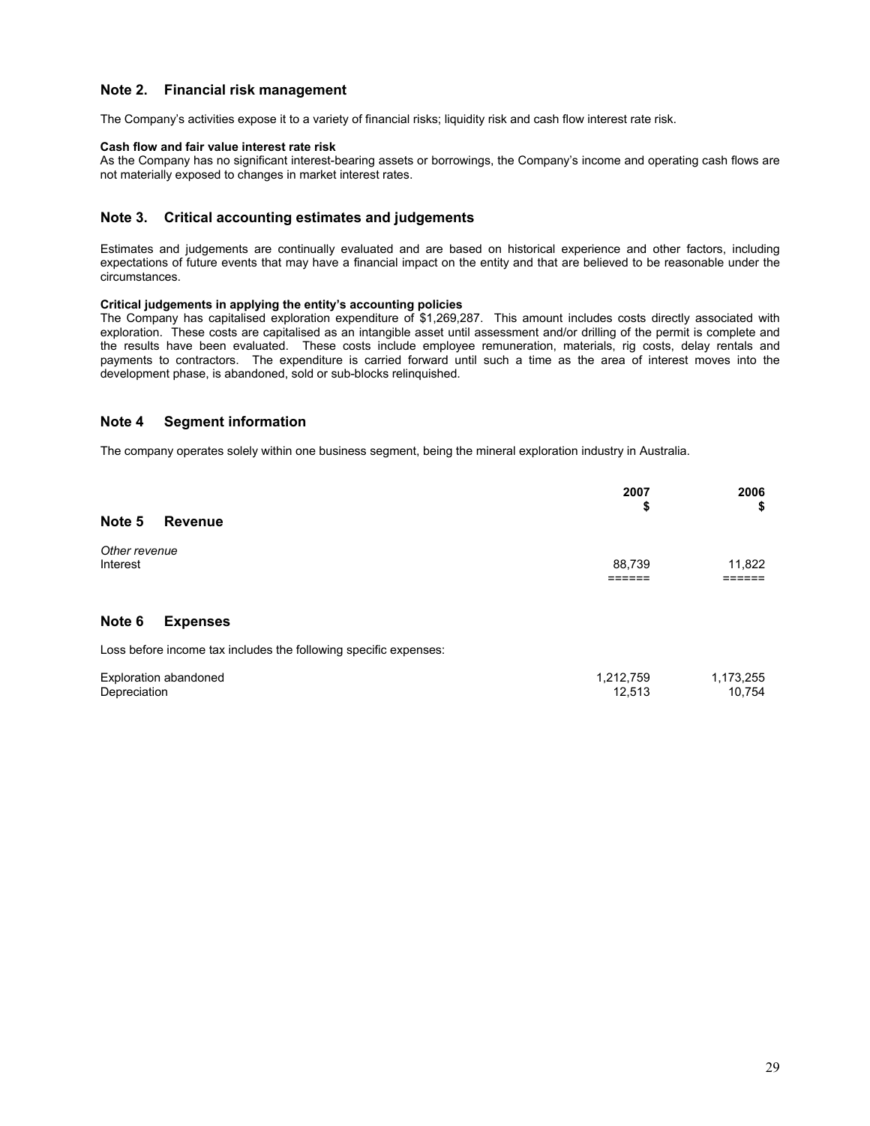## **Note 2. Financial risk management**

The Company's activities expose it to a variety of financial risks; liquidity risk and cash flow interest rate risk.

#### **Cash flow and fair value interest rate risk**

As the Company has no significant interest-bearing assets or borrowings, the Company's income and operating cash flows are not materially exposed to changes in market interest rates.

### **Note 3. Critical accounting estimates and judgements**

Estimates and judgements are continually evaluated and are based on historical experience and other factors, including expectations of future events that may have a financial impact on the entity and that are believed to be reasonable under the circumstances.

### **Critical judgements in applying the entity's accounting policies**

The Company has capitalised exploration expenditure of \$1,269,287. This amount includes costs directly associated with exploration. These costs are capitalised as an intangible asset until assessment and/or drilling of the permit is complete and the results have been evaluated. These costs include employee remuneration, materials, rig costs, delay rentals and payments to contractors. The expenditure is carried forward until such a time as the area of interest moves into the development phase, is abandoned, sold or sub-blocks relinquished.

## **Note 4 Segment information**

The company operates solely within one business segment, being the mineral exploration industry in Australia.

|                           |                                                                  | 2007<br>\$          | 2006<br>\$          |
|---------------------------|------------------------------------------------------------------|---------------------|---------------------|
| Note 5                    | <b>Revenue</b>                                                   |                     |                     |
| Other revenue<br>Interest |                                                                  | 88,739              | 11,822<br>:=====    |
| Note 6                    | <b>Expenses</b>                                                  |                     |                     |
|                           | Loss before income tax includes the following specific expenses: |                     |                     |
| Depreciation              | Exploration abandoned                                            | 1,212,759<br>12.513 | 1,173,255<br>10.754 |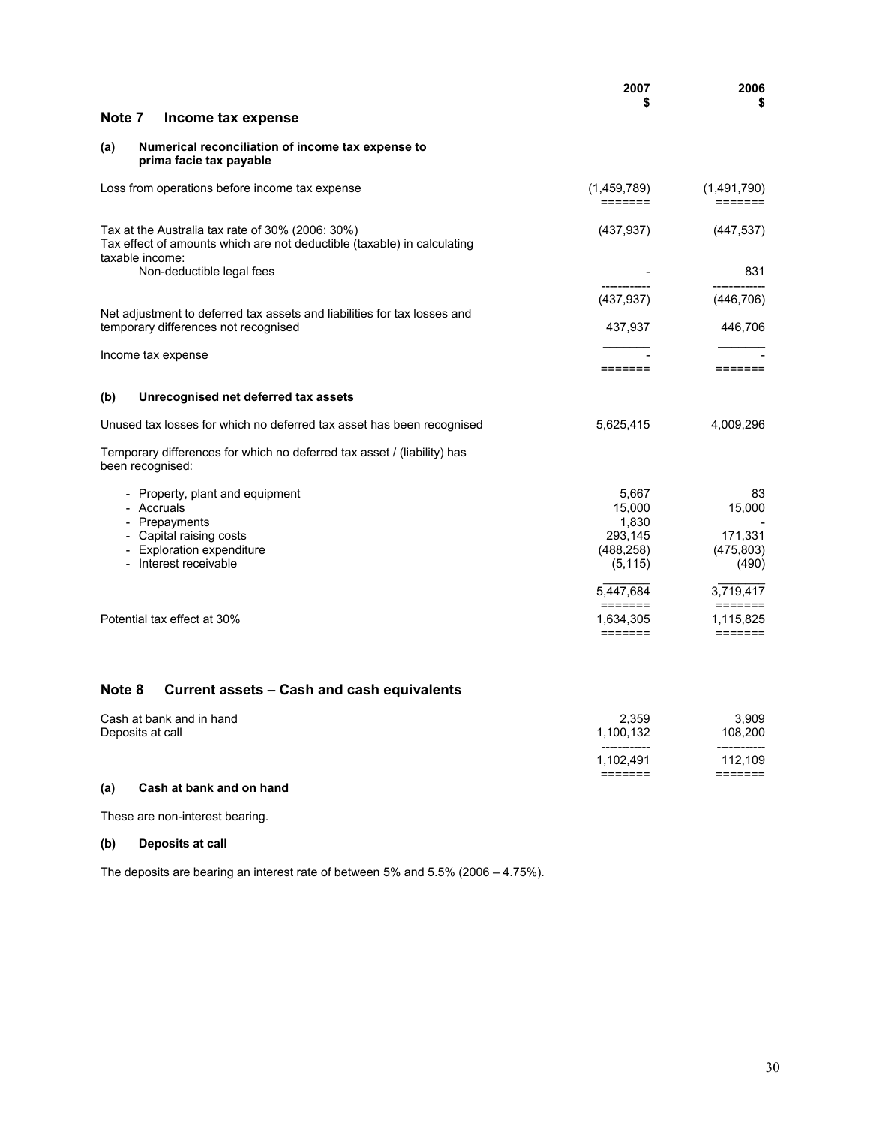|                                                                                                                                                 | 2007<br>S                                                     | 2006<br>\$                                                   |
|-------------------------------------------------------------------------------------------------------------------------------------------------|---------------------------------------------------------------|--------------------------------------------------------------|
| Note 7<br>Income tax expense                                                                                                                    |                                                               |                                                              |
| Numerical reconciliation of income tax expense to<br>(a)<br>prima facie tax payable                                                             |                                                               |                                                              |
| Loss from operations before income tax expense                                                                                                  | (1,459,789)<br>=======                                        | (1,491,790)<br>$=$ $=$ $=$ $=$ $=$ $=$                       |
| Tax at the Australia tax rate of 30% (2006: 30%)<br>Tax effect of amounts which are not deductible (taxable) in calculating<br>taxable income:  | (437, 937)                                                    | (447, 537)                                                   |
| Non-deductible legal fees                                                                                                                       |                                                               | 831                                                          |
| Net adjustment to deferred tax assets and liabilities for tax losses and                                                                        | (437, 937)                                                    | (446, 706)                                                   |
| temporary differences not recognised                                                                                                            | 437,937                                                       | 446,706                                                      |
| Income tax expense                                                                                                                              | =======                                                       | $=$ $=$ $=$ $=$ $=$ $=$                                      |
| Unrecognised net deferred tax assets<br>(b)                                                                                                     |                                                               |                                                              |
| Unused tax losses for which no deferred tax asset has been recognised                                                                           | 5,625,415                                                     | 4,009,296                                                    |
| Temporary differences for which no deferred tax asset / (liability) has<br>been recognised:                                                     |                                                               |                                                              |
| - Property, plant and equipment<br>- Accruals<br>- Prepayments<br>- Capital raising costs<br>- Exploration expenditure<br>- Interest receivable | 5,667<br>15,000<br>1,830<br>293,145<br>(488, 258)<br>(5, 115) | 83<br>15,000<br>171,331<br>(475, 803)<br>(490)               |
| Potential tax effect at 30%                                                                                                                     | 5,447,684<br>=======<br>1,634,305<br>=======                  | 3,719,417<br>$=$ $=$ $=$ $=$ $=$ $=$<br>1,115,825<br>======= |

# **Note 8 Current assets – Cash and cash equivalents**

| Cash at bank and in hand<br>Deposits at call | 2.359<br>1.100.132 | 3.909<br>108.200  |
|----------------------------------------------|--------------------|-------------------|
|                                              | ------------       | ------------      |
|                                              | 1.102.491          | 112.109           |
|                                              | -------<br>------- | ------<br>------- |

# **(a) Cash at bank and on hand**

These are non-interest bearing.

## **(b) Deposits at call**

The deposits are bearing an interest rate of between 5% and 5.5% (2006 – 4.75%).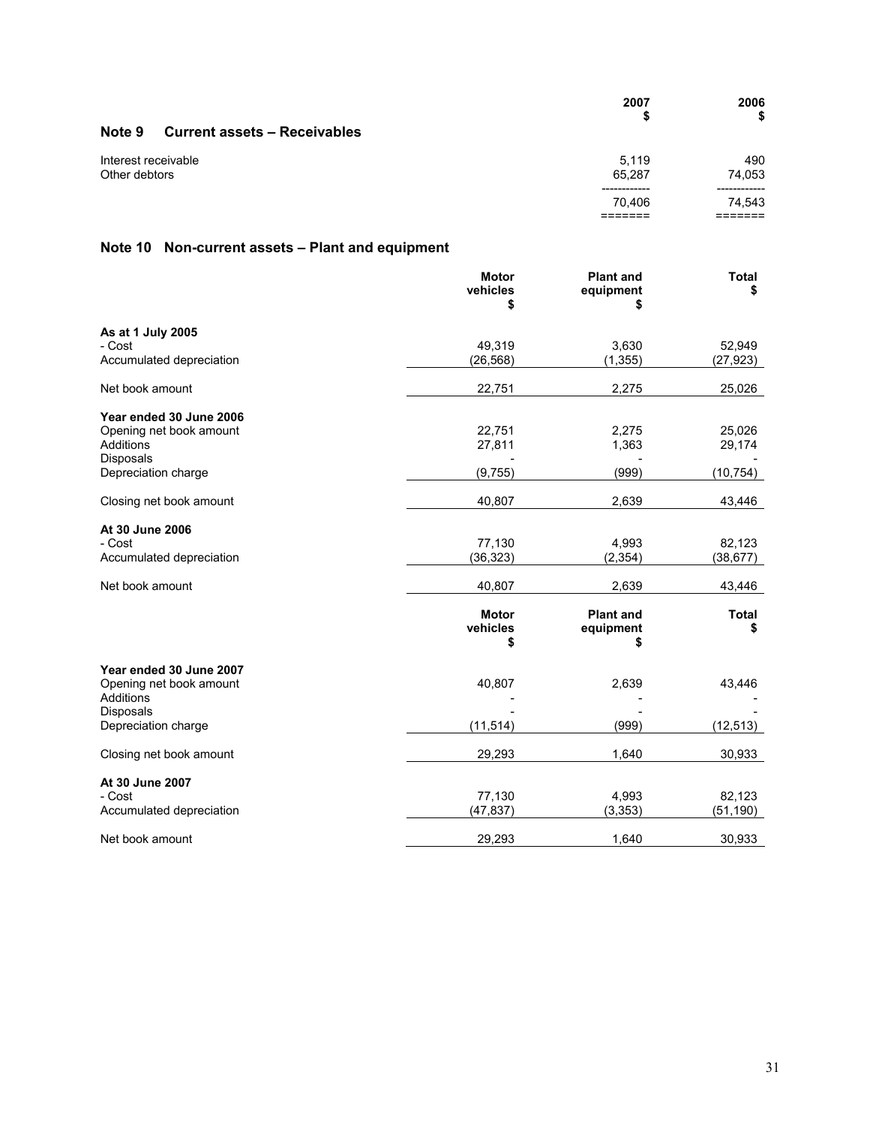|                                               | 2007<br>S       | 2006<br>\$    |
|-----------------------------------------------|-----------------|---------------|
| Note 9<br><b>Current assets - Receivables</b> |                 |               |
| Interest receivable<br>Other debtors          | 5.119<br>65.287 | 490<br>74,053 |
|                                               | 70.406          | 74,543        |

# **Note 10 Non-current assets – Plant and equipment**

|                                      | <b>Motor</b><br>vehicles<br>S  | <b>Plant and</b><br>equipment<br>S | <b>Total</b><br>S  |
|--------------------------------------|--------------------------------|------------------------------------|--------------------|
| As at 1 July 2005                    |                                |                                    |                    |
| - Cost                               | 49,319                         | 3,630                              | 52,949             |
| Accumulated depreciation             | (26, 568)                      | (1, 355)                           | (27, 923)          |
| Net book amount                      | 22,751                         | 2,275                              | 25,026             |
| Year ended 30 June 2006              |                                |                                    |                    |
| Opening net book amount              | 22,751                         | 2,275                              | 25,026             |
| Additions                            | 27,811                         | 1,363                              | 29,174             |
| Disposals                            |                                |                                    |                    |
| Depreciation charge                  | (9,755)                        | (999)                              | (10, 754)          |
| Closing net book amount              | 40,807                         | 2,639                              | 43,446             |
| At 30 June 2006                      |                                |                                    |                    |
| - Cost                               | 77,130                         | 4,993                              | 82,123             |
| Accumulated depreciation             | (36, 323)                      | (2, 354)                           | (38, 677)          |
|                                      |                                |                                    |                    |
| Net book amount                      | 40,807                         | 2,639                              | 43,446             |
|                                      | <b>Motor</b><br>vehicles<br>\$ | <b>Plant and</b><br>equipment<br>S | <b>Total</b><br>\$ |
| Year ended 30 June 2007              |                                |                                    |                    |
| Opening net book amount<br>Additions | 40,807                         | 2,639                              | 43,446             |
| Disposals                            |                                |                                    |                    |
| Depreciation charge                  | (11, 514)                      | (999)                              | (12, 513)          |
| Closing net book amount              | 29,293                         | 1,640                              | 30,933             |
| At 30 June 2007                      |                                |                                    |                    |
| - Cost                               | 77,130                         | 4,993                              | 82,123             |
| Accumulated depreciation             | (47, 837)                      | (3, 353)                           | (51, 190)          |
| Net book amount                      | 29,293                         | 1,640                              | 30,933             |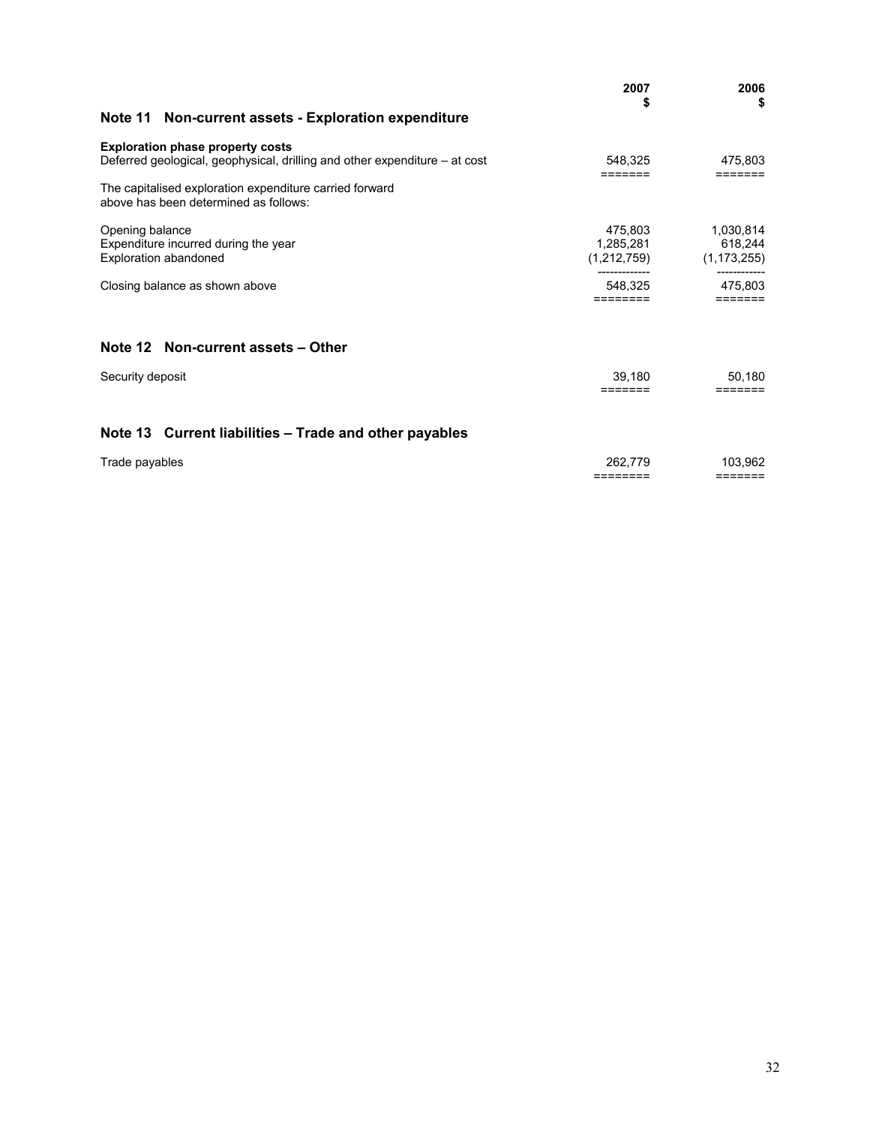|                                                                                                                       | 2007<br>S                | 2006<br>\$               |
|-----------------------------------------------------------------------------------------------------------------------|--------------------------|--------------------------|
| Note 11 Non-current assets - Exploration expenditure                                                                  |                          |                          |
| <b>Exploration phase property costs</b><br>Deferred geological, geophysical, drilling and other expenditure – at cost | 548,325<br>=======       | 475,803<br>=======       |
| The capitalised exploration expenditure carried forward<br>above has been determined as follows:                      |                          |                          |
| Opening balance                                                                                                       | 475.803                  | 1,030,814                |
| Expenditure incurred during the year<br><b>Exploration abandoned</b>                                                  | 1,285,281<br>(1,212,759) | 618,244<br>(1, 173, 255) |
| Closing balance as shown above                                                                                        | 548.325<br>========      | 475,803<br>=======       |
| Note 12 Non-current assets - Other                                                                                    |                          |                          |
| Security deposit                                                                                                      | 39,180<br>=======        | 50.180<br>=======        |
| Note 13 Current liabilities - Trade and other payables                                                                |                          |                          |
| Trade payables                                                                                                        | 262.779<br>========      | 103,962<br>=======       |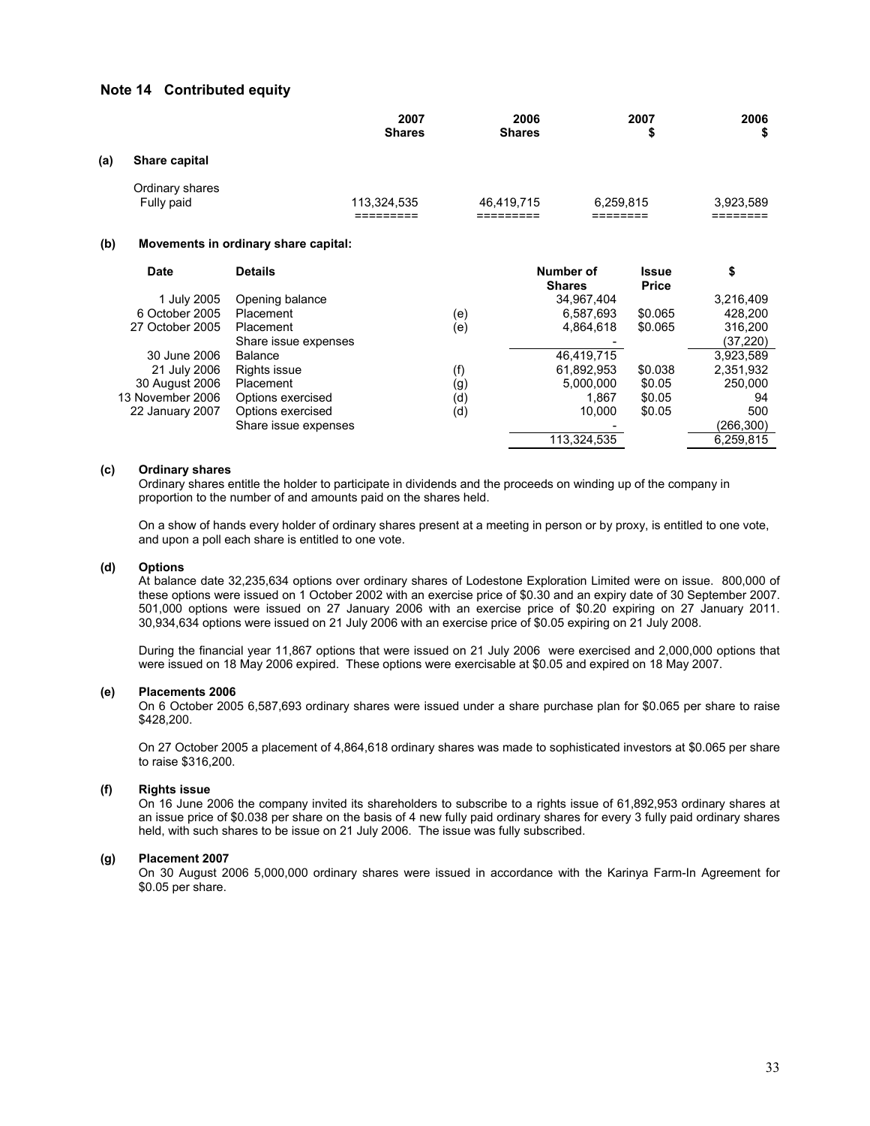### **Note 14 Contributed equity**

|     |                               |                                      | 2007<br><b>Shares</b> |     | 2006<br><b>Shares</b> |                            | 2007<br>S             | 2006<br>\$ |
|-----|-------------------------------|--------------------------------------|-----------------------|-----|-----------------------|----------------------------|-----------------------|------------|
| (a) | Share capital                 |                                      |                       |     |                       |                            |                       |            |
|     | Ordinary shares<br>Fully paid |                                      | 113,324,535           |     | 46,419,715            | 6,259,815                  |                       | 3.923,589  |
| (b) |                               | Movements in ordinary share capital: |                       |     |                       |                            |                       |            |
|     | <b>Date</b>                   | <b>Details</b>                       |                       |     |                       | Number of<br><b>Shares</b> | Issue<br><b>Price</b> | \$         |
|     | 1 July 2005                   | Opening balance                      |                       |     |                       | 34,967,404                 |                       | 3,216,409  |
|     | 6 October 2005                | Placement                            |                       | (e) |                       | 6,587,693                  | \$0.065               | 428,200    |
|     | 27 October 2005               | Placement                            |                       | (e) |                       | 4,864,618                  | \$0.065               | 316,200    |
|     |                               | Share issue expenses                 |                       |     |                       |                            |                       | (37,220)   |
|     | 30 June 2006                  | Balance                              |                       |     |                       | 46,419,715                 |                       | 3,923,589  |
|     | 21 July 2006                  | Rights issue                         |                       | (f) |                       | 61.892,953                 | \$0.038               | 2,351,932  |
|     | 30 August 2006                | Placement                            |                       | (g) |                       | 5,000,000                  | \$0.05                | 250,000    |
|     | 13 November 2006              | Options exercised                    |                       | (d) |                       | 1,867                      | \$0.05                | 94         |
|     | 22 January 2007               | Options exercised                    |                       | (d) |                       | 10,000                     | \$0.05                | 500        |
|     |                               | Share issue expenses                 |                       |     |                       |                            |                       | (266,300)  |
|     |                               |                                      |                       |     |                       | 113,324,535                |                       | 6,259,815  |

#### **(c) Ordinary shares**

 Ordinary shares entitle the holder to participate in dividends and the proceeds on winding up of the company in proportion to the number of and amounts paid on the shares held.

 On a show of hands every holder of ordinary shares present at a meeting in person or by proxy, is entitled to one vote, and upon a poll each share is entitled to one vote.

#### **(d) Options**

At balance date 32,235,634 options over ordinary shares of Lodestone Exploration Limited were on issue. 800,000 of these options were issued on 1 October 2002 with an exercise price of \$0.30 and an expiry date of 30 September 2007. 501,000 options were issued on 27 January 2006 with an exercise price of \$0.20 expiring on 27 January 2011. 30,934,634 options were issued on 21 July 2006 with an exercise price of \$0.05 expiring on 21 July 2008.

During the financial year 11,867 options that were issued on 21 July 2006 were exercised and 2,000,000 options that were issued on 18 May 2006 expired. These options were exercisable at \$0.05 and expired on 18 May 2007.

#### **(e) Placements 2006**

On 6 October 2005 6,587,693 ordinary shares were issued under a share purchase plan for \$0.065 per share to raise \$428,200.

On 27 October 2005 a placement of 4,864,618 ordinary shares was made to sophisticated investors at \$0.065 per share to raise \$316,200.

#### **(f) Rights issue**

On 16 June 2006 the company invited its shareholders to subscribe to a rights issue of 61,892,953 ordinary shares at an issue price of \$0.038 per share on the basis of 4 new fully paid ordinary shares for every 3 fully paid ordinary shares held, with such shares to be issue on 21 July 2006. The issue was fully subscribed.

#### **(g) Placement 2007**

On 30 August 2006 5,000,000 ordinary shares were issued in accordance with the Karinya Farm-In Agreement for \$0.05 per share.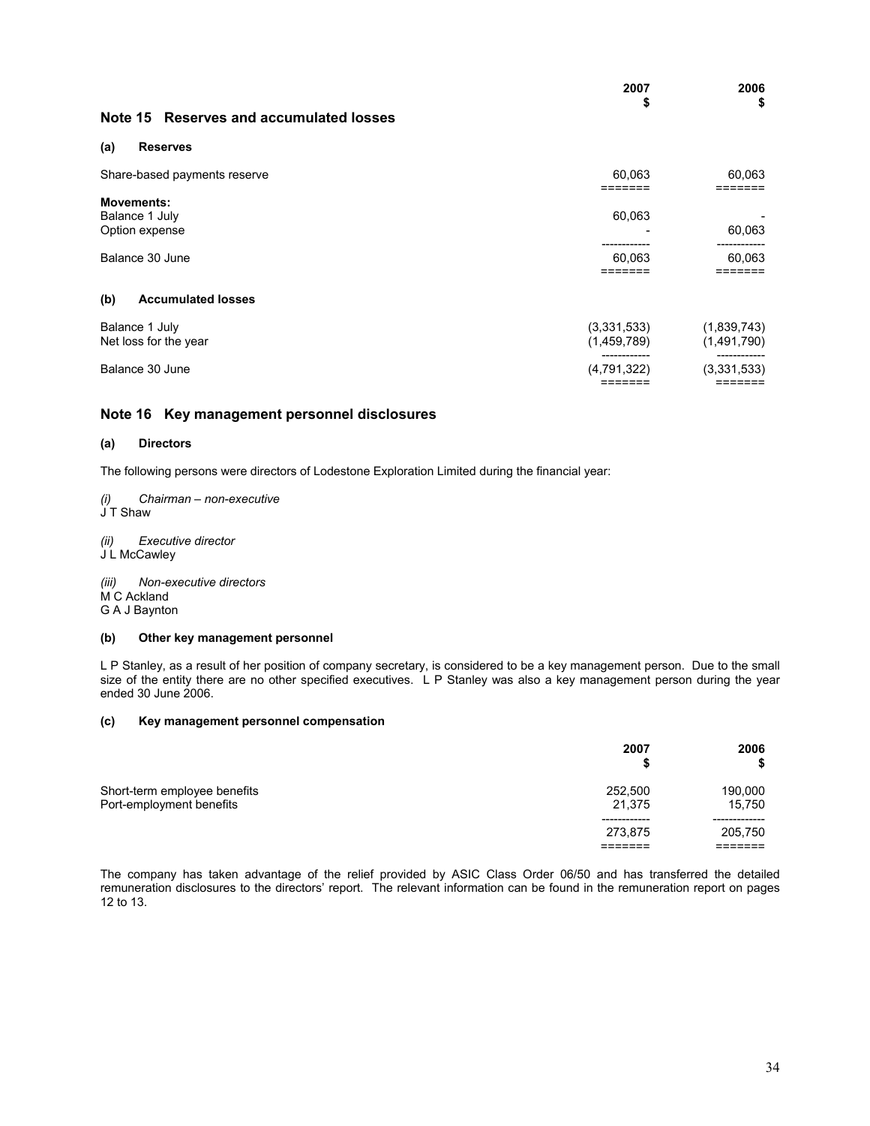|                                                       | 2007<br>S                  | 2006<br>\$                 |
|-------------------------------------------------------|----------------------------|----------------------------|
| Note 15 Reserves and accumulated losses               |                            |                            |
| <b>Reserves</b><br>(a)                                |                            |                            |
| Share-based payments reserve                          | 60,063<br>=======          | 60,063<br>=======          |
| <b>Movements:</b><br>Balance 1 July<br>Option expense | 60,063                     | 60,063                     |
| Balance 30 June                                       | 60,063<br>=======          | 60,063<br>=======          |
| <b>Accumulated losses</b><br>(b)                      |                            |                            |
| Balance 1 July<br>Net loss for the year               | (3,331,533)<br>(1,459,789) | (1,839,743)<br>(1,491,790) |
| Balance 30 June                                       | (4,791,322)                | (3,331,533)                |

## **Note 16 Key management personnel disclosures**

#### **(a) Directors**

The following persons were directors of Lodestone Exploration Limited during the financial year:

*(i) Chairman – non-executive*  J T Shaw

*(ii) Executive director*  J L McCawley

*(iii) Non-executive directors*  M C Ackland G A J Baynton

### **(b) Other key management personnel**

L P Stanley, as a result of her position of company secretary, is considered to be a key management person. Due to the small size of the entity there are no other specified executives. L P Stanley was also a key management person during the year ended 30 June 2006.

#### **(c) Key management personnel compensation**

|                                                          | 2007<br>S         | 2006              |
|----------------------------------------------------------|-------------------|-------------------|
| Short-term employee benefits<br>Port-employment benefits | 252,500<br>21.375 | 190,000<br>15.750 |
|                                                          | 273.875           | 205,750           |

The company has taken advantage of the relief provided by ASIC Class Order 06/50 and has transferred the detailed remuneration disclosures to the directors' report. The relevant information can be found in the remuneration report on pages 12 to 13.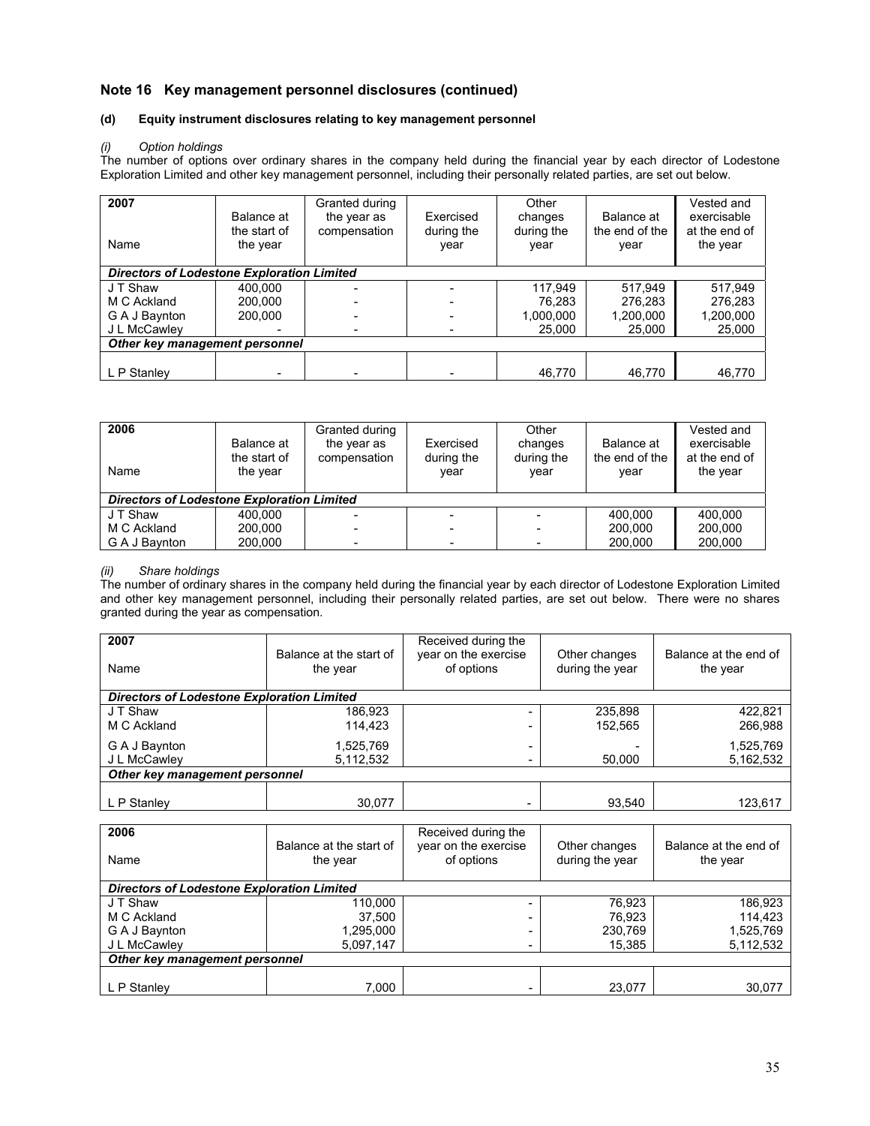## **Note 16 Key management personnel disclosures (continued)**

## **(d) Equity instrument disclosures relating to key management personnel**

### *(i) Option holdings*

The number of options over ordinary shares in the company held during the financial year by each director of Lodestone Exploration Limited and other key management personnel, including their personally related parties, are set out below.

| 2007<br>Name                                      | Balance at<br>the start of<br>the year | Granted during<br>the year as<br>compensation | Exercised<br>during the<br>year | Other<br>changes<br>during the<br>year | Balance at<br>the end of the<br>year | Vested and<br>exercisable<br>at the end of<br>the year |
|---------------------------------------------------|----------------------------------------|-----------------------------------------------|---------------------------------|----------------------------------------|--------------------------------------|--------------------------------------------------------|
| <b>Directors of Lodestone Exploration Limited</b> |                                        |                                               |                                 |                                        |                                      |                                                        |
| J T Shaw                                          | 400.000                                |                                               |                                 | 117,949                                | 517.949                              | 517,949                                                |
| M C Ackland                                       | 200.000                                |                                               |                                 | 76.283                                 | 276,283                              | 276.283                                                |
| G A J Baynton                                     | 200.000                                |                                               |                                 | 1,000,000                              | 1,200,000                            | 1,200,000                                              |
| J L McCawley                                      |                                        |                                               |                                 | 25,000                                 | 25,000                               | 25,000                                                 |
| Other key management personnel                    |                                        |                                               |                                 |                                        |                                      |                                                        |
|                                                   |                                        |                                               |                                 |                                        |                                      |                                                        |
| L P Stanley                                       |                                        |                                               |                                 | 46,770                                 | 46,770                               | 46,770                                                 |

| 2006<br>Name                                      | Balance at<br>the start of<br>the year | Granted during<br>the year as<br>compensation | Exercised<br>during the<br>vear | Other<br>changes<br>during the<br>year | Balance at<br>the end of the<br>year | Vested and<br>exercisable<br>at the end of<br>the year |
|---------------------------------------------------|----------------------------------------|-----------------------------------------------|---------------------------------|----------------------------------------|--------------------------------------|--------------------------------------------------------|
| <b>Directors of Lodestone Exploration Limited</b> |                                        |                                               |                                 |                                        |                                      |                                                        |
| J T Shaw                                          | 400.000                                |                                               |                                 |                                        | 400.000                              | 400.000                                                |
| M C Ackland                                       | 200.000                                |                                               |                                 |                                        | 200,000                              | 200,000                                                |
| G A J Baynton                                     | 200,000                                | $\overline{\phantom{a}}$                      | $\overline{\phantom{a}}$        |                                        | 200,000                              | 200,000                                                |

## *(ii) Share holdings*

The number of ordinary shares in the company held during the financial year by each director of Lodestone Exploration Limited and other key management personnel, including their personally related parties, are set out below. There were no shares granted during the year as compensation.

| 2007<br>Name                                      | Balance at the start of<br>the year | Received during the<br>year on the exercise<br>of options | Other changes<br>during the year | Balance at the end of<br>the year |
|---------------------------------------------------|-------------------------------------|-----------------------------------------------------------|----------------------------------|-----------------------------------|
| <b>Directors of Lodestone Exploration Limited</b> |                                     |                                                           |                                  |                                   |
| J T Shaw                                          | 186,923                             |                                                           | 235,898                          | 422,821                           |
| M C Ackland                                       | 114.423                             | -                                                         | 152.565                          | 266,988                           |
| G A J Baynton                                     | 1,525,769                           | $\overline{\phantom{a}}$                                  |                                  | 1,525,769                         |
| J L McCawley                                      | 5,112,532                           | -                                                         | 50.000                           | 5,162,532                         |
| Other key management personnel                    |                                     |                                                           |                                  |                                   |
|                                                   |                                     |                                                           |                                  |                                   |
| L P Stanley                                       | 30,077                              | ۰                                                         | 93.540                           | 123,617                           |

| 2006<br>Name                                      | Balance at the start of<br>the year | Received during the<br>year on the exercise<br>of options | Other changes<br>during the year | Balance at the end of<br>the year |  |  |
|---------------------------------------------------|-------------------------------------|-----------------------------------------------------------|----------------------------------|-----------------------------------|--|--|
| <b>Directors of Lodestone Exploration Limited</b> |                                     |                                                           |                                  |                                   |  |  |
| J T Shaw                                          | 110.000                             |                                                           | 76.923                           | 186,923                           |  |  |
| M C Ackland                                       | 37.500                              |                                                           | 76.923                           | 114,423                           |  |  |
| G A J Baynton                                     | 1,295,000                           | -                                                         | 230,769                          | 1,525,769                         |  |  |
| J L McCawley                                      | 5,097,147                           | -                                                         | 15,385                           | 5,112,532                         |  |  |
| Other key management personnel                    |                                     |                                                           |                                  |                                   |  |  |
|                                                   |                                     |                                                           |                                  |                                   |  |  |
| L P Stanley                                       | 7.000                               |                                                           | 23.077                           | 30,077                            |  |  |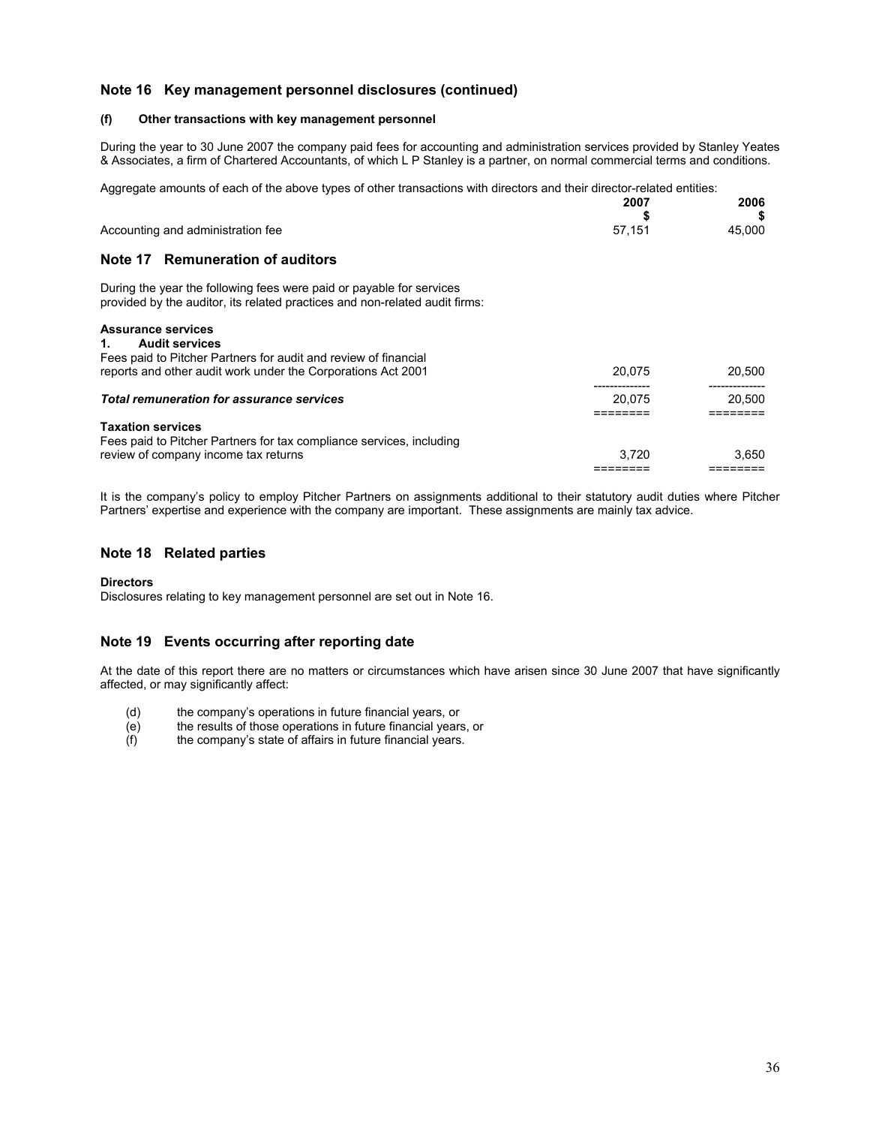## **Note 16 Key management personnel disclosures (continued)**

#### **(f) Other transactions with key management personnel**

During the year to 30 June 2007 the company paid fees for accounting and administration services provided by Stanley Yeates & Associates, a firm of Chartered Accountants, of which L P Stanley is a partner, on normal commercial terms and conditions.

Aggregate amounts of each of the above types of other transactions with directors and their director-related entities:<br>2007

|                                                                                                                                                     | 2007   | 2006   |
|-----------------------------------------------------------------------------------------------------------------------------------------------------|--------|--------|
| Accounting and administration fee                                                                                                                   | 57,151 | 45.000 |
| Note 17 Remuneration of auditors                                                                                                                    |        |        |
| During the year the following fees were paid or payable for services<br>provided by the auditor, its related practices and non-related audit firms: |        |        |
| <b>Assurance services</b>                                                                                                                           |        |        |
| <b>Audit services</b><br>1.<br>Fees paid to Pitcher Partners for audit and review of financial                                                      |        |        |
| reports and other audit work under the Corporations Act 2001                                                                                        | 20.075 | 20,500 |
|                                                                                                                                                     |        |        |
| <b>Total remuneration for assurance services</b>                                                                                                    | 20.075 | 20.500 |
|                                                                                                                                                     |        |        |
| <b>Taxation services</b>                                                                                                                            |        |        |
| Fees paid to Pitcher Partners for tax compliance services, including                                                                                |        |        |
| review of company income tax returns                                                                                                                | 3.720  | 3.650  |
|                                                                                                                                                     |        |        |

It is the company's policy to employ Pitcher Partners on assignments additional to their statutory audit duties where Pitcher Partners' expertise and experience with the company are important. These assignments are mainly tax advice.

#### **Note 18 Related parties**

#### **Directors**

Disclosures relating to key management personnel are set out in Note 16.

## **Note 19 Events occurring after reporting date**

At the date of this report there are no matters or circumstances which have arisen since 30 June 2007 that have significantly affected, or may significantly affect:

- (d) the company's operations in future financial years, or the results of those operations in future financial years
- (e) the results of those operations in future financial years, or (f) the company's state of affairs in future financial years.
- the company's state of affairs in future financial years.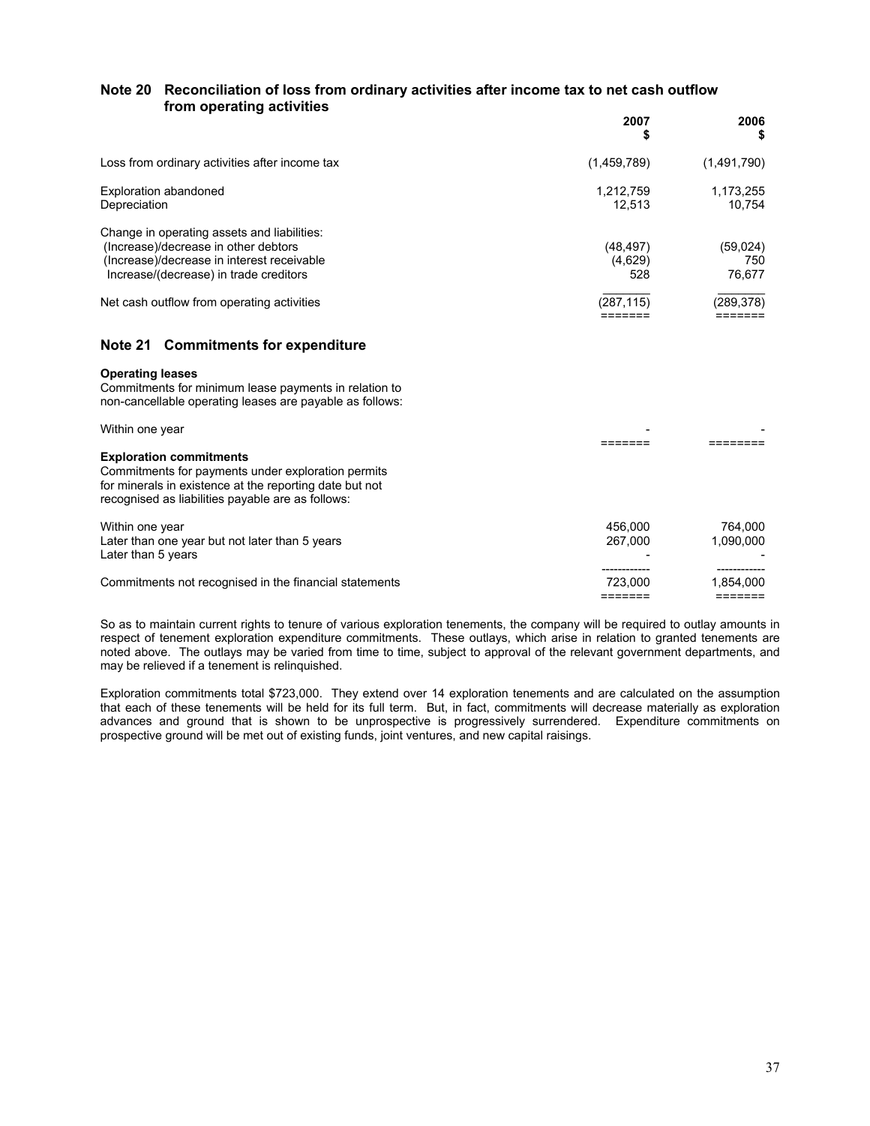## **Note 20 Reconciliation of loss from ordinary activities after income tax to net cash outflow from operating activities**

|                                                                                                                                                                             | 2007<br>S                   | 2006<br>S                 |
|-----------------------------------------------------------------------------------------------------------------------------------------------------------------------------|-----------------------------|---------------------------|
| Loss from ordinary activities after income tax                                                                                                                              | (1,459,789)                 | (1,491,790)               |
| Exploration abandoned<br>Depreciation                                                                                                                                       | 1,212,759<br>12.513         | 1,173,255<br>10.754       |
| Change in operating assets and liabilities:<br>(Increase)/decrease in other debtors<br>(Increase)/decrease in interest receivable<br>Increase/(decrease) in trade creditors | (48, 497)<br>(4,629)<br>528 | (59,024)<br>750<br>76.677 |
| Net cash outflow from operating activities                                                                                                                                  | (287, 115)                  | (289, 378)                |
|                                                                                                                                                                             |                             |                           |

## **Note 21 Commitments for expenditure**

#### **Operating leases**

Commitments for minimum lease payments in relation to non-cancellable operating leases are payable as follows:

| Within one year                                                                                                                                                                                      |                    |                      |
|------------------------------------------------------------------------------------------------------------------------------------------------------------------------------------------------------|--------------------|----------------------|
| <b>Exploration commitments</b><br>Commitments for payments under exploration permits<br>for minerals in existence at the reporting date but not<br>recognised as liabilities payable are as follows: |                    |                      |
| Within one year<br>Later than one year but not later than 5 years<br>Later than 5 years                                                                                                              | 456,000<br>267.000 | 764.000<br>1.090.000 |
| Commitments not recognised in the financial statements                                                                                                                                               | 723.000            | 1,854,000            |

So as to maintain current rights to tenure of various exploration tenements, the company will be required to outlay amounts in respect of tenement exploration expenditure commitments. These outlays, which arise in relation to granted tenements are noted above. The outlays may be varied from time to time, subject to approval of the relevant government departments, and may be relieved if a tenement is relinquished.

Exploration commitments total \$723,000. They extend over 14 exploration tenements and are calculated on the assumption that each of these tenements will be held for its full term. But, in fact, commitments will decrease materially as exploration advances and ground that is shown to be unprospective is progressively surrendered. Expenditure commitments on prospective ground will be met out of existing funds, joint ventures, and new capital raisings.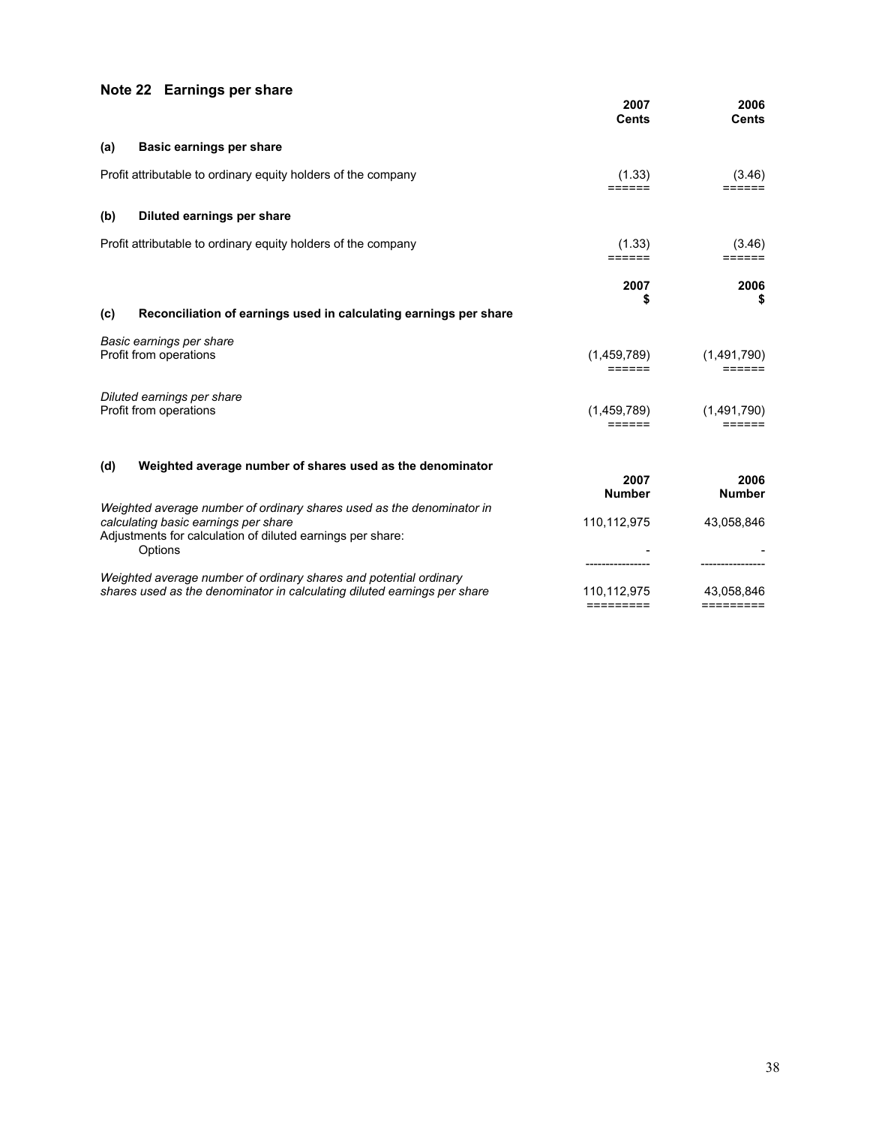# **Note 22 Earnings per share**

|     |                                                                                                                                                                                        | 2007<br><b>Cents</b>     | 2006<br><b>Cents</b>    |
|-----|----------------------------------------------------------------------------------------------------------------------------------------------------------------------------------------|--------------------------|-------------------------|
| (a) | Basic earnings per share                                                                                                                                                               |                          |                         |
|     | Profit attributable to ordinary equity holders of the company                                                                                                                          | (1.33)                   | (3.46)                  |
| (b) | Diluted earnings per share                                                                                                                                                             |                          |                         |
|     | Profit attributable to ordinary equity holders of the company                                                                                                                          | (1.33)<br>======         | (3.46)<br>======        |
|     |                                                                                                                                                                                        | 2007<br>\$               | 2006<br>\$              |
| (c) | Reconciliation of earnings used in calculating earnings per share                                                                                                                      |                          |                         |
|     | Basic earnings per share<br>Profit from operations                                                                                                                                     | (1,459,789)<br>======    | (1,491,790)<br>======   |
|     | Diluted earnings per share<br>Profit from operations                                                                                                                                   | (1,459,789)<br>======    | (1,491,790)<br>======   |
| (d) | Weighted average number of shares used as the denominator                                                                                                                              | 2007<br><b>Number</b>    | 2006<br><b>Number</b>   |
|     | Weighted average number of ordinary shares used as the denominator in<br>calculating basic earnings per share<br>Adjustments for calculation of diluted earnings per share:<br>Options | 110,112,975              | 43,058,846              |
|     | Weighted average number of ordinary shares and potential ordinary<br>shares used as the denominator in calculating diluted earnings per share                                          | 110,112,975<br>========= | 43,058,846<br>========= |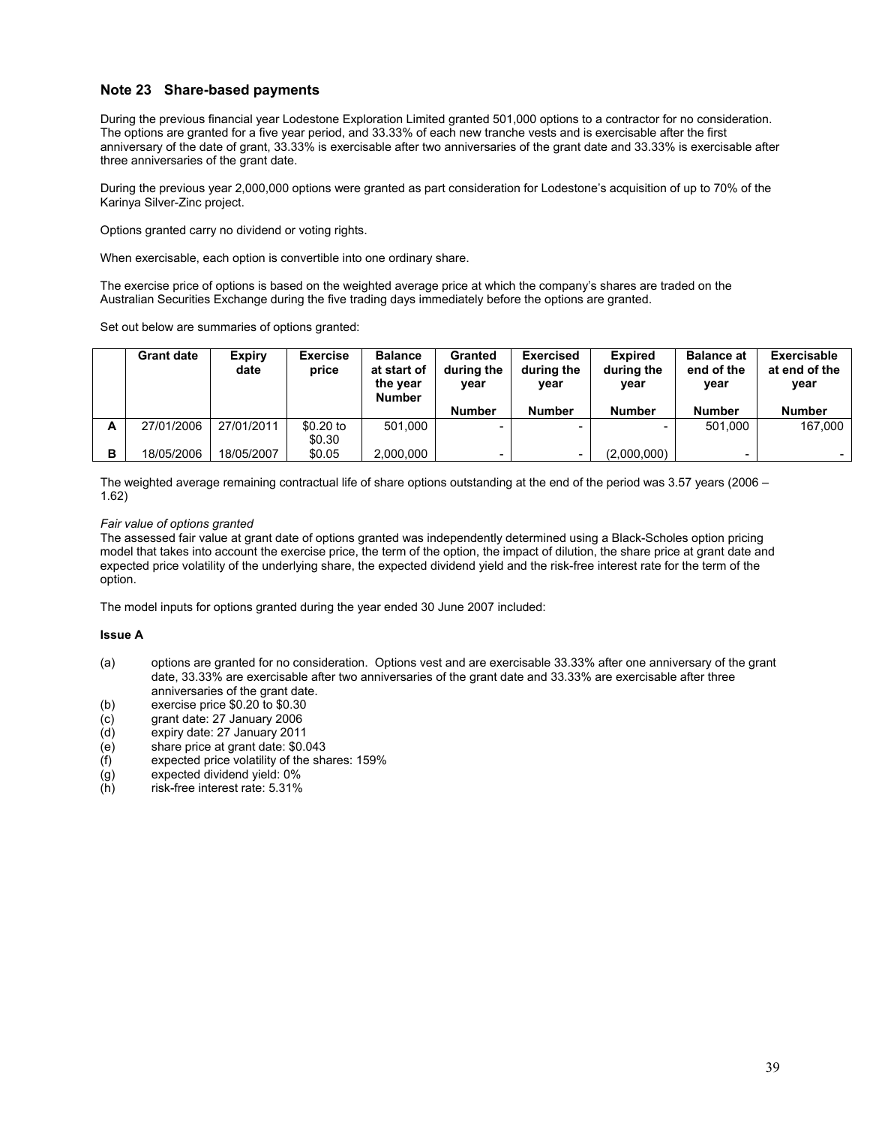## **Note 23 Share-based payments**

During the previous financial year Lodestone Exploration Limited granted 501,000 options to a contractor for no consideration. The options are granted for a five year period, and 33.33% of each new tranche vests and is exercisable after the first anniversary of the date of grant, 33.33% is exercisable after two anniversaries of the grant date and 33.33% is exercisable after three anniversaries of the grant date.

During the previous year 2,000,000 options were granted as part consideration for Lodestone's acquisition of up to 70% of the Karinya Silver-Zinc project.

Options granted carry no dividend or voting rights.

When exercisable, each option is convertible into one ordinary share.

The exercise price of options is based on the weighted average price at which the company's shares are traded on the Australian Securities Exchange during the five trading days immediately before the options are granted.

Set out below are summaries of options granted:

|   | <b>Grant date</b> | <b>Expiry</b><br>date | <b>Exercise</b><br>price | <b>Balance</b><br>at start of<br>the year<br>Number | <b>Granted</b><br>during the<br>year | <b>Exercised</b><br>during the<br>year | <b>Expired</b><br>during the<br>vear | Balance at<br>end of the<br>year | Exercisable<br>at end of the<br>year |
|---|-------------------|-----------------------|--------------------------|-----------------------------------------------------|--------------------------------------|----------------------------------------|--------------------------------------|----------------------------------|--------------------------------------|
|   |                   |                       |                          |                                                     | <b>Number</b>                        | <b>Number</b>                          | <b>Number</b>                        | <b>Number</b>                    | <b>Number</b>                        |
| А | 27/01/2006        | 27/01/2011            | \$0.20 to                | 501.000                                             | -                                    |                                        | $\sim$                               | 501.000                          | 167.000                              |
|   |                   |                       | \$0.30                   |                                                     |                                      |                                        |                                      |                                  |                                      |
| в | 18/05/2006        | 18/05/2007            | \$0.05                   | 2,000,000                                           | -                                    |                                        | (2,000,000)                          | -                                | -                                    |

The weighted average remaining contractual life of share options outstanding at the end of the period was 3.57 years (2006 – 1.62)

#### *Fair value of options granted*

The assessed fair value at grant date of options granted was independently determined using a Black-Scholes option pricing model that takes into account the exercise price, the term of the option, the impact of dilution, the share price at grant date and expected price volatility of the underlying share, the expected dividend yield and the risk-free interest rate for the term of the option.

The model inputs for options granted during the year ended 30 June 2007 included:

#### **Issue A**

- (a) options are granted for no consideration. Options vest and are exercisable 33.33% after one anniversary of the grant date, 33.33% are exercisable after two anniversaries of the grant date and 33.33% are exercisable after three anniversaries of the grant date.
- (b) exercise price \$0.20 to \$0.30
- (c) grant date: 27 January 2006
- expiry date: 27 January 2011
- (e) share price at grant date: \$0.043
- (f) expected price volatility of the shares: 159%
- $(g)$  expected dividend yield: 0%<br>
(h) risk-free interest rate: 5.31%
- risk-free interest rate: 5.31%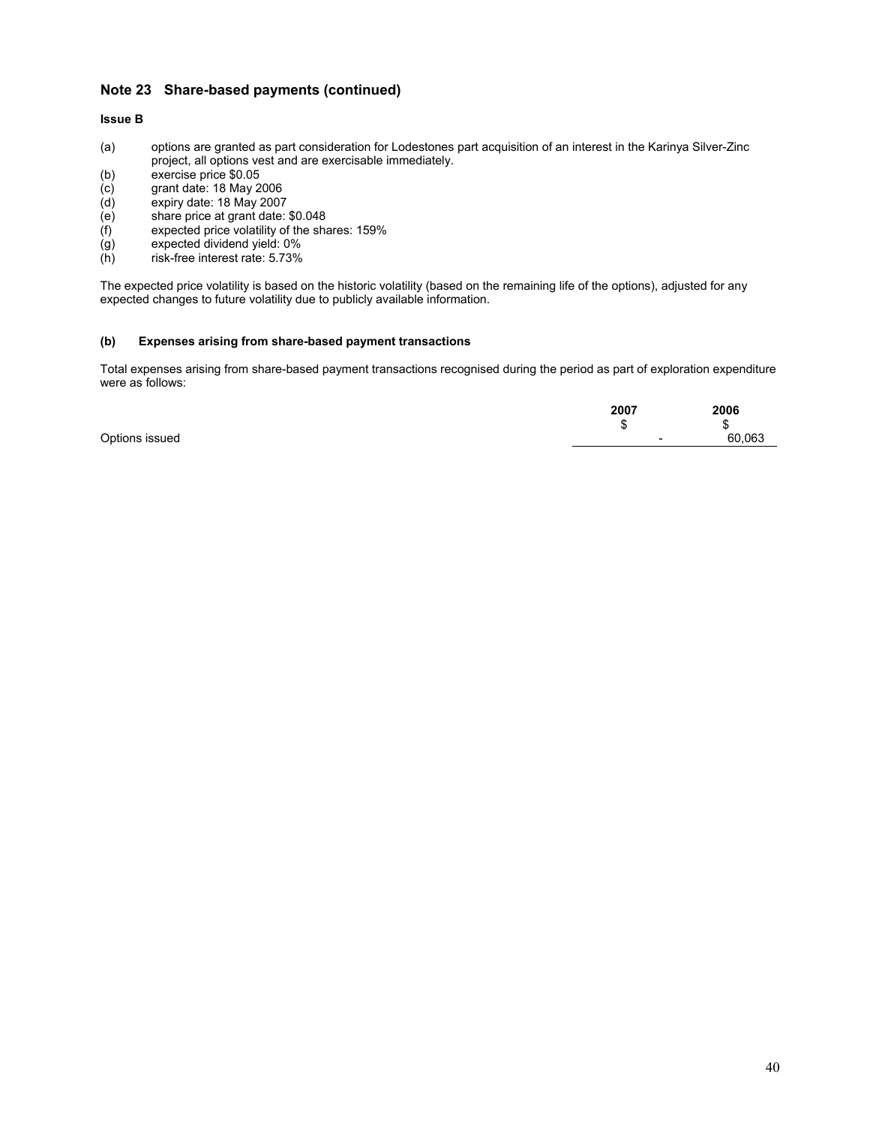## **Note 23 Share-based payments (continued)**

### **Issue B**

- (a) options are granted as part consideration for Lodestones part acquisition of an interest in the Karinya Silver-Zinc project, all options vest and are exercisable immediately.
- (b) exercise price \$0.05
- (c) grant date: 18 May 2006
- (d) expiry date: 18 May 2007
- (e) share price at grant date: \$0.048
- (f) expected price volatility of the shares: 159%
- (g) expected dividend yield: 0%
- (h) risk-free interest rate: 5.73%

The expected price volatility is based on the historic volatility (based on the remaining life of the options), adjusted for any expected changes to future volatility due to publicly available information.

#### **(b) Expenses arising from share-based payment transactions**

Total expenses arising from share-based payment transactions recognised during the period as part of exploration expenditure were as follows:

|                | 2007 | 2006        |
|----------------|------|-------------|
|                |      | J.          |
| Options issued |      | 60.063<br>- |
|                |      |             |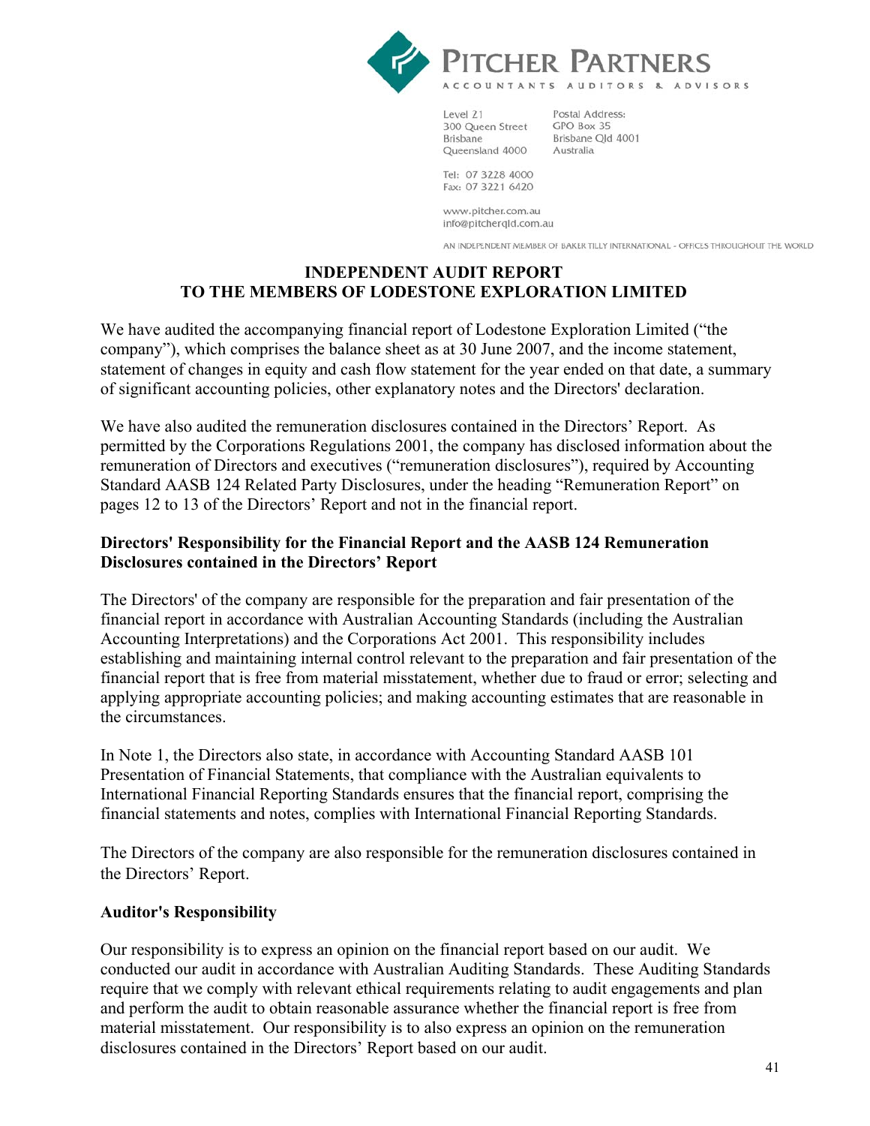

Level 21 300 Queen Street **Brisbane** Queensland 4000

Postal Address: GPO Box 35 Brisbane Qld 4001 Australia

Tel: 07 3228 4000 Fax: 07 3221 6420

www.pitcher.com.au info@pitchergId.com.au

AN INDEPENDENT MEMBER OF BAKER TILLY INTERNATIONAL - OFFICES THROUGHOUT THE WORLD

# **INDEPENDENT AUDIT REPORT TO THE MEMBERS OF LODESTONE EXPLORATION LIMITED**

We have audited the accompanying financial report of Lodestone Exploration Limited ("the company"), which comprises the balance sheet as at 30 June 2007, and the income statement, statement of changes in equity and cash flow statement for the year ended on that date, a summary of significant accounting policies, other explanatory notes and the Directors' declaration.

We have also audited the remuneration disclosures contained in the Directors' Report. As permitted by the Corporations Regulations 2001, the company has disclosed information about the remuneration of Directors and executives ("remuneration disclosures"), required by Accounting Standard AASB 124 Related Party Disclosures, under the heading "Remuneration Report" on pages 12 to 13 of the Directors' Report and not in the financial report.

# **Directors' Responsibility for the Financial Report and the AASB 124 Remuneration Disclosures contained in the Directors' Report**

The Directors' of the company are responsible for the preparation and fair presentation of the financial report in accordance with Australian Accounting Standards (including the Australian Accounting Interpretations) and the Corporations Act 2001. This responsibility includes establishing and maintaining internal control relevant to the preparation and fair presentation of the financial report that is free from material misstatement, whether due to fraud or error; selecting and applying appropriate accounting policies; and making accounting estimates that are reasonable in the circumstances.

In Note 1, the Directors also state, in accordance with Accounting Standard AASB 101 Presentation of Financial Statements, that compliance with the Australian equivalents to International Financial Reporting Standards ensures that the financial report, comprising the financial statements and notes, complies with International Financial Reporting Standards.

The Directors of the company are also responsible for the remuneration disclosures contained in the Directors' Report.

# **Auditor's Responsibility**

Our responsibility is to express an opinion on the financial report based on our audit. We conducted our audit in accordance with Australian Auditing Standards. These Auditing Standards require that we comply with relevant ethical requirements relating to audit engagements and plan and perform the audit to obtain reasonable assurance whether the financial report is free from material misstatement. Our responsibility is to also express an opinion on the remuneration disclosures contained in the Directors' Report based on our audit.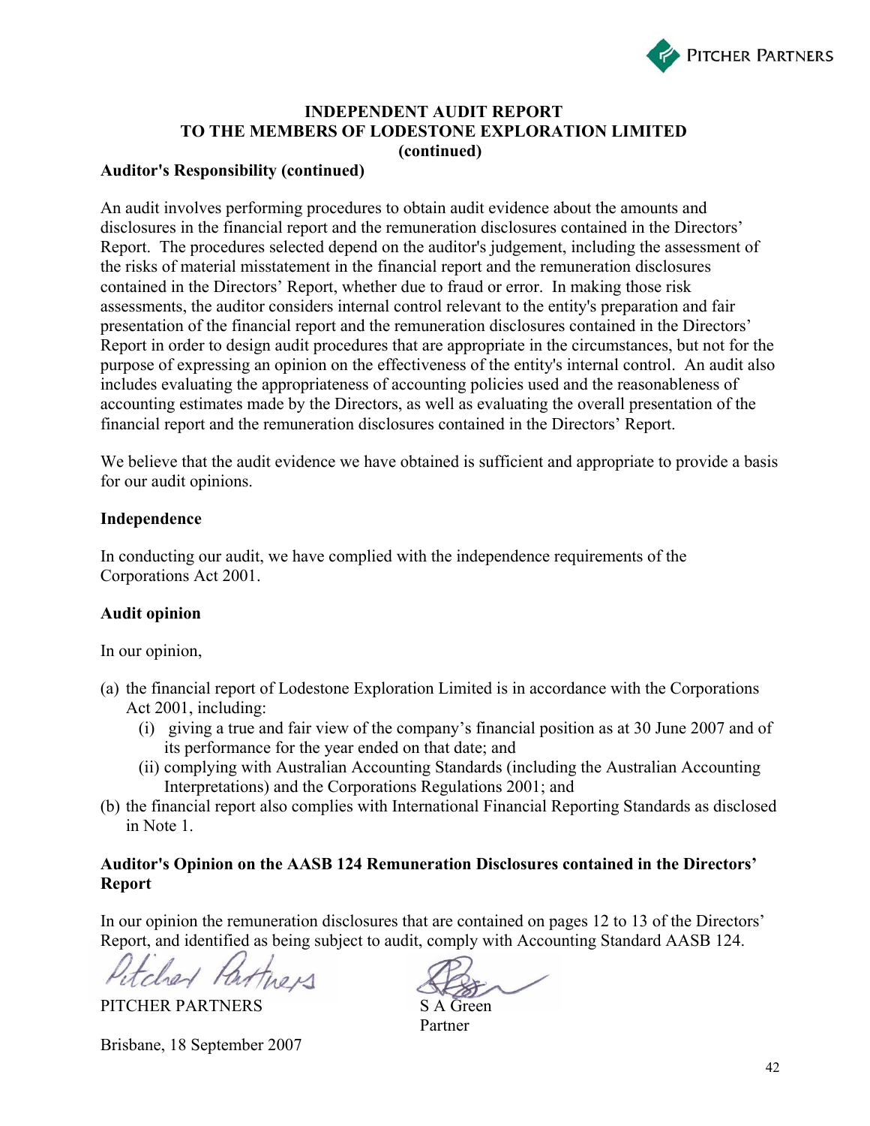

## **INDEPENDENT AUDIT REPORT TO THE MEMBERS OF LODESTONE EXPLORATION LIMITED (continued)**

## **Auditor's Responsibility (continued)**

An audit involves performing procedures to obtain audit evidence about the amounts and disclosures in the financial report and the remuneration disclosures contained in the Directors' Report. The procedures selected depend on the auditor's judgement, including the assessment of the risks of material misstatement in the financial report and the remuneration disclosures contained in the Directors' Report, whether due to fraud or error. In making those risk assessments, the auditor considers internal control relevant to the entity's preparation and fair presentation of the financial report and the remuneration disclosures contained in the Directors' Report in order to design audit procedures that are appropriate in the circumstances, but not for the purpose of expressing an opinion on the effectiveness of the entity's internal control. An audit also includes evaluating the appropriateness of accounting policies used and the reasonableness of accounting estimates made by the Directors, as well as evaluating the overall presentation of the financial report and the remuneration disclosures contained in the Directors' Report.

We believe that the audit evidence we have obtained is sufficient and appropriate to provide a basis for our audit opinions.

## **Independence**

In conducting our audit, we have complied with the independence requirements of the Corporations Act 2001.

## **Audit opinion**

In our opinion,

- (a) the financial report of Lodestone Exploration Limited is in accordance with the Corporations Act 2001, including:
	- (i) giving a true and fair view of the company's financial position as at 30 June 2007 and of its performance for the year ended on that date; and
	- (ii) complying with Australian Accounting Standards (including the Australian Accounting Interpretations) and the Corporations Regulations 2001; and
- (b) the financial report also complies with International Financial Reporting Standards as disclosed in Note 1.

## **Auditor's Opinion on the AASB 124 Remuneration Disclosures contained in the Directors' Report**

In our opinion the remuneration disclosures that are contained on pages 12 to 13 of the Directors' Report, and identified as being subject to audit, comply with Accounting Standard AASB 124.

cher Partners

PITCHER PARTNERS SA Green

Brisbane, 18 September 2007

Partner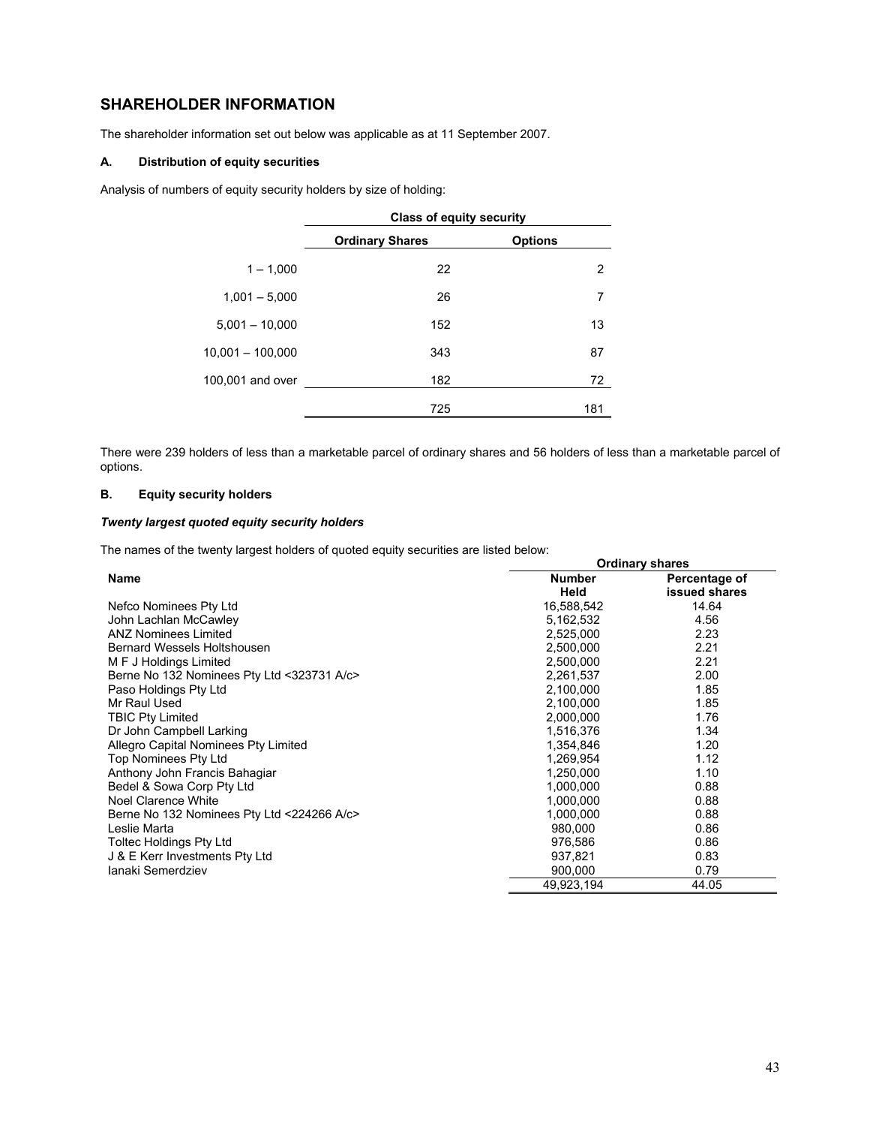# **SHAREHOLDER INFORMATION**

The shareholder information set out below was applicable as at 11 September 2007.

## **A. Distribution of equity securities**

Analysis of numbers of equity security holders by size of holding:

|                    | <b>Class of equity security</b> |                |  |
|--------------------|---------------------------------|----------------|--|
|                    | <b>Ordinary Shares</b>          | <b>Options</b> |  |
| $1 - 1,000$        | 22                              | 2              |  |
| $1,001 - 5,000$    | 26                              | 7              |  |
| $5,001 - 10,000$   | 152                             | 13             |  |
| $10,001 - 100,000$ | 343                             | 87             |  |
| 100,001 and over   | 182                             | 72             |  |
|                    | 725                             | 181            |  |

There were 239 holders of less than a marketable parcel of ordinary shares and 56 holders of less than a marketable parcel of options.

## **B. Equity security holders**

## *Twenty largest quoted equity security holders*

The names of the twenty largest holders of quoted equity securities are listed below:

|                                            |               | <b>Ordinary shares</b> |
|--------------------------------------------|---------------|------------------------|
| <b>Name</b>                                | <b>Number</b> | Percentage of          |
|                                            | Held          | issued shares          |
| Nefco Nominees Pty Ltd                     | 16,588,542    | 14.64                  |
| John Lachlan McCawley                      | 5,162,532     | 4.56                   |
| <b>ANZ Nominees Limited</b>                | 2,525,000     | 2.23                   |
| Bernard Wessels Holtshousen                | 2,500,000     | 2.21                   |
| M F J Holdings Limited                     | 2,500,000     | 2.21                   |
| Berne No 132 Nominees Pty Ltd <323731 A/c> | 2,261,537     | 2.00                   |
| Paso Holdings Pty Ltd                      | 2,100,000     | 1.85                   |
| Mr Raul Used                               | 2,100,000     | 1.85                   |
| <b>TBIC Pty Limited</b>                    | 2,000,000     | 1.76                   |
| Dr John Campbell Larking                   | 1,516,376     | 1.34                   |
| Allegro Capital Nominees Pty Limited       | 1,354,846     | 1.20                   |
| Top Nominees Pty Ltd                       | 1,269,954     | 1.12                   |
| Anthony John Francis Bahagiar              | 1,250,000     | 1.10                   |
| Bedel & Sowa Corp Pty Ltd                  | 1,000,000     | 0.88                   |
| Noel Clarence White                        | 1,000,000     | 0.88                   |
| Berne No 132 Nominees Pty Ltd <224266 A/c> | 1,000,000     | 0.88                   |
| Leslie Marta                               | 980,000       | 0.86                   |
| <b>Toltec Holdings Pty Ltd</b>             | 976,586       | 0.86                   |
| J & E Kerr Investments Pty Ltd             | 937,821       | 0.83                   |
| Janaki Semerdziev                          | 900,000       | 0.79                   |
|                                            | 49,923,194    | 44.05                  |